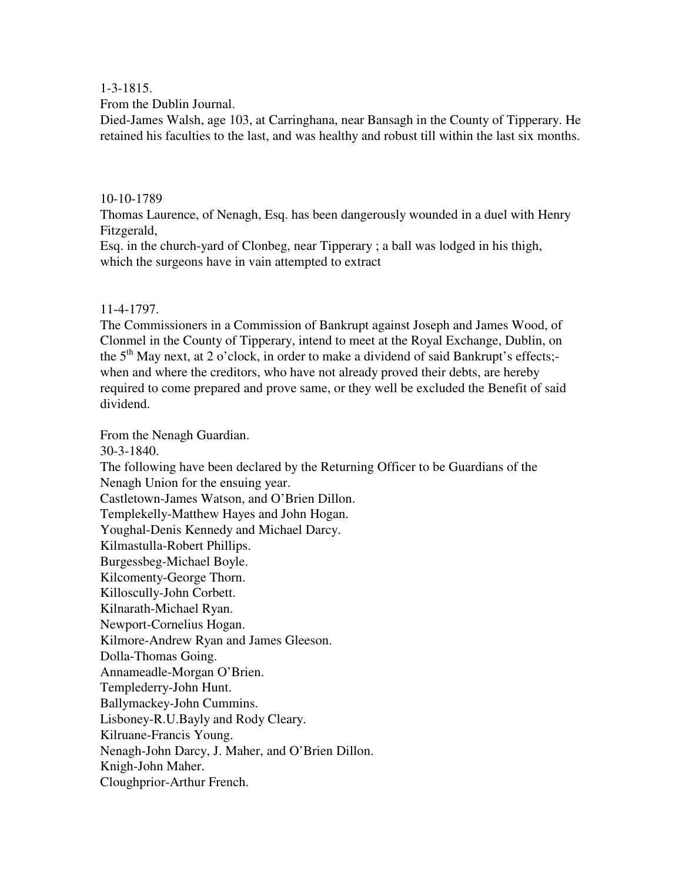1-3-1815.

From the Dublin Journal.

Died-James Walsh, age 103, at Carringhana, near Bansagh in the County of Tipperary. He retained his faculties to the last, and was healthy and robust till within the last six months.

## 10-10-1789

Thomas Laurence, of Nenagh, Esq. has been dangerously wounded in a duel with Henry Fitzgerald,

Esq. in the church-yard of Clonbeg, near Tipperary ; a ball was lodged in his thigh, which the surgeons have in vain attempted to extract

# 11-4-1797.

The Commissioners in a Commission of Bankrupt against Joseph and James Wood, of Clonmel in the County of Tipperary, intend to meet at the Royal Exchange, Dublin, on the  $5<sup>th</sup>$  May next, at 2 o'clock, in order to make a dividend of said Bankrupt's effects;when and where the creditors, who have not already proved their debts, are hereby required to come prepared and prove same, or they well be excluded the Benefit of said dividend.

From the Nenagh Guardian. 30-3-1840. The following have been declared by the Returning Officer to be Guardians of the Nenagh Union for the ensuing year. Castletown-James Watson, and O'Brien Dillon. Templekelly-Matthew Hayes and John Hogan. Youghal-Denis Kennedy and Michael Darcy. Kilmastulla-Robert Phillips. Burgessbeg-Michael Boyle. Kilcomenty-George Thorn. Killoscully-John Corbett. Kilnarath-Michael Ryan. Newport-Cornelius Hogan. Kilmore-Andrew Ryan and James Gleeson. Dolla-Thomas Going. Annameadle-Morgan O'Brien. Templederry-John Hunt. Ballymackey-John Cummins. Lisboney-R.U.Bayly and Rody Cleary. Kilruane-Francis Young. Nenagh-John Darcy, J. Maher, and O'Brien Dillon. Knigh-John Maher.

Cloughprior-Arthur French.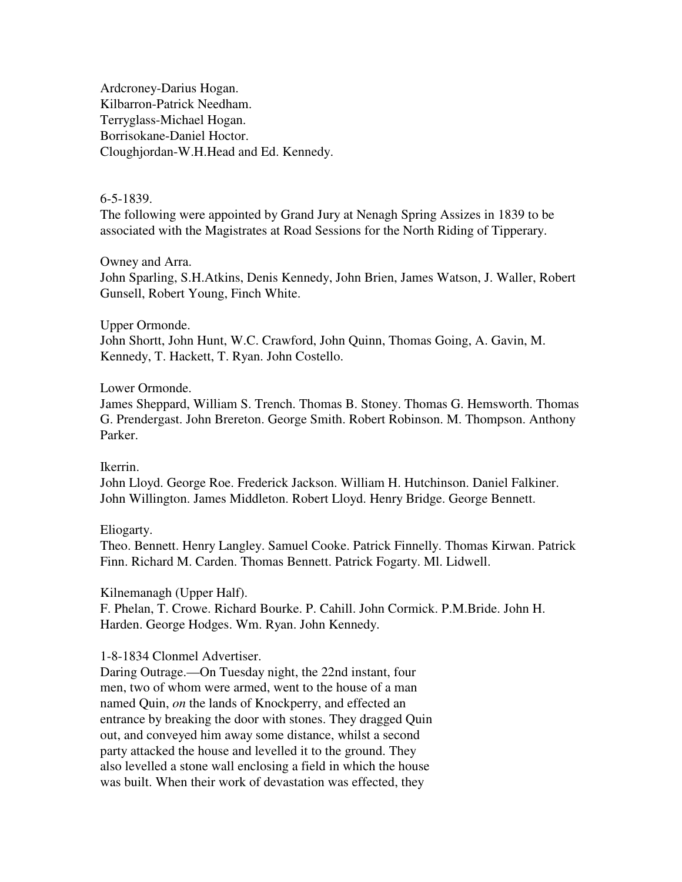Ardcroney-Darius Hogan. Kilbarron-Patrick Needham. Terryglass-Michael Hogan. Borrisokane-Daniel Hoctor. Cloughjordan-W.H.Head and Ed. Kennedy.

# 6-5-1839.

The following were appointed by Grand Jury at Nenagh Spring Assizes in 1839 to be associated with the Magistrates at Road Sessions for the North Riding of Tipperary.

## Owney and Arra.

John Sparling, S.H.Atkins, Denis Kennedy, John Brien, James Watson, J. Waller, Robert Gunsell, Robert Young, Finch White.

#### Upper Ormonde.

John Shortt, John Hunt, W.C. Crawford, John Quinn, Thomas Going, A. Gavin, M. Kennedy, T. Hackett, T. Ryan. John Costello.

### Lower Ormonde.

James Sheppard, William S. Trench. Thomas B. Stoney. Thomas G. Hemsworth. Thomas G. Prendergast. John Brereton. George Smith. Robert Robinson. M. Thompson. Anthony Parker.

### Ikerrin.

John Lloyd. George Roe. Frederick Jackson. William H. Hutchinson. Daniel Falkiner. John Willington. James Middleton. Robert Lloyd. Henry Bridge. George Bennett.

### Eliogarty.

Theo. Bennett. Henry Langley. Samuel Cooke. Patrick Finnelly. Thomas Kirwan. Patrick Finn. Richard M. Carden. Thomas Bennett. Patrick Fogarty. Ml. Lidwell.

### Kilnemanagh (Upper Half).

F. Phelan, T. Crowe. Richard Bourke. P. Cahill. John Cormick. P.M.Bride. John H. Harden. George Hodges. Wm. Ryan. John Kennedy.

### 1-8-1834 Clonmel Advertiser.

Daring Outrage.—On Tuesday night, the 22nd instant, four men, two of whom were armed, went to the house of a man named Quin, *on* the lands of Knockperry, and effected an entrance by breaking the door with stones. They dragged Quin out, and conveyed him away some distance, whilst a second party attacked the house and levelled it to the ground. They also levelled a stone wall enclosing a field in which the house was built. When their work of devastation was effected, they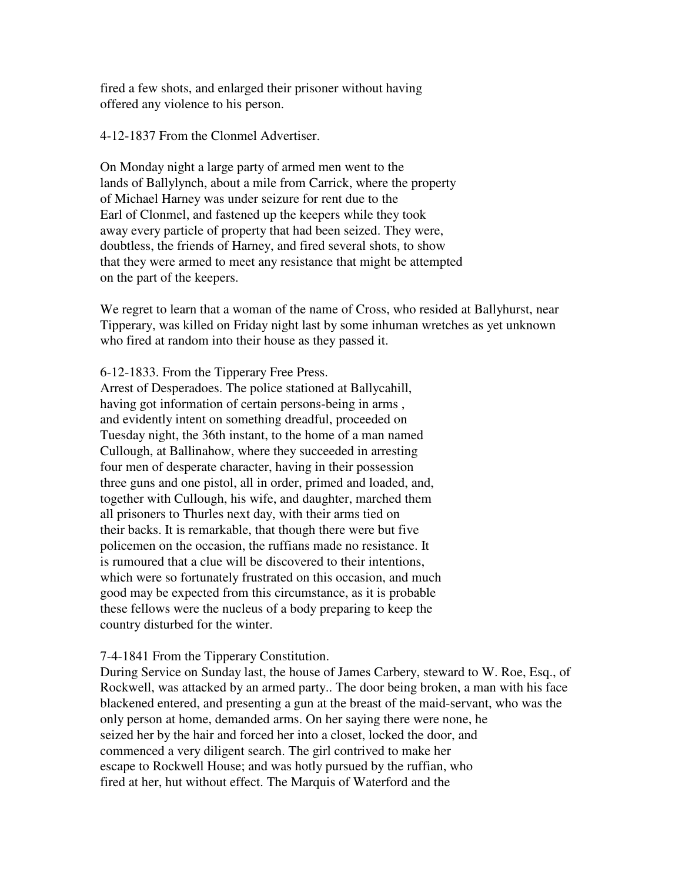fired a few shots, and enlarged their prisoner without having offered any violence to his person.

4-12-1837 From the Clonmel Advertiser.

On Monday night a large party of armed men went to the lands of Ballylynch, about a mile from Carrick, where the property of Michael Harney was under seizure for rent due to the Earl of Clonmel, and fastened up the keepers while they took away every particle of property that had been seized. They were, doubtless, the friends of Harney, and fired several shots, to show that they were armed to meet any resistance that might be attempted on the part of the keepers.

We regret to learn that a woman of the name of Cross, who resided at Ballyhurst, near Tipperary, was killed on Friday night last by some inhuman wretches as yet unknown who fired at random into their house as they passed it.

6-12-1833. From the Tipperary Free Press.

Arrest of Desperadoes. The police stationed at Ballycahill, having got information of certain persons-being in arms , and evidently intent on something dreadful, proceeded on Tuesday night, the 36th instant, to the home of a man named Cullough, at Ballinahow, where they succeeded in arresting four men of desperate character, having in their possession three guns and one pistol, all in order, primed and loaded, and, together with Cullough, his wife, and daughter, marched them all prisoners to Thurles next day, with their arms tied on their backs. It is remarkable, that though there were but five policemen on the occasion, the ruffians made no resistance. It is rumoured that a clue will be discovered to their intentions, which were so fortunately frustrated on this occasion, and much good may be expected from this circumstance, as it is probable these fellows were the nucleus of a body preparing to keep the country disturbed for the winter.

# 7-4-1841 From the Tipperary Constitution.

During Service on Sunday last, the house of James Carbery, steward to W. Roe, Esq., of Rockwell, was attacked by an armed party.. The door being broken, a man with his face blackened entered, and presenting a gun at the breast of the maid-servant, who was the only person at home, demanded arms. On her saying there were none, he seized her by the hair and forced her into a closet, locked the door, and commenced a very diligent search. The girl contrived to make her escape to Rockwell House; and was hotly pursued by the ruffian, who fired at her, hut without effect. The Marquis of Waterford and the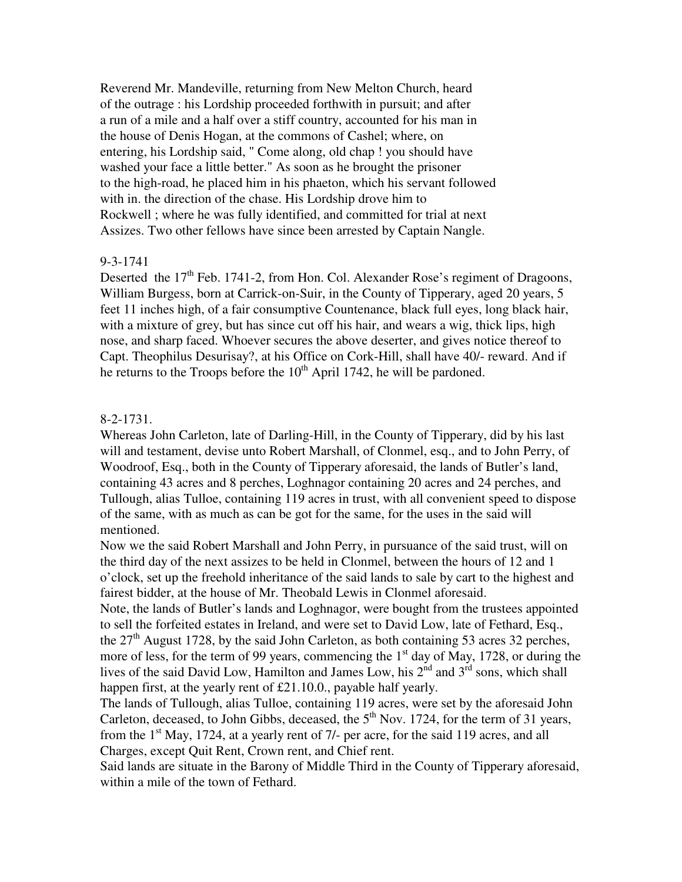Reverend Mr. Mandeville, returning from New Melton Church, heard of the outrage : his Lordship proceeded forthwith in pursuit; and after a run of a mile and a half over a stiff country, accounted for his man in the house of Denis Hogan, at the commons of Cashel; where, on entering, his Lordship said, " Come along, old chap ! you should have washed your face a little better." As soon as he brought the prisoner to the high-road, he placed him in his phaeton, which his servant followed with in. the direction of the chase. His Lordship drove him to Rockwell ; where he was fully identified, and committed for trial at next Assizes. Two other fellows have since been arrested by Captain Nangle.

#### 9-3-1741

Deserted the  $17<sup>th</sup>$  Feb. 1741-2, from Hon. Col. Alexander Rose's regiment of Dragoons, William Burgess, born at Carrick-on-Suir, in the County of Tipperary, aged 20 years, 5 feet 11 inches high, of a fair consumptive Countenance, black full eyes, long black hair, with a mixture of grey, but has since cut off his hair, and wears a wig, thick lips, high nose, and sharp faced. Whoever secures the above deserter, and gives notice thereof to Capt. Theophilus Desurisay?, at his Office on Cork-Hill, shall have 40/- reward. And if he returns to the Troops before the  $10^{th}$  April 1742, he will be pardoned.

#### 8-2-1731.

Whereas John Carleton, late of Darling-Hill, in the County of Tipperary, did by his last will and testament, devise unto Robert Marshall, of Clonmel, esq., and to John Perry, of Woodroof, Esq., both in the County of Tipperary aforesaid, the lands of Butler's land, containing 43 acres and 8 perches, Loghnagor containing 20 acres and 24 perches, and Tullough, alias Tulloe, containing 119 acres in trust, with all convenient speed to dispose of the same, with as much as can be got for the same, for the uses in the said will mentioned.

Now we the said Robert Marshall and John Perry, in pursuance of the said trust, will on the third day of the next assizes to be held in Clonmel, between the hours of 12 and 1 o'clock, set up the freehold inheritance of the said lands to sale by cart to the highest and fairest bidder, at the house of Mr. Theobald Lewis in Clonmel aforesaid.

Note, the lands of Butler's lands and Loghnagor, were bought from the trustees appointed to sell the forfeited estates in Ireland, and were set to David Low, late of Fethard, Esq., the  $27<sup>th</sup>$  August 1728, by the said John Carleton, as both containing 53 acres 32 perches, more of less, for the term of 99 years, commencing the  $1<sup>st</sup>$  day of May, 1728, or during the lives of the said David Low, Hamilton and James Low, his 2<sup>nd</sup> and 3<sup>rd</sup> sons, which shall happen first, at the yearly rent of £21.10.0., payable half yearly.

The lands of Tullough, alias Tulloe, containing 119 acres, were set by the aforesaid John Carleton, deceased, to John Gibbs, deceased, the  $5<sup>th</sup>$  Nov. 1724, for the term of 31 years, from the  $1<sup>st</sup>$  May, 1724, at a yearly rent of 7/- per acre, for the said 119 acres, and all Charges, except Quit Rent, Crown rent, and Chief rent.

Said lands are situate in the Barony of Middle Third in the County of Tipperary aforesaid, within a mile of the town of Fethard.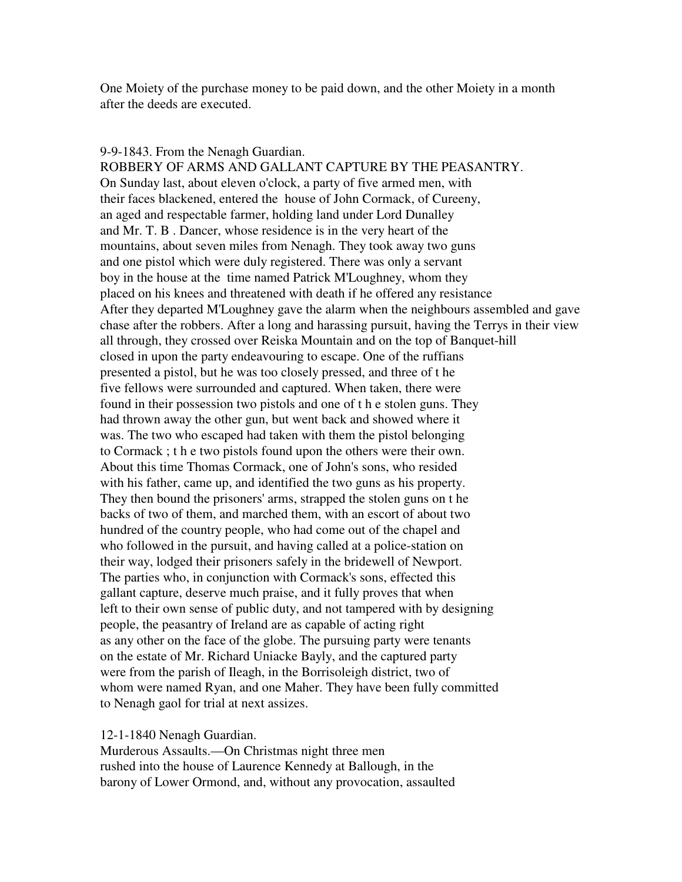One Moiety of the purchase money to be paid down, and the other Moiety in a month after the deeds are executed.

#### 9-9-1843. From the Nenagh Guardian.

ROBBERY OF ARMS AND GALLANT CAPTURE BY THE PEASANTRY. On Sunday last, about eleven o'clock, a party of five armed men, with their faces blackened, entered the house of John Cormack, of Cureeny, an aged and respectable farmer, holding land under Lord Dunalley and Mr. T. B . Dancer, whose residence is in the very heart of the mountains, about seven miles from Nenagh. They took away two guns and one pistol which were duly registered. There was only a servant boy in the house at the time named Patrick M'Loughney, whom they placed on his knees and threatened with death if he offered any resistance After they departed M'Loughney gave the alarm when the neighbours assembled and gave chase after the robbers. After a long and harassing pursuit, having the Terrys in their view all through, they crossed over Reiska Mountain and on the top of Banquet-hill closed in upon the party endeavouring to escape. One of the ruffians presented a pistol, but he was too closely pressed, and three of t he five fellows were surrounded and captured. When taken, there were found in their possession two pistols and one of t h e stolen guns. They had thrown away the other gun, but went back and showed where it was. The two who escaped had taken with them the pistol belonging to Cormack ; t h e two pistols found upon the others were their own. About this time Thomas Cormack, one of John's sons, who resided with his father, came up, and identified the two guns as his property. They then bound the prisoners' arms, strapped the stolen guns on t he backs of two of them, and marched them, with an escort of about two hundred of the country people, who had come out of the chapel and who followed in the pursuit, and having called at a police-station on their way, lodged their prisoners safely in the bridewell of Newport. The parties who, in conjunction with Cormack's sons, effected this gallant capture, deserve much praise, and it fully proves that when left to their own sense of public duty, and not tampered with by designing people, the peasantry of Ireland are as capable of acting right as any other on the face of the globe. The pursuing party were tenants on the estate of Mr. Richard Uniacke Bayly, and the captured party were from the parish of Ileagh, in the Borrisoleigh district, two of whom were named Ryan, and one Maher. They have been fully committed to Nenagh gaol for trial at next assizes.

#### 12-1-1840 Nenagh Guardian.

Murderous Assaults.—On Christmas night three men rushed into the house of Laurence Kennedy at Ballough, in the barony of Lower Ormond, and, without any provocation, assaulted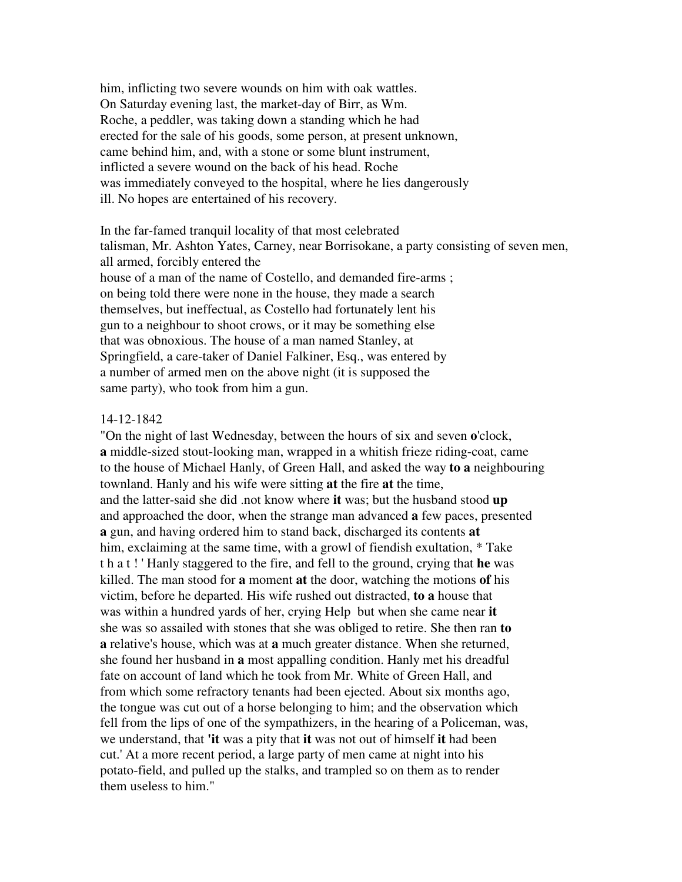him, inflicting two severe wounds on him with oak wattles. On Saturday evening last, the market-day of Birr, as Wm. Roche, a peddler, was taking down a standing which he had erected for the sale of his goods, some person, at present unknown, came behind him, and, with a stone or some blunt instrument, inflicted a severe wound on the back of his head. Roche was immediately conveyed to the hospital, where he lies dangerously ill. No hopes are entertained of his recovery.

In the far-famed tranquil locality of that most celebrated talisman, Mr. Ashton Yates, Carney, near Borrisokane, a party consisting of seven men, all armed, forcibly entered the house of a man of the name of Costello, and demanded fire-arms ; on being told there were none in the house, they made a search themselves, but ineffectual, as Costello had fortunately lent his gun to a neighbour to shoot crows, or it may be something else that was obnoxious. The house of a man named Stanley, at Springfield, a care-taker of Daniel Falkiner, Esq., was entered by a number of armed men on the above night (it is supposed the same party), who took from him a gun.

#### 14-12-1842

"On the night of last Wednesday, between the hours of six and seven **o**'clock, **a** middle-sized stout-looking man, wrapped in a whitish frieze riding-coat, came to the house of Michael Hanly, of Green Hall, and asked the way **to a** neighbouring townland. Hanly and his wife were sitting **at** the fire **at** the time, and the latter-said she did .not know where **it** was; but the husband stood **up**  and approached the door, when the strange man advanced **a** few paces, presented **a** gun, and having ordered him to stand back, discharged its contents **at**  him, exclaiming at the same time, with a growl of fiendish exultation, \* Take t h a t ! ' Hanly staggered to the fire, and fell to the ground, crying that **he** was killed. The man stood for **a** moment **at** the door, watching the motions **of** his victim, before he departed. His wife rushed out distracted, **to a** house that was within a hundred yards of her, crying Help but when she came near **it**  she was so assailed with stones that she was obliged to retire. She then ran **to a** relative's house, which was at **a** much greater distance. When she returned, she found her husband in **a** most appalling condition. Hanly met his dreadful fate on account of land which he took from Mr. White of Green Hall, and from which some refractory tenants had been ejected. About six months ago, the tongue was cut out of a horse belonging to him; and the observation which fell from the lips of one of the sympathizers, in the hearing of a Policeman, was, we understand, that **'it** was a pity that **it** was not out of himself **it** had been cut.' At a more recent period, a large party of men came at night into his potato-field, and pulled up the stalks, and trampled so on them as to render them useless to him."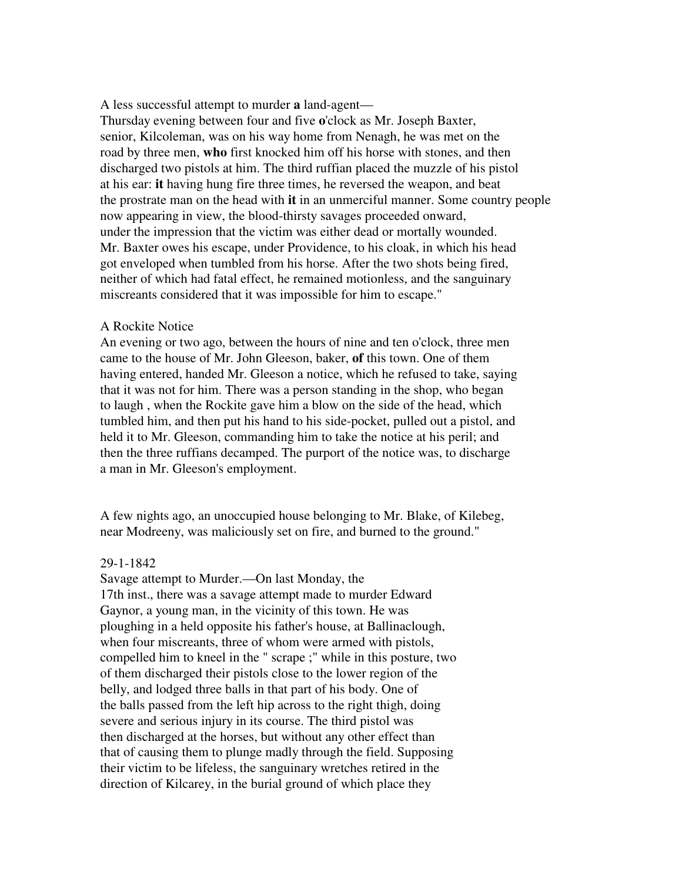A less successful attempt to murder **a** land-agent—

Thursday evening between four and five **o**'clock as Mr. Joseph Baxter, senior, Kilcoleman, was on his way home from Nenagh, he was met on the road by three men, **who** first knocked him off his horse with stones, and then discharged two pistols at him. The third ruffian placed the muzzle of his pistol at his ear: **it** having hung fire three times, he reversed the weapon, and beat the prostrate man on the head with **it** in an unmerciful manner. Some country people now appearing in view, the blood-thirsty savages proceeded onward, under the impression that the victim was either dead or mortally wounded. Mr. Baxter owes his escape, under Providence, to his cloak, in which his head got enveloped when tumbled from his horse. After the two shots being fired, neither of which had fatal effect, he remained motionless, and the sanguinary miscreants considered that it was impossible for him to escape."

#### A Rockite Notice

An evening or two ago, between the hours of nine and ten o'clock, three men came to the house of Mr. John Gleeson, baker, **of** this town. One of them having entered, handed Mr. Gleeson a notice, which he refused to take, saying that it was not for him. There was a person standing in the shop, who began to laugh , when the Rockite gave him a blow on the side of the head, which tumbled him, and then put his hand to his side-pocket, pulled out a pistol, and held it to Mr. Gleeson, commanding him to take the notice at his peril; and then the three ruffians decamped. The purport of the notice was, to discharge a man in Mr. Gleeson's employment.

A few nights ago, an unoccupied house belonging to Mr. Blake, of Kilebeg, near Modreeny, was maliciously set on fire, and burned to the ground."

#### 29-1-1842

Savage attempt to Murder.—On last Monday, the 17th inst., there was a savage attempt made to murder Edward Gaynor, a young man, in the vicinity of this town. He was ploughing in a held opposite his father's house, at Ballinaclough, when four miscreants, three of whom were armed with pistols, compelled him to kneel in the " scrape ;" while in this posture, two of them discharged their pistols close to the lower region of the belly, and lodged three balls in that part of his body. One of the balls passed from the left hip across to the right thigh, doing severe and serious injury in its course. The third pistol was then discharged at the horses, but without any other effect than that of causing them to plunge madly through the field. Supposing their victim to be lifeless, the sanguinary wretches retired in the direction of Kilcarey, in the burial ground of which place they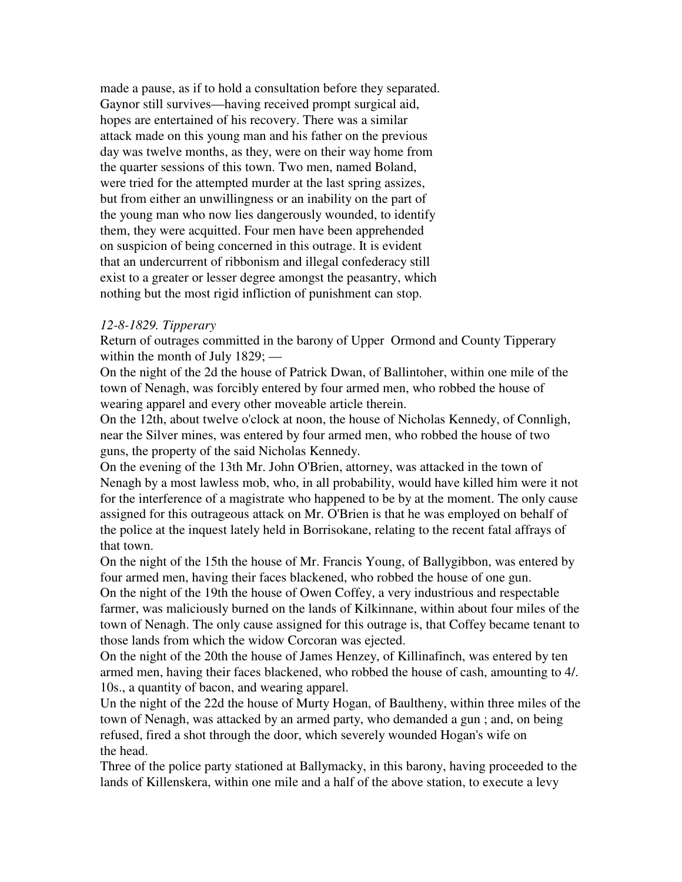made a pause, as if to hold a consultation before they separated. Gaynor still survives—having received prompt surgical aid, hopes are entertained of his recovery. There was a similar attack made on this young man and his father on the previous day was twelve months, as they, were on their way home from the quarter sessions of this town. Two men, named Boland, were tried for the attempted murder at the last spring assizes, but from either an unwillingness or an inability on the part of the young man who now lies dangerously wounded, to identify them, they were acquitted. Four men have been apprehended on suspicion of being concerned in this outrage. It is evident that an undercurrent of ribbonism and illegal confederacy still exist to a greater or lesser degree amongst the peasantry, which nothing but the most rigid infliction of punishment can stop.

### *12-8-1829. Tipperary*

Return of outrages committed in the barony of Upper Ormond and County Tipperary within the month of July 1829; —

On the night of the 2d the house of Patrick Dwan, of Ballintoher, within one mile of the town of Nenagh, was forcibly entered by four armed men, who robbed the house of wearing apparel and every other moveable article therein.

On the 12th, about twelve o'clock at noon, the house of Nicholas Kennedy, of Connligh, near the Silver mines, was entered by four armed men, who robbed the house of two guns, the property of the said Nicholas Kennedy.

On the evening of the 13th Mr. John O'Brien, attorney, was attacked in the town of Nenagh by a most lawless mob, who, in all probability, would have killed him were it not for the interference of a magistrate who happened to be by at the moment. The only cause assigned for this outrageous attack on Mr. O'Brien is that he was employed on behalf of the police at the inquest lately held in Borrisokane, relating to the recent fatal affrays of that town.

On the night of the 15th the house of Mr. Francis Young, of Ballygibbon, was entered by four armed men, having their faces blackened, who robbed the house of one gun.

On the night of the 19th the house of Owen Coffey, a very industrious and respectable farmer, was maliciously burned on the lands of Kilkinnane, within about four miles of the town of Nenagh. The only cause assigned for this outrage is, that Coffey became tenant to those lands from which the widow Corcoran was ejected.

On the night of the 20th the house of James Henzey, of Killinafinch, was entered by ten armed men, having their faces blackened, who robbed the house of cash, amounting to 4/. 10s., a quantity of bacon, and wearing apparel.

Un the night of the 22d the house of Murty Hogan, of Baultheny, within three miles of the town of Nenagh, was attacked by an armed party, who demanded a gun ; and, on being refused, fired a shot through the door, which severely wounded Hogan's wife on the head.

Three of the police party stationed at Ballymacky, in this barony, having proceeded to the lands of Killenskera, within one mile and a half of the above station, to execute a levy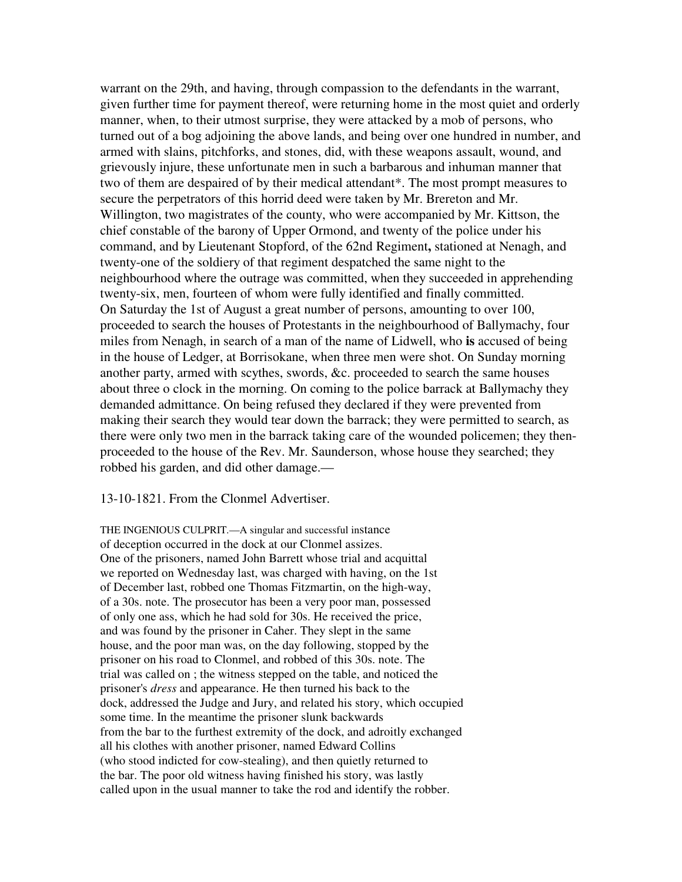warrant on the 29th, and having, through compassion to the defendants in the warrant, given further time for payment thereof, were returning home in the most quiet and orderly manner, when, to their utmost surprise, they were attacked by a mob of persons, who turned out of a bog adjoining the above lands, and being over one hundred in number, and armed with slains, pitchforks, and stones, did, with these weapons assault, wound, and grievously injure, these unfortunate men in such a barbarous and inhuman manner that two of them are despaired of by their medical attendant\*. The most prompt measures to secure the perpetrators of this horrid deed were taken by Mr. Brereton and Mr. Willington, two magistrates of the county, who were accompanied by Mr. Kittson, the chief constable of the barony of Upper Ormond, and twenty of the police under his command, and by Lieutenant Stopford, of the 62nd Regiment**,** stationed at Nenagh, and twenty-one of the soldiery of that regiment despatched the same night to the neighbourhood where the outrage was committed, when they succeeded in apprehending twenty-six, men, fourteen of whom were fully identified and finally committed. On Saturday the 1st of August a great number of persons, amounting to over 100, proceeded to search the houses of Protestants in the neighbourhood of Ballymachy, four miles from Nenagh, in search of a man of the name of Lidwell, who **is** accused of being in the house of Ledger, at Borrisokane, when three men were shot. On Sunday morning another party, armed with scythes, swords, &c. proceeded to search the same houses about three o clock in the morning. On coming to the police barrack at Ballymachy they demanded admittance. On being refused they declared if they were prevented from making their search they would tear down the barrack; they were permitted to search, as there were only two men in the barrack taking care of the wounded policemen; they thenproceeded to the house of the Rev. Mr. Saunderson, whose house they searched; they robbed his garden, and did other damage.—

### 13-10-1821. From the Clonmel Advertiser.

THE INGENIOUS CULPRIT.—A singular and successful instance of deception occurred in the dock at our Clonmel assizes. One of the prisoners, named John Barrett whose trial and acquittal we reported on Wednesday last, was charged with having, on the 1st of December last, robbed one Thomas Fitzmartin, on the high-way, of a 30s. note. The prosecutor has been a very poor man, possessed of only one ass, which he had sold for 30s. He received the price, and was found by the prisoner in Caher. They slept in the same house, and the poor man was, on the day following, stopped by the prisoner on his road to Clonmel, and robbed of this 30s. note. The trial was called on ; the witness stepped on the table, and noticed the prisoner's *dress* and appearance. He then turned his back to the dock, addressed the Judge and Jury, and related his story, which occupied some time. In the meantime the prisoner slunk backwards from the bar to the furthest extremity of the dock, and adroitly exchanged all his clothes with another prisoner, named Edward Collins (who stood indicted for cow-stealing), and then quietly returned to the bar. The poor old witness having finished his story, was lastly called upon in the usual manner to take the rod and identify the robber.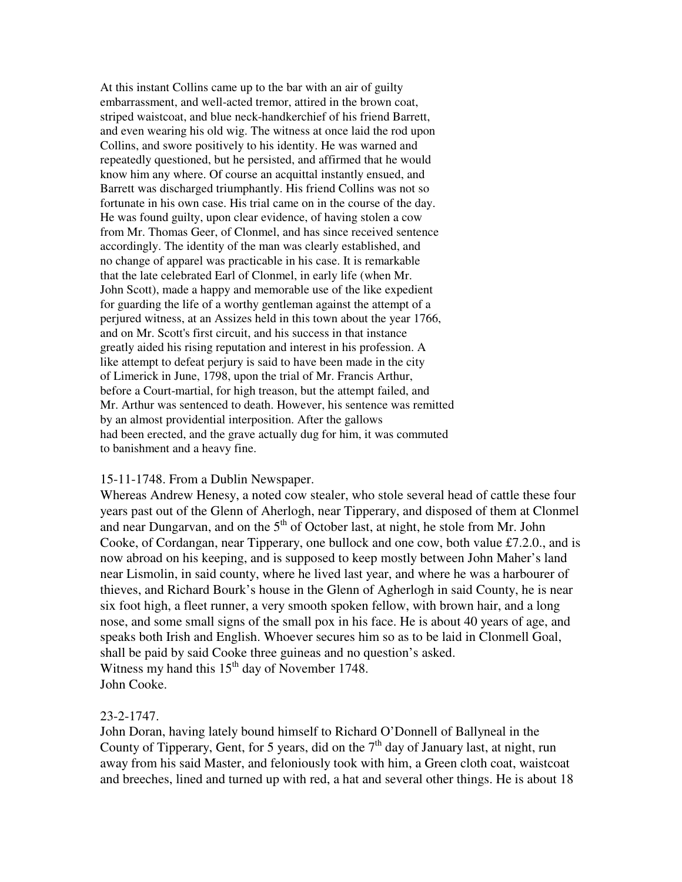At this instant Collins came up to the bar with an air of guilty embarrassment, and well-acted tremor, attired in the brown coat, striped waistcoat, and blue neck-handkerchief of his friend Barrett, and even wearing his old wig. The witness at once laid the rod upon Collins, and swore positively to his identity. He was warned and repeatedly questioned, but he persisted, and affirmed that he would know him any where. Of course an acquittal instantly ensued, and Barrett was discharged triumphantly. His friend Collins was not so fortunate in his own case. His trial came on in the course of the day. He was found guilty, upon clear evidence, of having stolen a cow from Mr. Thomas Geer, of Clonmel, and has since received sentence accordingly. The identity of the man was clearly established, and no change of apparel was practicable in his case. It is remarkable that the late celebrated Earl of Clonmel, in early life (when Mr. John Scott), made a happy and memorable use of the like expedient for guarding the life of a worthy gentleman against the attempt of a perjured witness, at an Assizes held in this town about the year 1766, and on Mr. Scott's first circuit, and his success in that instance greatly aided his rising reputation and interest in his profession. A like attempt to defeat perjury is said to have been made in the city of Limerick in June, 1798, upon the trial of Mr. Francis Arthur, before a Court-martial, for high treason, but the attempt failed, and Mr. Arthur was sentenced to death. However, his sentence was remitted by an almost providential interposition. After the gallows had been erected, and the grave actually dug for him, it was commuted to banishment and a heavy fine.

### 15-11-1748. From a Dublin Newspaper.

Whereas Andrew Henesy, a noted cow stealer, who stole several head of cattle these four years past out of the Glenn of Aherlogh, near Tipperary, and disposed of them at Clonmel and near Dungarvan, and on the  $5<sup>th</sup>$  of October last, at night, he stole from Mr. John Cooke, of Cordangan, near Tipperary, one bullock and one cow, both value £7.2.0., and is now abroad on his keeping, and is supposed to keep mostly between John Maher's land near Lismolin, in said county, where he lived last year, and where he was a harbourer of thieves, and Richard Bourk's house in the Glenn of Agherlogh in said County, he is near six foot high, a fleet runner, a very smooth spoken fellow, with brown hair, and a long nose, and some small signs of the small pox in his face. He is about 40 years of age, and speaks both Irish and English. Whoever secures him so as to be laid in Clonmell Goal, shall be paid by said Cooke three guineas and no question's asked. Witness my hand this  $15<sup>th</sup>$  day of November 1748. John Cooke.

# 23-2-1747.

John Doran, having lately bound himself to Richard O'Donnell of Ballyneal in the County of Tipperary, Gent, for 5 years, did on the  $7<sup>th</sup>$  day of January last, at night, run away from his said Master, and feloniously took with him, a Green cloth coat, waistcoat and breeches, lined and turned up with red, a hat and several other things. He is about 18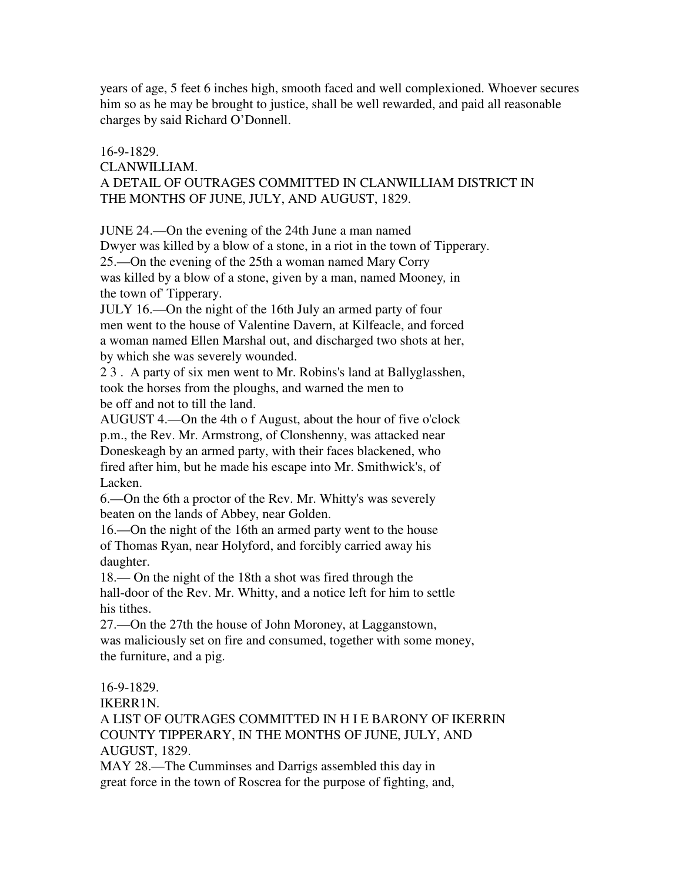years of age, 5 feet 6 inches high, smooth faced and well complexioned. Whoever secures him so as he may be brought to justice, shall be well rewarded, and paid all reasonable charges by said Richard O'Donnell.

# 16-9-1829.

## CLANWILLIAM.

# A DETAIL OF OUTRAGES COMMITTED IN CLANWILLIAM DISTRICT IN THE MONTHS OF JUNE, JULY, AND AUGUST, 1829.

JUNE 24.—On the evening of the 24th June a man named Dwyer was killed by a blow of a stone, in a riot in the town of Tipperary. 25.—On the evening of the 25th a woman named Mary Corry was killed by a blow of a stone, given by a man, named Mooney*,* in the town of' Tipperary.

JULY 16.—On the night of the 16th July an armed party of four men went to the house of Valentine Davern, at Kilfeacle, and forced a woman named Ellen Marshal out, and discharged two shots at her, by which she was severely wounded.

2 3 . A party of six men went to Mr. Robins's land at Ballyglasshen, took the horses from the ploughs, and warned the men to be off and not to till the land.

AUGUST 4.—On the 4th o f August, about the hour of five o'clock p.m., the Rev. Mr. Armstrong, of Clonshenny, was attacked near Doneskeagh by an armed party, with their faces blackened, who fired after him, but he made his escape into Mr. Smithwick's, of Lacken.

6.—On the 6th a proctor of the Rev. Mr. Whitty's was severely beaten on the lands of Abbey, near Golden.

16.—On the night of the 16th an armed party went to the house of Thomas Ryan, near Holyford, and forcibly carried away his daughter.

18.— On the night of the 18th a shot was fired through the hall-door of the Rev. Mr. Whitty, and a notice left for him to settle his tithes.

27.—On the 27th the house of John Moroney, at Lagganstown, was maliciously set on fire and consumed, together with some money, the furniture, and a pig.

16-9-1829.

IKERR1N.

A LIST OF OUTRAGES COMMITTED IN H I E BARONY OF IKERRIN COUNTY TIPPERARY, IN THE MONTHS OF JUNE, JULY, AND AUGUST, 1829.

MAY 28.—The Cumminses and Darrigs assembled this day in great force in the town of Roscrea for the purpose of fighting, and,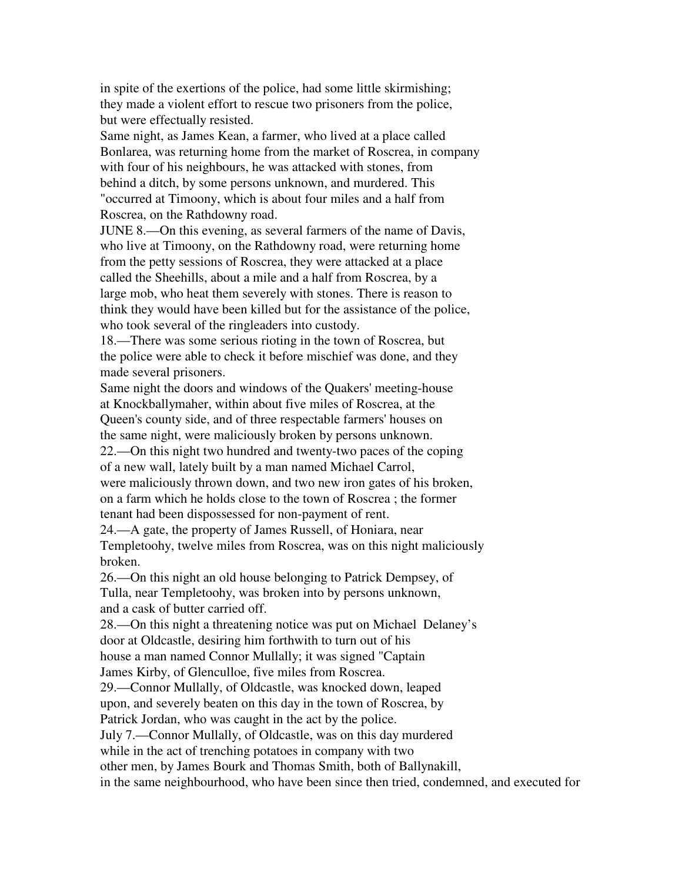in spite of the exertions of the police, had some little skirmishing; they made a violent effort to rescue two prisoners from the police, but were effectually resisted.

Same night, as James Kean, a farmer, who lived at a place called Bonlarea, was returning home from the market of Roscrea, in company with four of his neighbours, he was attacked with stones, from behind a ditch, by some persons unknown, and murdered. This "occurred at Timoony, which is about four miles and a half from Roscrea, on the Rathdowny road.

JUNE 8.—On this evening, as several farmers of the name of Davis, who live at Timoony, on the Rathdowny road, were returning home from the petty sessions of Roscrea, they were attacked at a place called the Sheehills, about a mile and a half from Roscrea, by a large mob, who heat them severely with stones. There is reason to think they would have been killed but for the assistance of the police, who took several of the ringleaders into custody.

18.—There was some serious rioting in the town of Roscrea, but the police were able to check it before mischief was done, and they made several prisoners.

Same night the doors and windows of the Quakers' meeting-house at Knockballymaher, within about five miles of Roscrea, at the Queen's county side, and of three respectable farmers' houses on the same night, were maliciously broken by persons unknown. 22.—On this night two hundred and twenty-two paces of the coping of a new wall, lately built by a man named Michael Carrol, were maliciously thrown down, and two new iron gates of his broken, on a farm which he holds close to the town of Roscrea ; the former tenant had been dispossessed for non-payment of rent.

24.—A gate, the property of James Russell, of Honiara, near Templetoohy, twelve miles from Roscrea, was on this night maliciously broken.

26.—On this night an old house belonging to Patrick Dempsey, of Tulla, near Templetoohy, was broken into by persons unknown, and a cask of butter carried off.

28.—On this night a threatening notice was put on Michael Delaney's door at Oldcastle, desiring him forthwith to turn out of his house a man named Connor Mullally; it was signed "Captain James Kirby, of Glenculloe, five miles from Roscrea.

29.—Connor Mullally, of Oldcastle, was knocked down, leaped upon, and severely beaten on this day in the town of Roscrea, by

Patrick Jordan, who was caught in the act by the police.

July 7.—Connor Mullally, of Oldcastle, was on this day murdered

while in the act of trenching potatoes in company with two

other men, by James Bourk and Thomas Smith, both of Ballynakill,

in the same neighbourhood, who have been since then tried, condemned, and executed for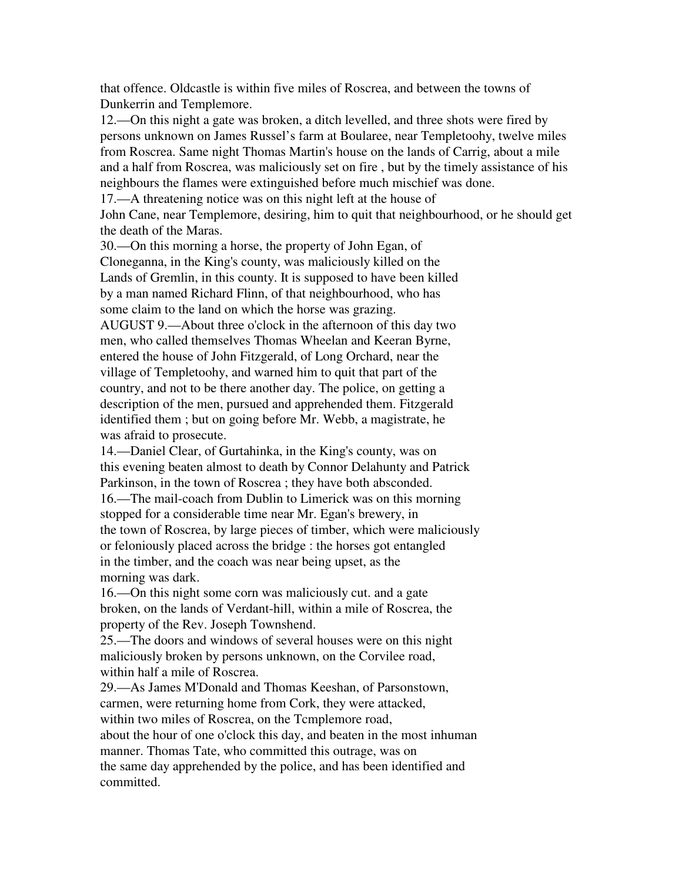that offence. Oldcastle is within five miles of Roscrea, and between the towns of Dunkerrin and Templemore.

12.—On this night a gate was broken, a ditch levelled, and three shots were fired by persons unknown on James Russel's farm at Boularee, near Templetoohy, twelve miles from Roscrea. Same night Thomas Martin's house on the lands of Carrig, about a mile and a half from Roscrea, was maliciously set on fire , but by the timely assistance of his neighbours the flames were extinguished before much mischief was done.

17.—A threatening notice was on this night left at the house of

John Cane, near Templemore, desiring, him to quit that neighbourhood, or he should get the death of the Maras.

30.—On this morning a horse, the property of John Egan, of Cloneganna, in the King's county, was maliciously killed on the Lands of Gremlin, in this county. It is supposed to have been killed by a man named Richard Flinn, of that neighbourhood, who has some claim to the land on which the horse was grazing. AUGUST 9.—About three o'clock in the afternoon of this day two men, who called themselves Thomas Wheelan and Keeran Byrne, entered the house of John Fitzgerald, of Long Orchard, near the village of Templetoohy, and warned him to quit that part of the country, and not to be there another day. The police, on getting a description of the men, pursued and apprehended them. Fitzgerald identified them ; but on going before Mr. Webb, a magistrate, he was afraid to prosecute.

14.—Daniel Clear, of Gurtahinka, in the King's county, was on this evening beaten almost to death by Connor Delahunty and Patrick Parkinson, in the town of Roscrea ; they have both absconded. 16.—The mail-coach from Dublin to Limerick was on this morning stopped for a considerable time near Mr. Egan's brewery, in the town of Roscrea, by large pieces of timber, which were maliciously or feloniously placed across the bridge : the horses got entangled in the timber, and the coach was near being upset, as the morning was dark.

16.—On this night some corn was maliciously cut. and a gate broken, on the lands of Verdant-hill, within a mile of Roscrea, the property of the Rev. Joseph Townshend.

25.—The doors and windows of several houses were on this night maliciously broken by persons unknown, on the Corvilee road, within half a mile of Roscrea.

29.—As James M'Donald and Thomas Keeshan, of Parsonstown, carmen, were returning home from Cork, they were attacked, within two miles of Roscrea, on the Tcmplemore road, about the hour of one o'clock this day, and beaten in the most inhuman manner. Thomas Tate, who committed this outrage, was on the same day apprehended by the police, and has been identified and committed.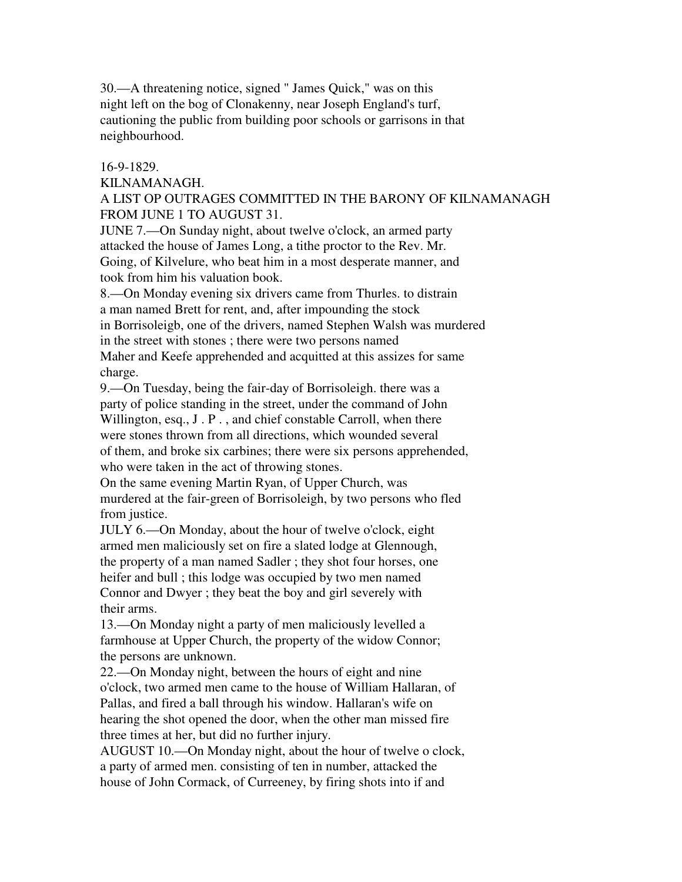30.—A threatening notice, signed " James Quick," was on this night left on the bog of Clonakenny, near Joseph England's turf, cautioning the public from building poor schools or garrisons in that neighbourhood.

## 16-9-1829.

## KILNAMANAGH.

A LIST OP OUTRAGES COMMITTED IN THE BARONY OF KILNAMANAGH FROM JUNE 1 TO AUGUST 31.

JUNE 7.—On Sunday night, about twelve o'clock, an armed party attacked the house of James Long, a tithe proctor to the Rev. Mr. Going, of Kilvelure, who beat him in a most desperate manner, and took from him his valuation book.

8.—On Monday evening six drivers came from Thurles. to distrain a man named Brett for rent, and, after impounding the stock in Borrisoleigb, one of the drivers, named Stephen Walsh was murdered in the street with stones ; there were two persons named Maher and Keefe apprehended and acquitted at this assizes for same charge.

9.—On Tuesday, being the fair-day of Borrisoleigh. there was a party of police standing in the street, under the command of John Willington, esq., J. P., and chief constable Carroll, when there were stones thrown from all directions, which wounded several of them, and broke six carbines; there were six persons apprehended, who were taken in the act of throwing stones.

On the same evening Martin Ryan, of Upper Church, was murdered at the fair-green of Borrisoleigh, by two persons who fled from justice.

JULY 6.—On Monday, about the hour of twelve o'clock, eight armed men maliciously set on fire a slated lodge at Glennough, the property of a man named Sadler ; they shot four horses, one heifer and bull ; this lodge was occupied by two men named Connor and Dwyer ; they beat the boy and girl severely with their arms.

13.—On Monday night a party of men maliciously levelled a farmhouse at Upper Church, the property of the widow Connor; the persons are unknown.

22.—On Monday night, between the hours of eight and nine o'clock, two armed men came to the house of William Hallaran, of Pallas, and fired a ball through his window. Hallaran's wife on hearing the shot opened the door, when the other man missed fire three times at her, but did no further injury.

AUGUST 10.—On Monday night, about the hour of twelve o clock, a party of armed men. consisting of ten in number, attacked the house of John Cormack, of Curreeney, by firing shots into if and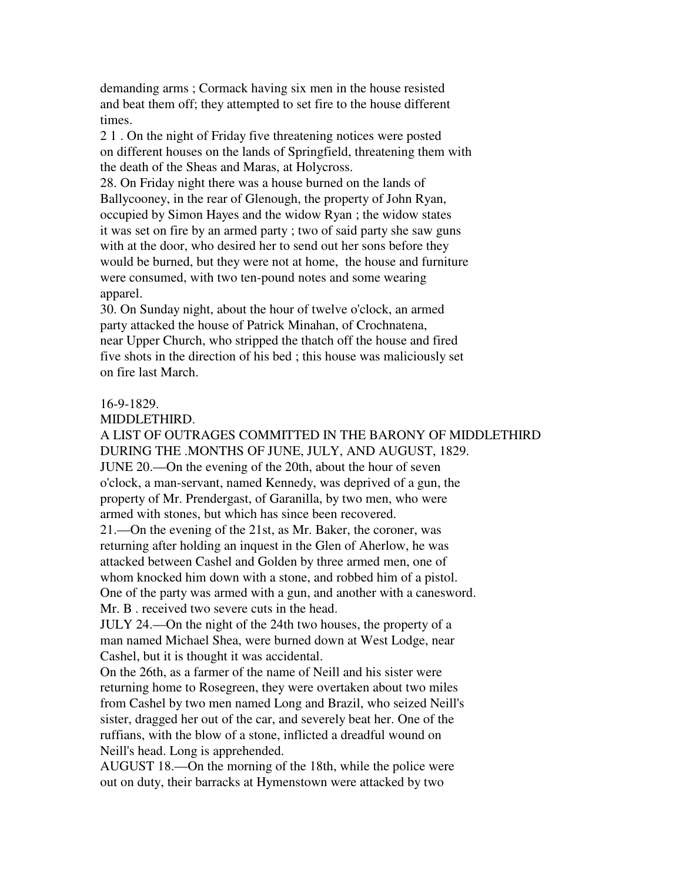demanding arms ; Cormack having six men in the house resisted and beat them off; they attempted to set fire to the house different times.

2 1 . On the night of Friday five threatening notices were posted on different houses on the lands of Springfield, threatening them with the death of the Sheas and Maras, at Holycross.

28. On Friday night there was a house burned on the lands of Ballycooney, in the rear of Glenough, the property of John Ryan, occupied by Simon Hayes and the widow Ryan ; the widow states it was set on fire by an armed party ; two of said party she saw guns with at the door, who desired her to send out her sons before they would be burned, but they were not at home, the house and furniture were consumed, with two ten-pound notes and some wearing apparel.

30. On Sunday night, about the hour of twelve o'clock, an armed party attacked the house of Patrick Minahan, of Crochnatena, near Upper Church, who stripped the thatch off the house and fired five shots in the direction of his bed ; this house was maliciously set on fire last March.

# 16-9-1829.

## MIDDLETHIRD.

A LIST OF OUTRAGES COMMITTED IN THE BARONY OF MIDDLETHIRD DURING THE .MONTHS OF JUNE, JULY, AND AUGUST, 1829. JUNE 20.—On the evening of the 20th, about the hour of seven o'clock, a man-servant, named Kennedy, was deprived of a gun, the property of Mr. Prendergast, of Garanilla, by two men, who were armed with stones, but which has since been recovered.

21.—On the evening of the 21st, as Mr. Baker, the coroner, was returning after holding an inquest in the Glen of Aherlow, he was attacked between Cashel and Golden by three armed men, one of whom knocked him down with a stone, and robbed him of a pistol. One of the party was armed with a gun, and another with a canesword. Mr. B . received two severe cuts in the head.

JULY 24.—On the night of the 24th two houses, the property of a man named Michael Shea, were burned down at West Lodge, near Cashel, but it is thought it was accidental.

On the 26th, as a farmer of the name of Neill and his sister were returning home to Rosegreen, they were overtaken about two miles from Cashel by two men named Long and Brazil, who seized Neill's sister, dragged her out of the car, and severely beat her. One of the ruffians, with the blow of a stone, inflicted a dreadful wound on Neill's head. Long is apprehended.

AUGUST 18.—On the morning of the 18th, while the police were out on duty, their barracks at Hymenstown were attacked by two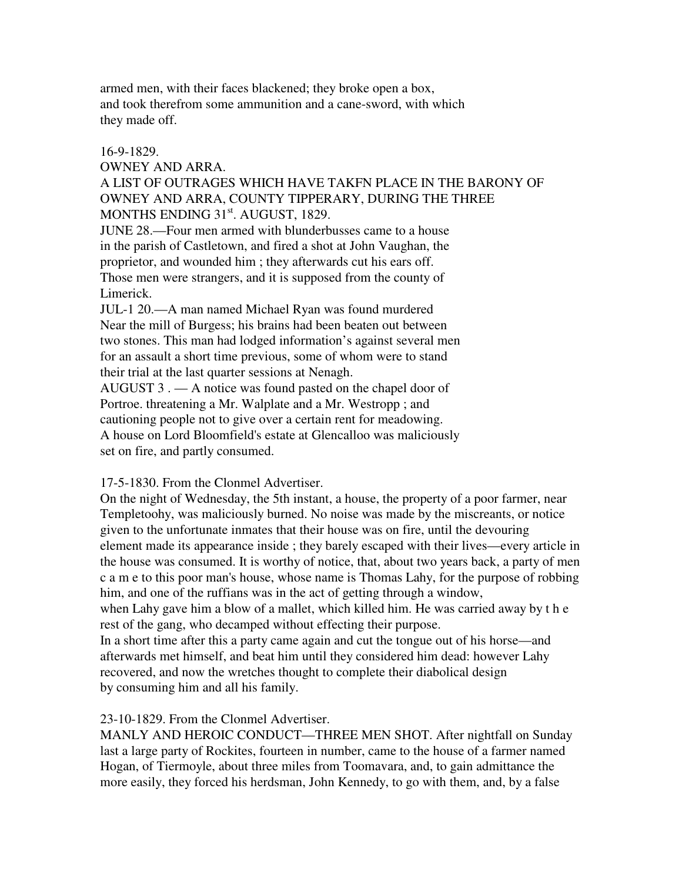armed men, with their faces blackened; they broke open a box, and took therefrom some ammunition and a cane-sword, with which they made off.

## 16-9-1829.

OWNEY AND ARRA.

A LIST OF OUTRAGES WHICH HAVE TAKFN PLACE IN THE BARONY OF OWNEY AND ARRA, COUNTY TIPPERARY, DURING THE THREE MONTHS ENDING 31<sup>st</sup>. AUGUST, 1829.

JUNE 28.—Four men armed with blunderbusses came to a house in the parish of Castletown, and fired a shot at John Vaughan, the proprietor, and wounded him ; they afterwards cut his ears off. Those men were strangers, and it is supposed from the county of Limerick.

JUL-1 20.—A man named Michael Ryan was found murdered Near the mill of Burgess; his brains had been beaten out between two stones. This man had lodged information's against several men for an assault a short time previous, some of whom were to stand their trial at the last quarter sessions at Nenagh.

AUGUST 3 . — A notice was found pasted on the chapel door of Portroe. threatening a Mr. Walplate and a Mr. Westropp ; and cautioning people not to give over a certain rent for meadowing. A house on Lord Bloomfield's estate at Glencalloo was maliciously set on fire, and partly consumed.

# 17-5-1830. From the Clonmel Advertiser.

On the night of Wednesday, the 5th instant, a house, the property of a poor farmer, near Templetoohy, was maliciously burned. No noise was made by the miscreants, or notice given to the unfortunate inmates that their house was on fire, until the devouring element made its appearance inside ; they barely escaped with their lives—every article in the house was consumed. It is worthy of notice, that, about two years back, a party of men c a m e to this poor man's house, whose name is Thomas Lahy, for the purpose of robbing him, and one of the ruffians was in the act of getting through a window,

when Lahy gave him a blow of a mallet, which killed him. He was carried away by t h e rest of the gang, who decamped without effecting their purpose.

In a short time after this a party came again and cut the tongue out of his horse—and afterwards met himself, and beat him until they considered him dead: however Lahy recovered, and now the wretches thought to complete their diabolical design by consuming him and all his family.

# 23-10-1829. From the Clonmel Advertiser.

MANLY AND HEROIC CONDUCT—THREE MEN SHOT. After nightfall on Sunday last a large party of Rockites, fourteen in number, came to the house of a farmer named Hogan, of Tiermoyle, about three miles from Toomavara, and, to gain admittance the more easily, they forced his herdsman, John Kennedy, to go with them, and, by a false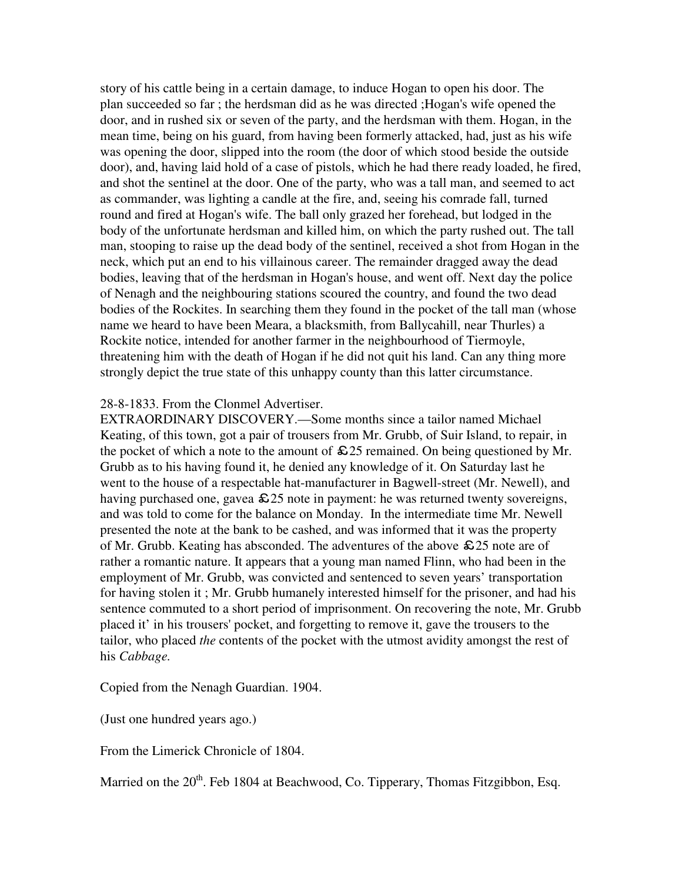story of his cattle being in a certain damage, to induce Hogan to open his door. The plan succeeded so far ; the herdsman did as he was directed ;Hogan's wife opened the door, and in rushed six or seven of the party, and the herdsman with them. Hogan, in the mean time, being on his guard, from having been formerly attacked, had, just as his wife was opening the door, slipped into the room (the door of which stood beside the outside door), and, having laid hold of a case of pistols, which he had there ready loaded, he fired, and shot the sentinel at the door. One of the party, who was a tall man, and seemed to act as commander, was lighting a candle at the fire, and, seeing his comrade fall, turned round and fired at Hogan's wife. The ball only grazed her forehead, but lodged in the body of the unfortunate herdsman and killed him, on which the party rushed out. The tall man, stooping to raise up the dead body of the sentinel, received a shot from Hogan in the neck, which put an end to his villainous career. The remainder dragged away the dead bodies, leaving that of the herdsman in Hogan's house, and went off. Next day the police of Nenagh and the neighbouring stations scoured the country, and found the two dead bodies of the Rockites. In searching them they found in the pocket of the tall man (whose name we heard to have been Meara, a blacksmith, from Ballycahill, near Thurles) a Rockite notice, intended for another farmer in the neighbourhood of Tiermoyle, threatening him with the death of Hogan if he did not quit his land. Can any thing more strongly depict the true state of this unhappy county than this latter circumstance.

## 28-8-1833. From the Clonmel Advertiser.

EXTRAORDINARY DISCOVERY.—Some months since a tailor named Michael Keating, of this town, got a pair of trousers from Mr. Grubb, of Suir Island, to repair, in the pocket of which a note to the amount of  $\epsilon$ 25 remained. On being questioned by Mr. Grubb as to his having found it, he denied any knowledge of it. On Saturday last he went to the house of a respectable hat-manufacturer in Bagwell-street (Mr. Newell), and having purchased one, gavea  $\& 25$  note in payment: he was returned twenty sovereigns, and was told to come for the balance on Monday. In the intermediate time Mr. Newell presented the note at the bank to be cashed, and was informed that it was the property of Mr. Grubb. Keating has absconded. The adventures of the above  $\epsilon$  25 note are of rather a romantic nature. It appears that a young man named Flinn, who had been in the employment of Mr. Grubb, was convicted and sentenced to seven years' transportation for having stolen it ; Mr. Grubb humanely interested himself for the prisoner, and had his sentence commuted to a short period of imprisonment. On recovering the note, Mr. Grubb placed it' in his trousers' pocket, and forgetting to remove it, gave the trousers to the tailor, who placed *the* contents of the pocket with the utmost avidity amongst the rest of his *Cabbage.*

Copied from the Nenagh Guardian. 1904.

(Just one hundred years ago.)

From the Limerick Chronicle of 1804.

Married on the 20<sup>th</sup>. Feb 1804 at Beachwood, Co. Tipperary, Thomas Fitzgibbon, Esq.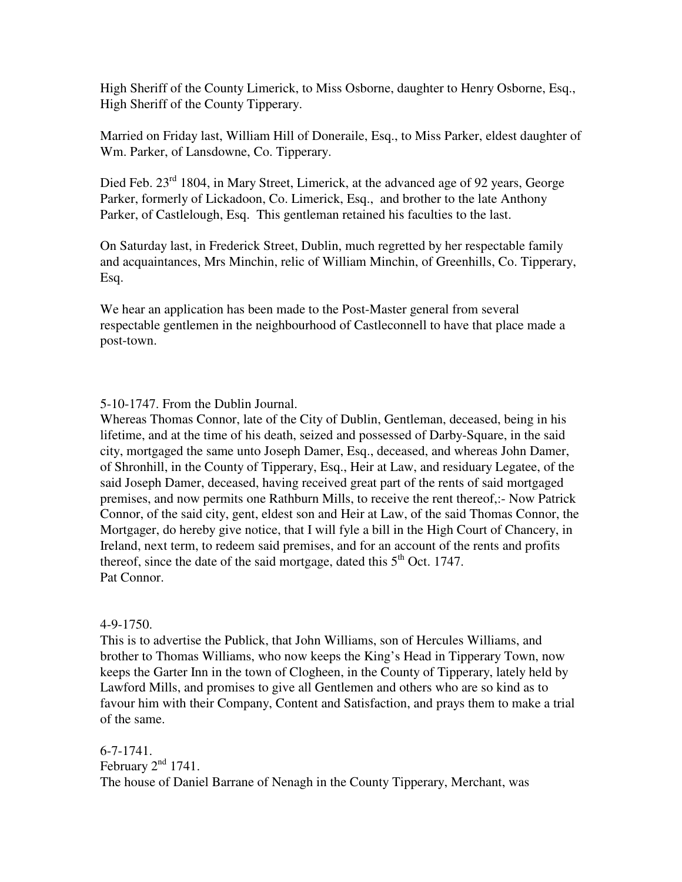High Sheriff of the County Limerick, to Miss Osborne, daughter to Henry Osborne, Esq., High Sheriff of the County Tipperary.

Married on Friday last, William Hill of Doneraile, Esq., to Miss Parker, eldest daughter of Wm. Parker, of Lansdowne, Co. Tipperary.

Died Feb. 23<sup>rd</sup> 1804, in Mary Street, Limerick, at the advanced age of 92 years, George Parker, formerly of Lickadoon, Co. Limerick, Esq., and brother to the late Anthony Parker, of Castlelough, Esq. This gentleman retained his faculties to the last.

On Saturday last, in Frederick Street, Dublin, much regretted by her respectable family and acquaintances, Mrs Minchin, relic of William Minchin, of Greenhills, Co. Tipperary, Esq.

We hear an application has been made to the Post-Master general from several respectable gentlemen in the neighbourhood of Castleconnell to have that place made a post-town.

# 5-10-1747. From the Dublin Journal.

Whereas Thomas Connor, late of the City of Dublin, Gentleman, deceased, being in his lifetime, and at the time of his death, seized and possessed of Darby-Square, in the said city, mortgaged the same unto Joseph Damer, Esq., deceased, and whereas John Damer, of Shronhill, in the County of Tipperary, Esq., Heir at Law, and residuary Legatee, of the said Joseph Damer, deceased, having received great part of the rents of said mortgaged premises, and now permits one Rathburn Mills, to receive the rent thereof,:- Now Patrick Connor, of the said city, gent, eldest son and Heir at Law, of the said Thomas Connor, the Mortgager, do hereby give notice, that I will fyle a bill in the High Court of Chancery, in Ireland, next term, to redeem said premises, and for an account of the rents and profits thereof, since the date of the said mortgage, dated this  $5<sup>th</sup>$  Oct. 1747. Pat Connor.

# 4-9-1750.

This is to advertise the Publick, that John Williams, son of Hercules Williams, and brother to Thomas Williams, who now keeps the King's Head in Tipperary Town, now keeps the Garter Inn in the town of Clogheen, in the County of Tipperary, lately held by Lawford Mills, and promises to give all Gentlemen and others who are so kind as to favour him with their Company, Content and Satisfaction, and prays them to make a trial of the same.

6-7-1741. February  $2<sup>nd</sup>$  1741. The house of Daniel Barrane of Nenagh in the County Tipperary, Merchant, was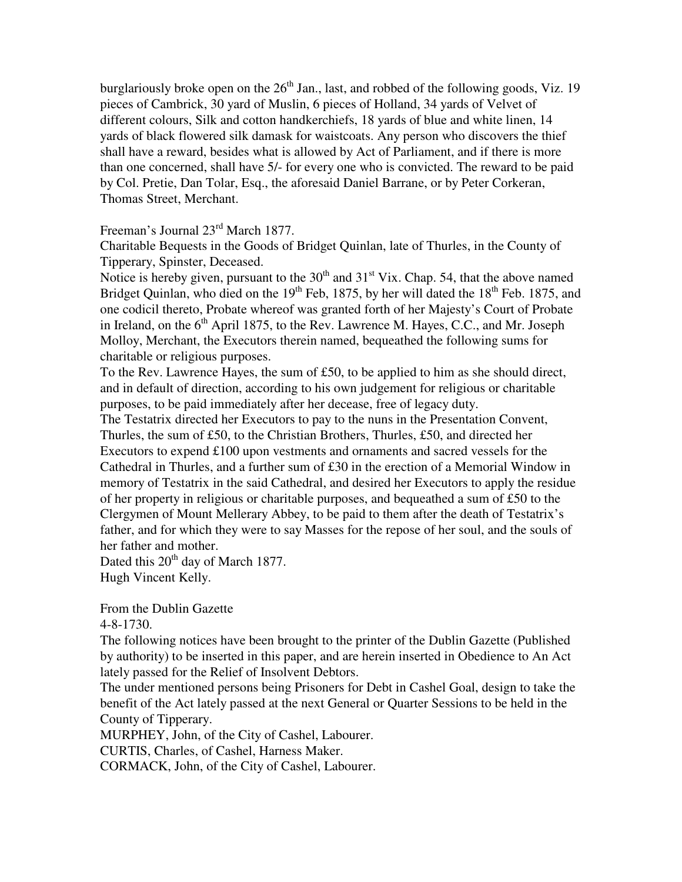burglariously broke open on the  $26<sup>th</sup>$  Jan., last, and robbed of the following goods, Viz. 19 pieces of Cambrick, 30 yard of Muslin, 6 pieces of Holland, 34 yards of Velvet of different colours, Silk and cotton handkerchiefs, 18 yards of blue and white linen, 14 yards of black flowered silk damask for waistcoats. Any person who discovers the thief shall have a reward, besides what is allowed by Act of Parliament, and if there is more than one concerned, shall have 5/- for every one who is convicted. The reward to be paid by Col. Pretie, Dan Tolar, Esq., the aforesaid Daniel Barrane, or by Peter Corkeran, Thomas Street, Merchant.

Freeman's Journal 23rd March 1877.

Charitable Bequests in the Goods of Bridget Quinlan, late of Thurles, in the County of Tipperary, Spinster, Deceased.

Notice is hereby given, pursuant to the  $30<sup>th</sup>$  and  $31<sup>st</sup>$  Vix. Chap. 54, that the above named Bridget Quinlan, who died on the  $19<sup>th</sup>$  Feb, 1875, by her will dated the  $18<sup>th</sup>$  Feb. 1875, and one codicil thereto, Probate whereof was granted forth of her Majesty's Court of Probate in Ireland, on the 6<sup>th</sup> April 1875, to the Rev. Lawrence M. Hayes, C.C., and Mr. Joseph Molloy, Merchant, the Executors therein named, bequeathed the following sums for charitable or religious purposes.

To the Rev. Lawrence Hayes, the sum of  $£50$ , to be applied to him as she should direct, and in default of direction, according to his own judgement for religious or charitable purposes, to be paid immediately after her decease, free of legacy duty.

The Testatrix directed her Executors to pay to the nuns in the Presentation Convent, Thurles, the sum of £50, to the Christian Brothers, Thurles, £50, and directed her Executors to expend £100 upon vestments and ornaments and sacred vessels for the Cathedral in Thurles, and a further sum of £30 in the erection of a Memorial Window in memory of Testatrix in the said Cathedral, and desired her Executors to apply the residue of her property in religious or charitable purposes, and bequeathed a sum of £50 to the Clergymen of Mount Mellerary Abbey, to be paid to them after the death of Testatrix's father, and for which they were to say Masses for the repose of her soul, and the souls of her father and mother.

Dated this  $20<sup>th</sup>$  day of March 1877.

Hugh Vincent Kelly.

From the Dublin Gazette

4-8-1730.

The following notices have been brought to the printer of the Dublin Gazette (Published by authority) to be inserted in this paper, and are herein inserted in Obedience to An Act lately passed for the Relief of Insolvent Debtors.

The under mentioned persons being Prisoners for Debt in Cashel Goal, design to take the benefit of the Act lately passed at the next General or Quarter Sessions to be held in the County of Tipperary.

MURPHEY, John, of the City of Cashel, Labourer.

CURTIS, Charles, of Cashel, Harness Maker.

CORMACK, John, of the City of Cashel, Labourer.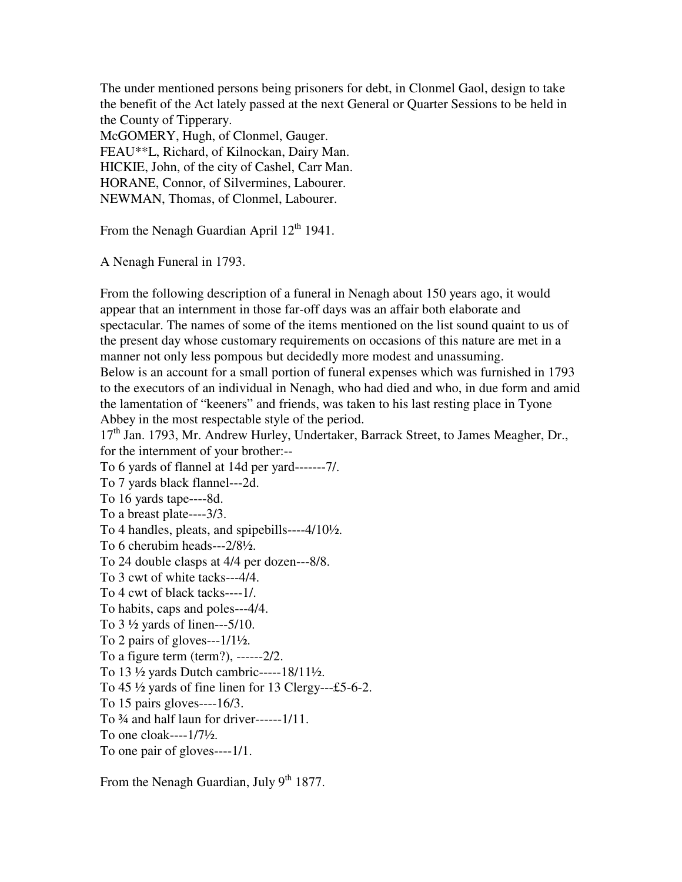The under mentioned persons being prisoners for debt, in Clonmel Gaol, design to take the benefit of the Act lately passed at the next General or Quarter Sessions to be held in the County of Tipperary.

McGOMERY, Hugh, of Clonmel, Gauger. FEAU\*\*L, Richard, of Kilnockan, Dairy Man. HICKIE, John, of the city of Cashel, Carr Man. HORANE, Connor, of Silvermines, Labourer. NEWMAN, Thomas, of Clonmel, Labourer.

From the Nenagh Guardian April  $12<sup>th</sup> 1941$ .

A Nenagh Funeral in 1793.

From the following description of a funeral in Nenagh about 150 years ago, it would appear that an internment in those far-off days was an affair both elaborate and spectacular. The names of some of the items mentioned on the list sound quaint to us of the present day whose customary requirements on occasions of this nature are met in a manner not only less pompous but decidedly more modest and unassuming. Below is an account for a small portion of funeral expenses which was furnished in 1793 to the executors of an individual in Nenagh, who had died and who, in due form and amid the lamentation of "keeners" and friends, was taken to his last resting place in Tyone Abbey in the most respectable style of the period.

17<sup>th</sup> Jan. 1793, Mr. Andrew Hurley, Undertaker, Barrack Street, to James Meagher, Dr., for the internment of your brother:--

To 6 yards of flannel at 14d per yard-------7/. To 7 yards black flannel---2d. To 16 yards tape----8d. To a breast plate----3/3. To 4 handles, pleats, and spipebills----4/10½. To 6 cherubim heads---2/8½. To 24 double clasps at 4/4 per dozen---8/8. To 3 cwt of white tacks---4/4. To 4 cwt of black tacks----1/. To habits, caps and poles---4/4. To  $3\frac{1}{2}$  yards of linen---5/10. To 2 pairs of gloves--- $1/1\frac{1}{2}$ . To a figure term (term?), ------2/2. To 13 ½ yards Dutch cambric-----18/11½. To  $45\frac{1}{2}$  yards of fine linen for 13 Clergy---£5-6-2. To 15 pairs gloves----16/3. To  $\frac{3}{4}$  and half laun for driver------1/11. To one cloak----1/7½. To one pair of gloves----1/1.

From the Nenagh Guardian, July  $9^{th}$  1877.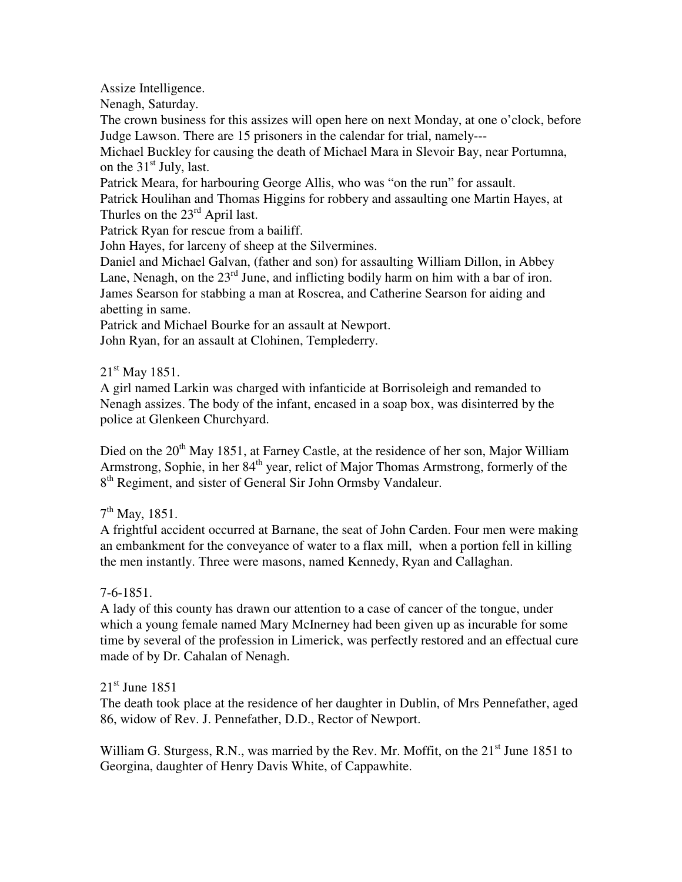Assize Intelligence.

Nenagh, Saturday.

The crown business for this assizes will open here on next Monday, at one o'clock, before Judge Lawson. There are 15 prisoners in the calendar for trial, namely---

Michael Buckley for causing the death of Michael Mara in Slevoir Bay, near Portumna, on the  $31<sup>st</sup>$  July, last.

Patrick Meara, for harbouring George Allis, who was "on the run" for assault.

Patrick Houlihan and Thomas Higgins for robbery and assaulting one Martin Hayes, at Thurles on the  $23^{\text{rd}}$  April last.

Patrick Ryan for rescue from a bailiff.

John Hayes, for larceny of sheep at the Silvermines.

Daniel and Michael Galvan, (father and son) for assaulting William Dillon, in Abbey Lane, Nenagh, on the  $23<sup>rd</sup>$  June, and inflicting bodily harm on him with a bar of iron. James Searson for stabbing a man at Roscrea, and Catherine Searson for aiding and abetting in same.

Patrick and Michael Bourke for an assault at Newport.

John Ryan, for an assault at Clohinen, Templederry.

 $21^{\text{st}}$  May 1851.

A girl named Larkin was charged with infanticide at Borrisoleigh and remanded to Nenagh assizes. The body of the infant, encased in a soap box, was disinterred by the police at Glenkeen Churchyard.

Died on the  $20<sup>th</sup>$  May 1851, at Farney Castle, at the residence of her son, Major William Armstrong, Sophie, in her 84<sup>th</sup> year, relict of Major Thomas Armstrong, formerly of the 8<sup>th</sup> Regiment, and sister of General Sir John Ormsby Vandaleur.

7<sup>th</sup> May, 1851.

A frightful accident occurred at Barnane, the seat of John Carden. Four men were making an embankment for the conveyance of water to a flax mill, when a portion fell in killing the men instantly. Three were masons, named Kennedy, Ryan and Callaghan.

# 7-6-1851.

A lady of this county has drawn our attention to a case of cancer of the tongue, under which a young female named Mary McInerney had been given up as incurable for some time by several of the profession in Limerick, was perfectly restored and an effectual cure made of by Dr. Cahalan of Nenagh.

 $21<sup>st</sup>$  June 1851

The death took place at the residence of her daughter in Dublin, of Mrs Pennefather, aged 86, widow of Rev. J. Pennefather, D.D., Rector of Newport.

William G. Sturgess, R.N., was married by the Rev. Mr. Moffit, on the 21<sup>st</sup> June 1851 to Georgina, daughter of Henry Davis White, of Cappawhite.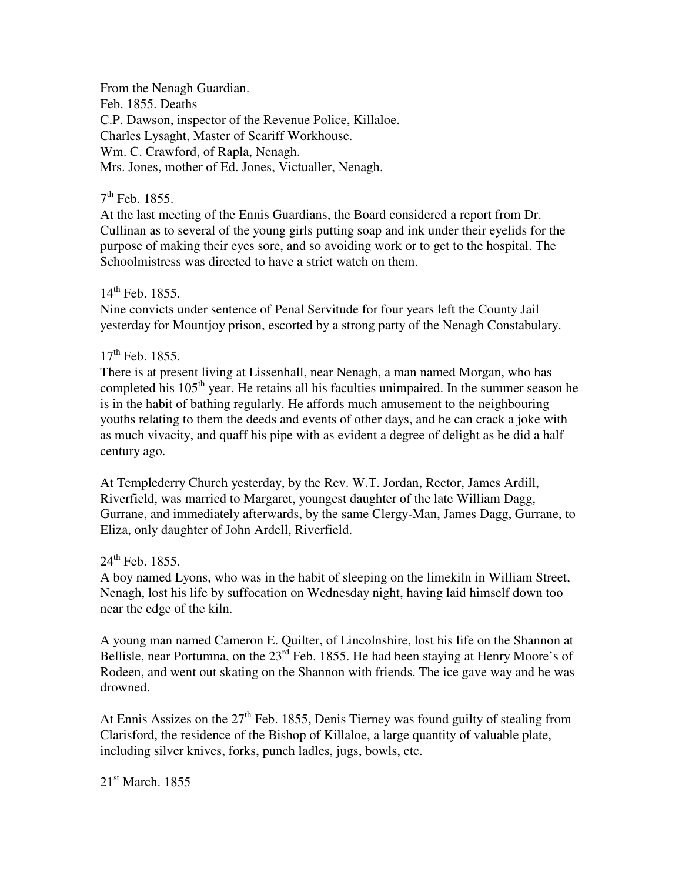From the Nenagh Guardian. Feb. 1855. Deaths C.P. Dawson, inspector of the Revenue Police, Killaloe. Charles Lysaght, Master of Scariff Workhouse. Wm. C. Crawford, of Rapla, Nenagh. Mrs. Jones, mother of Ed. Jones, Victualler, Nenagh.

# 7<sup>th</sup> Feb. 1855.

At the last meeting of the Ennis Guardians, the Board considered a report from Dr. Cullinan as to several of the young girls putting soap and ink under their eyelids for the purpose of making their eyes sore, and so avoiding work or to get to the hospital. The Schoolmistress was directed to have a strict watch on them.

# $14^{th}$  Feb. 1855.

Nine convicts under sentence of Penal Servitude for four years left the County Jail yesterday for Mountjoy prison, escorted by a strong party of the Nenagh Constabulary.

# $17^{th}$  Feb. 1855.

There is at present living at Lissenhall, near Nenagh, a man named Morgan, who has completed his  $105<sup>th</sup>$  year. He retains all his faculties unimpaired. In the summer season he is in the habit of bathing regularly. He affords much amusement to the neighbouring youths relating to them the deeds and events of other days, and he can crack a joke with as much vivacity, and quaff his pipe with as evident a degree of delight as he did a half century ago.

At Templederry Church yesterday, by the Rev. W.T. Jordan, Rector, James Ardill, Riverfield, was married to Margaret, youngest daughter of the late William Dagg, Gurrane, and immediately afterwards, by the same Clergy-Man, James Dagg, Gurrane, to Eliza, only daughter of John Ardell, Riverfield.

# $24^{th}$  Feb. 1855.

A boy named Lyons, who was in the habit of sleeping on the limekiln in William Street, Nenagh, lost his life by suffocation on Wednesday night, having laid himself down too near the edge of the kiln.

A young man named Cameron E. Quilter, of Lincolnshire, lost his life on the Shannon at Bellisle, near Portumna, on the 23<sup>rd</sup> Feb. 1855. He had been staying at Henry Moore's of Rodeen, and went out skating on the Shannon with friends. The ice gave way and he was drowned.

At Ennis Assizes on the  $27<sup>th</sup>$  Feb. 1855, Denis Tierney was found guilty of stealing from Clarisford, the residence of the Bishop of Killaloe, a large quantity of valuable plate, including silver knives, forks, punch ladles, jugs, bowls, etc.

21<sup>st</sup> March. 1855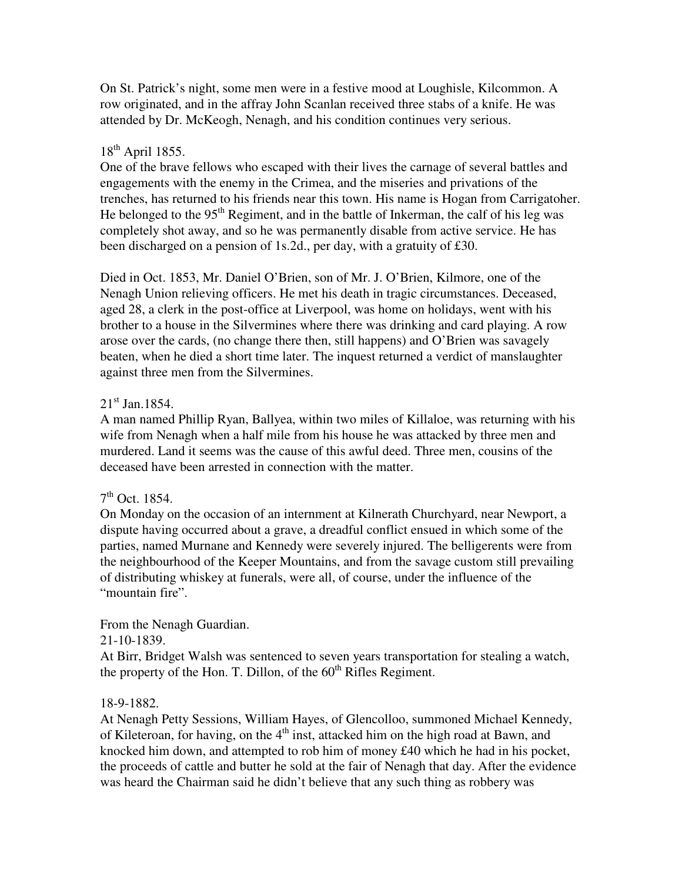On St. Patrick's night, some men were in a festive mood at Loughisle, Kilcommon. A row originated, and in the affray John Scanlan received three stabs of a knife. He was attended by Dr. McKeogh, Nenagh, and his condition continues very serious.

# $18^{th}$  April 1855.

One of the brave fellows who escaped with their lives the carnage of several battles and engagements with the enemy in the Crimea, and the miseries and privations of the trenches, has returned to his friends near this town. His name is Hogan from Carrigatoher. He belonged to the 95<sup>th</sup> Regiment, and in the battle of Inkerman, the calf of his leg was completely shot away, and so he was permanently disable from active service. He has been discharged on a pension of 1s.2d., per day, with a gratuity of £30.

Died in Oct. 1853, Mr. Daniel O'Brien, son of Mr. J. O'Brien, Kilmore, one of the Nenagh Union relieving officers. He met his death in tragic circumstances. Deceased, aged 28, a clerk in the post-office at Liverpool, was home on holidays, went with his brother to a house in the Silvermines where there was drinking and card playing. A row arose over the cards, (no change there then, still happens) and O'Brien was savagely beaten, when he died a short time later. The inquest returned a verdict of manslaughter against three men from the Silvermines.

# $21<sup>st</sup>$  Jan. 1854.

A man named Phillip Ryan, Ballyea, within two miles of Killaloe, was returning with his wife from Nenagh when a half mile from his house he was attacked by three men and murdered. Land it seems was the cause of this awful deed. Three men, cousins of the deceased have been arrested in connection with the matter.

# 7<sup>th</sup> Oct. 1854.

On Monday on the occasion of an internment at Kilnerath Churchyard, near Newport, a dispute having occurred about a grave, a dreadful conflict ensued in which some of the parties, named Murnane and Kennedy were severely injured. The belligerents were from the neighbourhood of the Keeper Mountains, and from the savage custom still prevailing of distributing whiskey at funerals, were all, of course, under the influence of the "mountain fire".

# From the Nenagh Guardian.

21-10-1839.

At Birr, Bridget Walsh was sentenced to seven years transportation for stealing a watch, the property of the Hon. T. Dillon, of the  $60<sup>th</sup>$  Rifles Regiment.

# 18-9-1882.

At Nenagh Petty Sessions, William Hayes, of Glencolloo, summoned Michael Kennedy, of Kileteroan, for having, on the  $4<sup>th</sup>$  inst, attacked him on the high road at Bawn, and knocked him down, and attempted to rob him of money £40 which he had in his pocket, the proceeds of cattle and butter he sold at the fair of Nenagh that day. After the evidence was heard the Chairman said he didn't believe that any such thing as robbery was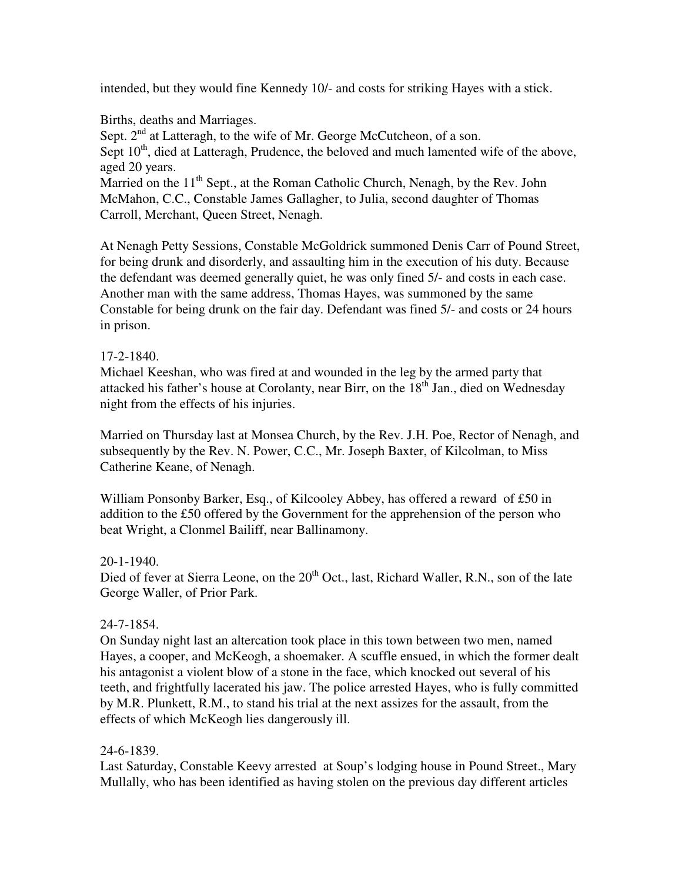intended, but they would fine Kennedy 10/- and costs for striking Hayes with a stick.

Births, deaths and Marriages.

Sept. 2<sup>nd</sup> at Latteragh, to the wife of Mr. George McCutcheon, of a son. Sept  $10<sup>th</sup>$ , died at Latteragh, Prudence, the beloved and much lamented wife of the above, aged 20 years.

Married on the  $11<sup>th</sup>$  Sept., at the Roman Catholic Church, Nenagh, by the Rev. John McMahon, C.C., Constable James Gallagher, to Julia, second daughter of Thomas Carroll, Merchant, Queen Street, Nenagh.

At Nenagh Petty Sessions, Constable McGoldrick summoned Denis Carr of Pound Street, for being drunk and disorderly, and assaulting him in the execution of his duty. Because the defendant was deemed generally quiet, he was only fined 5/- and costs in each case. Another man with the same address, Thomas Hayes, was summoned by the same Constable for being drunk on the fair day. Defendant was fined 5/- and costs or 24 hours in prison.

# 17-2-1840.

Michael Keeshan, who was fired at and wounded in the leg by the armed party that attacked his father's house at Corolanty, near Birr, on the  $18<sup>th</sup>$  Jan., died on Wednesday night from the effects of his injuries.

Married on Thursday last at Monsea Church, by the Rev. J.H. Poe, Rector of Nenagh, and subsequently by the Rev. N. Power, C.C., Mr. Joseph Baxter, of Kilcolman, to Miss Catherine Keane, of Nenagh.

William Ponsonby Barker, Esq., of Kilcooley Abbey, has offered a reward of £50 in addition to the £50 offered by the Government for the apprehension of the person who beat Wright, a Clonmel Bailiff, near Ballinamony.

# 20-1-1940.

Died of fever at Sierra Leone, on the  $20<sup>th</sup>$  Oct., last, Richard Waller, R.N., son of the late George Waller, of Prior Park.

# 24-7-1854.

On Sunday night last an altercation took place in this town between two men, named Hayes, a cooper, and McKeogh, a shoemaker. A scuffle ensued, in which the former dealt his antagonist a violent blow of a stone in the face, which knocked out several of his teeth, and frightfully lacerated his jaw. The police arrested Hayes, who is fully committed by M.R. Plunkett, R.M., to stand his trial at the next assizes for the assault, from the effects of which McKeogh lies dangerously ill.

# 24-6-1839.

Last Saturday, Constable Keevy arrested at Soup's lodging house in Pound Street., Mary Mullally, who has been identified as having stolen on the previous day different articles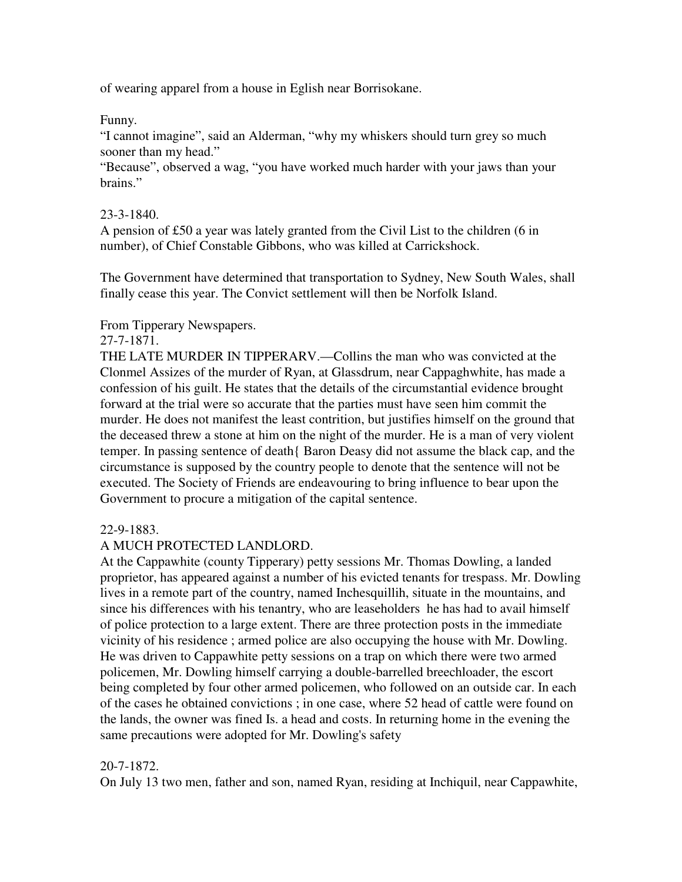of wearing apparel from a house in Eglish near Borrisokane.

# Funny.

"I cannot imagine", said an Alderman, "why my whiskers should turn grey so much sooner than my head."

"Because", observed a wag, "you have worked much harder with your jaws than your brains."

# 23-3-1840.

A pension of £50 a year was lately granted from the Civil List to the children (6 in number), of Chief Constable Gibbons, who was killed at Carrickshock.

The Government have determined that transportation to Sydney, New South Wales, shall finally cease this year. The Convict settlement will then be Norfolk Island.

# From Tipperary Newspapers.

# 27-7-1871.

THE LATE MURDER IN TIPPERARV.—Collins the man who was convicted at the Clonmel Assizes of the murder of Ryan, at Glassdrum, near Cappaghwhite, has made a confession of his guilt. He states that the details of the circumstantial evidence brought forward at the trial were so accurate that the parties must have seen him commit the murder. He does not manifest the least contrition, but justifies himself on the ground that the deceased threw a stone at him on the night of the murder. He is a man of very violent temper. In passing sentence of death{ Baron Deasy did not assume the black cap, and the circumstance is supposed by the country people to denote that the sentence will not be executed. The Society of Friends are endeavouring to bring influence to bear upon the Government to procure a mitigation of the capital sentence.

# 22-9-1883.

# A MUCH PROTECTED LANDLORD.

At the Cappawhite (county Tipperary) petty sessions Mr. Thomas Dowling, a landed proprietor, has appeared against a number of his evicted tenants for trespass. Mr. Dowling lives in a remote part of the country, named Inchesquillih, situate in the mountains, and since his differences with his tenantry, who are leaseholders he has had to avail himself of police protection to a large extent. There are three protection posts in the immediate vicinity of his residence ; armed police are also occupying the house with Mr. Dowling. He was driven to Cappawhite petty sessions on a trap on which there were two armed policemen, Mr. Dowling himself carrying a double-barrelled breechloader, the escort being completed by four other armed policemen, who followed on an outside car. In each of the cases he obtained convictions ; in one case, where 52 head of cattle were found on the lands, the owner was fined Is. a head and costs. In returning home in the evening the same precautions were adopted for Mr. Dowling's safety

# 20-7-1872.

On July 13 two men, father and son, named Ryan, residing at Inchiquil, near Cappawhite,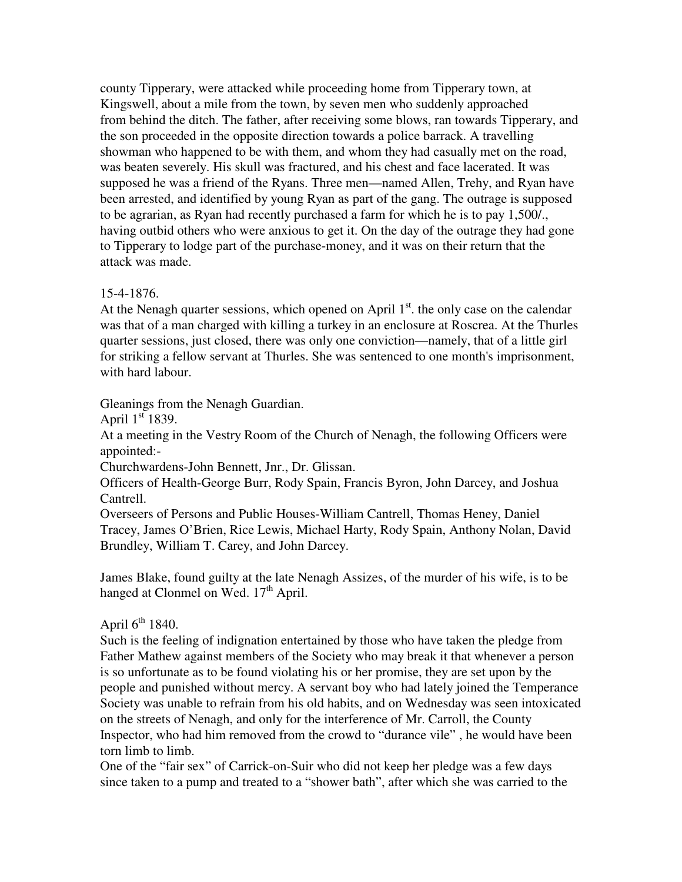county Tipperary, were attacked while proceeding home from Tipperary town, at Kingswell, about a mile from the town, by seven men who suddenly approached from behind the ditch. The father, after receiving some blows, ran towards Tipperary, and the son proceeded in the opposite direction towards a police barrack. A travelling showman who happened to be with them, and whom they had casually met on the road, was beaten severely. His skull was fractured, and his chest and face lacerated. It was supposed he was a friend of the Ryans. Three men—named Allen, Trehy, and Ryan have been arrested, and identified by young Ryan as part of the gang. The outrage is supposed to be agrarian, as Ryan had recently purchased a farm for which he is to pay 1,500/., having outbid others who were anxious to get it. On the day of the outrage they had gone to Tipperary to lodge part of the purchase-money, and it was on their return that the attack was made.

# 15-4-1876.

At the Nenagh quarter sessions, which opened on April  $1<sup>st</sup>$ , the only case on the calendar was that of a man charged with killing a turkey in an enclosure at Roscrea. At the Thurles quarter sessions, just closed, there was only one conviction—namely, that of a little girl for striking a fellow servant at Thurles. She was sentenced to one month's imprisonment, with hard labour.

# Gleanings from the Nenagh Guardian.

April  $1<sup>st</sup> 1839$ .

At a meeting in the Vestry Room of the Church of Nenagh, the following Officers were appointed:-

Churchwardens-John Bennett, Jnr., Dr. Glissan.

Officers of Health-George Burr, Rody Spain, Francis Byron, John Darcey, and Joshua Cantrell.

Overseers of Persons and Public Houses-William Cantrell, Thomas Heney, Daniel Tracey, James O'Brien, Rice Lewis, Michael Harty, Rody Spain, Anthony Nolan, David Brundley, William T. Carey, and John Darcey.

James Blake, found guilty at the late Nenagh Assizes, of the murder of his wife, is to be hanged at Clonmel on Wed.  $17<sup>th</sup>$  April.

# April  $6<sup>th</sup>$  1840.

Such is the feeling of indignation entertained by those who have taken the pledge from Father Mathew against members of the Society who may break it that whenever a person is so unfortunate as to be found violating his or her promise, they are set upon by the people and punished without mercy. A servant boy who had lately joined the Temperance Society was unable to refrain from his old habits, and on Wednesday was seen intoxicated on the streets of Nenagh, and only for the interference of Mr. Carroll, the County Inspector, who had him removed from the crowd to "durance vile" , he would have been torn limb to limb.

One of the "fair sex" of Carrick-on-Suir who did not keep her pledge was a few days since taken to a pump and treated to a "shower bath", after which she was carried to the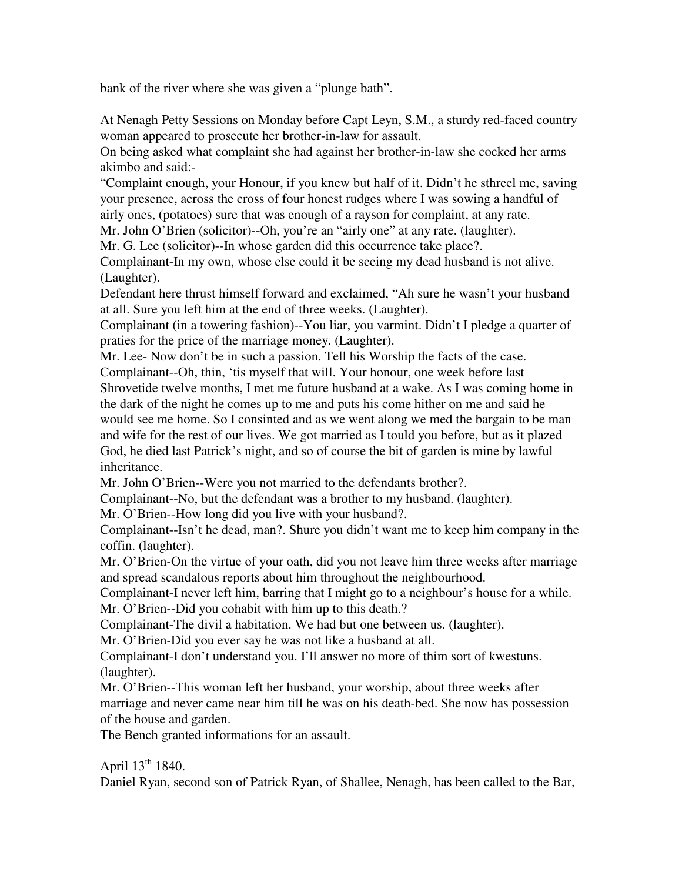bank of the river where she was given a "plunge bath".

At Nenagh Petty Sessions on Monday before Capt Leyn, S.M., a sturdy red-faced country woman appeared to prosecute her brother-in-law for assault.

On being asked what complaint she had against her brother-in-law she cocked her arms akimbo and said:-

"Complaint enough, your Honour, if you knew but half of it. Didn't he sthreel me, saving your presence, across the cross of four honest rudges where I was sowing a handful of airly ones, (potatoes) sure that was enough of a rayson for complaint, at any rate.

Mr. John O'Brien (solicitor)--Oh, you're an "airly one" at any rate. (laughter).

Mr. G. Lee (solicitor)--In whose garden did this occurrence take place?.

Complainant-In my own, whose else could it be seeing my dead husband is not alive. (Laughter).

Defendant here thrust himself forward and exclaimed, "Ah sure he wasn't your husband at all. Sure you left him at the end of three weeks. (Laughter).

Complainant (in a towering fashion)--You liar, you varmint. Didn't I pledge a quarter of praties for the price of the marriage money. (Laughter).

Mr. Lee- Now don't be in such a passion. Tell his Worship the facts of the case.

Complainant--Oh, thin, 'tis myself that will. Your honour, one week before last Shrovetide twelve months, I met me future husband at a wake. As I was coming home in the dark of the night he comes up to me and puts his come hither on me and said he

would see me home. So I consinted and as we went along we med the bargain to be man and wife for the rest of our lives. We got married as I tould you before, but as it plazed God, he died last Patrick's night, and so of course the bit of garden is mine by lawful inheritance.

Mr. John O'Brien--Were you not married to the defendants brother?.

Complainant--No, but the defendant was a brother to my husband. (laughter).

Mr. O'Brien--How long did you live with your husband?.

Complainant--Isn't he dead, man?. Shure you didn't want me to keep him company in the coffin. (laughter).

Mr. O'Brien-On the virtue of your oath, did you not leave him three weeks after marriage and spread scandalous reports about him throughout the neighbourhood.

Complainant-I never left him, barring that I might go to a neighbour's house for a while. Mr. O'Brien--Did you cohabit with him up to this death.?

Complainant-The divil a habitation. We had but one between us. (laughter).

Mr. O'Brien-Did you ever say he was not like a husband at all.

Complainant-I don't understand you. I'll answer no more of thim sort of kwestuns. (laughter).

Mr. O'Brien--This woman left her husband, your worship, about three weeks after marriage and never came near him till he was on his death-bed. She now has possession of the house and garden.

The Bench granted informations for an assault.

April  $13^{th}$  1840.

Daniel Ryan, second son of Patrick Ryan, of Shallee, Nenagh, has been called to the Bar,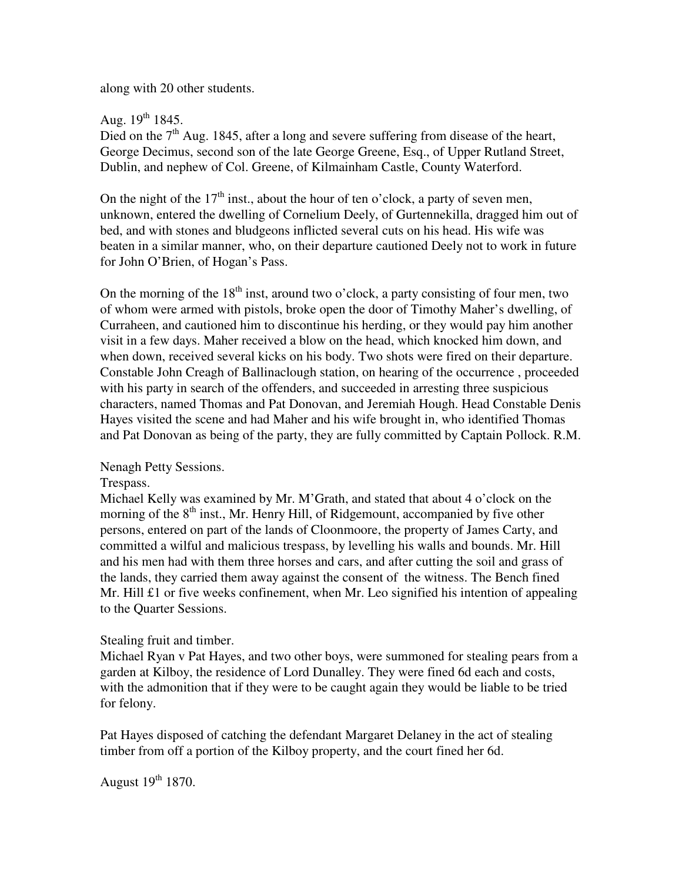along with 20 other students.

# Aug.  $19^{th}$  1845.

Died on the  $7<sup>th</sup>$  Aug. 1845, after a long and severe suffering from disease of the heart, George Decimus, second son of the late George Greene, Esq., of Upper Rutland Street, Dublin, and nephew of Col. Greene, of Kilmainham Castle, County Waterford.

On the night of the  $17<sup>th</sup>$  inst., about the hour of ten o'clock, a party of seven men, unknown, entered the dwelling of Cornelium Deely, of Gurtennekilla, dragged him out of bed, and with stones and bludgeons inflicted several cuts on his head. His wife was beaten in a similar manner, who, on their departure cautioned Deely not to work in future for John O'Brien, of Hogan's Pass.

On the morning of the  $18<sup>th</sup>$  inst, around two o'clock, a party consisting of four men, two of whom were armed with pistols, broke open the door of Timothy Maher's dwelling, of Curraheen, and cautioned him to discontinue his herding, or they would pay him another visit in a few days. Maher received a blow on the head, which knocked him down, and when down, received several kicks on his body. Two shots were fired on their departure. Constable John Creagh of Ballinaclough station, on hearing of the occurrence , proceeded with his party in search of the offenders, and succeeded in arresting three suspicious characters, named Thomas and Pat Donovan, and Jeremiah Hough. Head Constable Denis Hayes visited the scene and had Maher and his wife brought in, who identified Thomas and Pat Donovan as being of the party, they are fully committed by Captain Pollock. R.M.

# Nenagh Petty Sessions.

### Trespass.

Michael Kelly was examined by Mr. M'Grath, and stated that about 4 o'clock on the morning of the  $8<sup>th</sup>$  inst., Mr. Henry Hill, of Ridgemount, accompanied by five other persons, entered on part of the lands of Cloonmoore, the property of James Carty, and committed a wilful and malicious trespass, by levelling his walls and bounds. Mr. Hill and his men had with them three horses and cars, and after cutting the soil and grass of the lands, they carried them away against the consent of the witness. The Bench fined Mr. Hill £1 or five weeks confinement, when Mr. Leo signified his intention of appealing to the Quarter Sessions.

# Stealing fruit and timber.

Michael Ryan v Pat Hayes, and two other boys, were summoned for stealing pears from a garden at Kilboy, the residence of Lord Dunalley. They were fined 6d each and costs, with the admonition that if they were to be caught again they would be liable to be tried for felony.

Pat Hayes disposed of catching the defendant Margaret Delaney in the act of stealing timber from off a portion of the Kilboy property, and the court fined her 6d.

August  $19^{th}$  1870.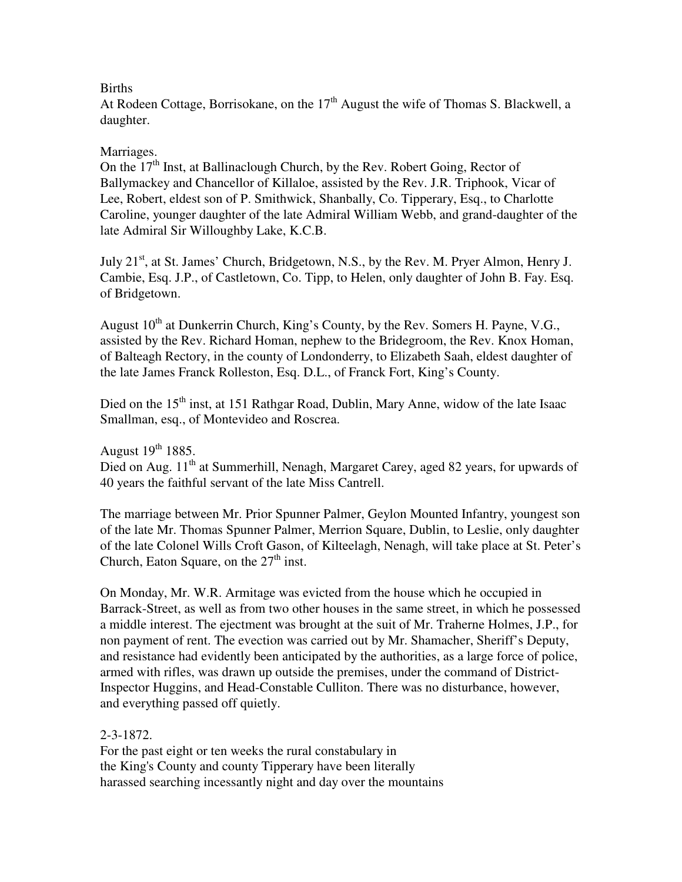# Births

At Rodeen Cottage, Borrisokane, on the 17<sup>th</sup> August the wife of Thomas S. Blackwell, a daughter.

# Marriages.

On the  $17<sup>th</sup>$  Inst, at Ballinaclough Church, by the Rev. Robert Going, Rector of Ballymackey and Chancellor of Killaloe, assisted by the Rev. J.R. Triphook, Vicar of Lee, Robert, eldest son of P. Smithwick, Shanbally, Co. Tipperary, Esq., to Charlotte Caroline, younger daughter of the late Admiral William Webb, and grand-daughter of the late Admiral Sir Willoughby Lake, K.C.B.

July  $21<sup>st</sup>$ , at St. James' Church, Bridgetown, N.S., by the Rev. M. Pryer Almon, Henry J. Cambie, Esq. J.P., of Castletown, Co. Tipp, to Helen, only daughter of John B. Fay. Esq. of Bridgetown.

August  $10^{th}$  at Dunkerrin Church, King's County, by the Rev. Somers H. Payne, V.G., assisted by the Rev. Richard Homan, nephew to the Bridegroom, the Rev. Knox Homan, of Balteagh Rectory, in the county of Londonderry, to Elizabeth Saah, eldest daughter of the late James Franck Rolleston, Esq. D.L., of Franck Fort, King's County.

Died on the  $15<sup>th</sup>$  inst, at 151 Rathgar Road, Dublin, Mary Anne, widow of the late Isaac Smallman, esq., of Montevideo and Roscrea.

August  $19^{th}$  1885.

Died on Aug. 11<sup>th</sup> at Summerhill, Nenagh, Margaret Carey, aged 82 years, for upwards of 40 years the faithful servant of the late Miss Cantrell.

The marriage between Mr. Prior Spunner Palmer, Geylon Mounted Infantry, youngest son of the late Mr. Thomas Spunner Palmer, Merrion Square, Dublin, to Leslie, only daughter of the late Colonel Wills Croft Gason, of Kilteelagh, Nenagh, will take place at St. Peter's Church, Eaton Square, on the  $27<sup>th</sup>$  inst.

On Monday, Mr. W.R. Armitage was evicted from the house which he occupied in Barrack-Street, as well as from two other houses in the same street, in which he possessed a middle interest. The ejectment was brought at the suit of Mr. Traherne Holmes, J.P., for non payment of rent. The evection was carried out by Mr. Shamacher, Sheriff's Deputy, and resistance had evidently been anticipated by the authorities, as a large force of police, armed with rifles, was drawn up outside the premises, under the command of District-Inspector Huggins, and Head-Constable Culliton. There was no disturbance, however, and everything passed off quietly.

# 2-3-1872.

For the past eight or ten weeks the rural constabulary in the King's County and county Tipperary have been literally harassed searching incessantly night and day over the mountains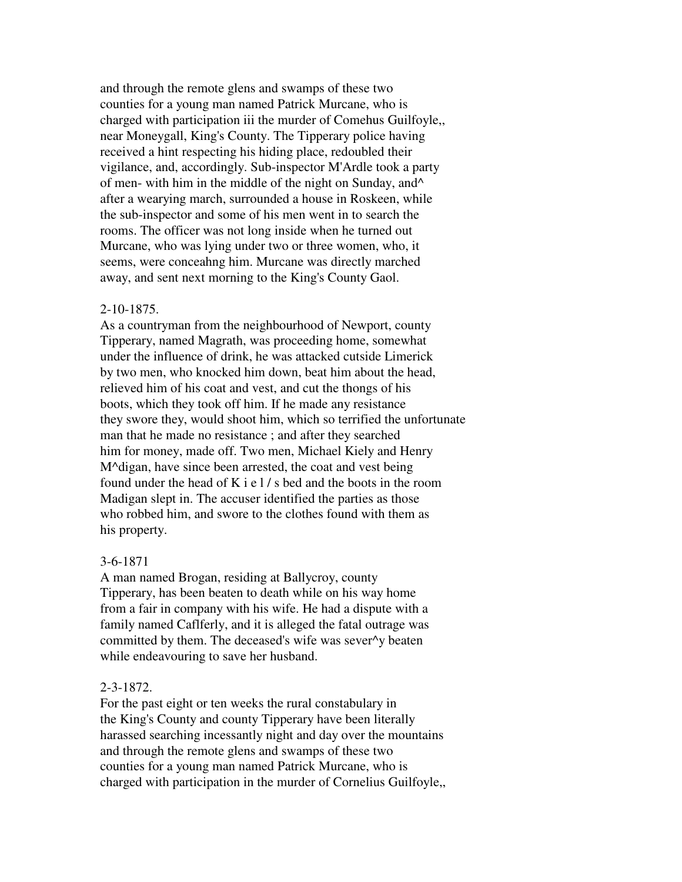and through the remote glens and swamps of these two counties for a young man named Patrick Murcane, who is charged with participation iii the murder of Comehus Guilfoyle,, near Moneygall, King's County. The Tipperary police having received a hint respecting his hiding place, redoubled their vigilance, and, accordingly. Sub-inspector M'Ardle took a party of men- with him in the middle of the night on Sunday, and^ after a wearying march, surrounded a house in Roskeen, while the sub-inspector and some of his men went in to search the rooms. The officer was not long inside when he turned out Murcane, who was lying under two or three women, who, it seems, were conceahng him. Murcane was directly marched away, and sent next morning to the King's County Gaol.

#### 2-10-1875.

As a countryman from the neighbourhood of Newport, county Tipperary, named Magrath, was proceeding home, somewhat under the influence of drink, he was attacked cutside Limerick by two men, who knocked him down, beat him about the head, relieved him of his coat and vest, and cut the thongs of his boots, which they took off him. If he made any resistance they swore they, would shoot him, which so terrified the unfortunate man that he made no resistance ; and after they searched him for money, made off. Two men, Michael Kiely and Henry M^digan, have since been arrested, the coat and vest being found under the head of K i e l / s bed and the boots in the room Madigan slept in. The accuser identified the parties as those who robbed him, and swore to the clothes found with them as his property.

### 3-6-1871

A man named Brogan, residing at Ballycroy, county Tipperary, has been beaten to death while on his way home from a fair in company with his wife. He had a dispute with a family named Caflferly, and it is alleged the fatal outrage was committed by them. The deceased's wife was sever^y beaten while endeavouring to save her husband.

## 2-3-1872.

For the past eight or ten weeks the rural constabulary in the King's County and county Tipperary have been literally harassed searching incessantly night and day over the mountains and through the remote glens and swamps of these two counties for a young man named Patrick Murcane, who is charged with participation in the murder of Cornelius Guilfoyle,,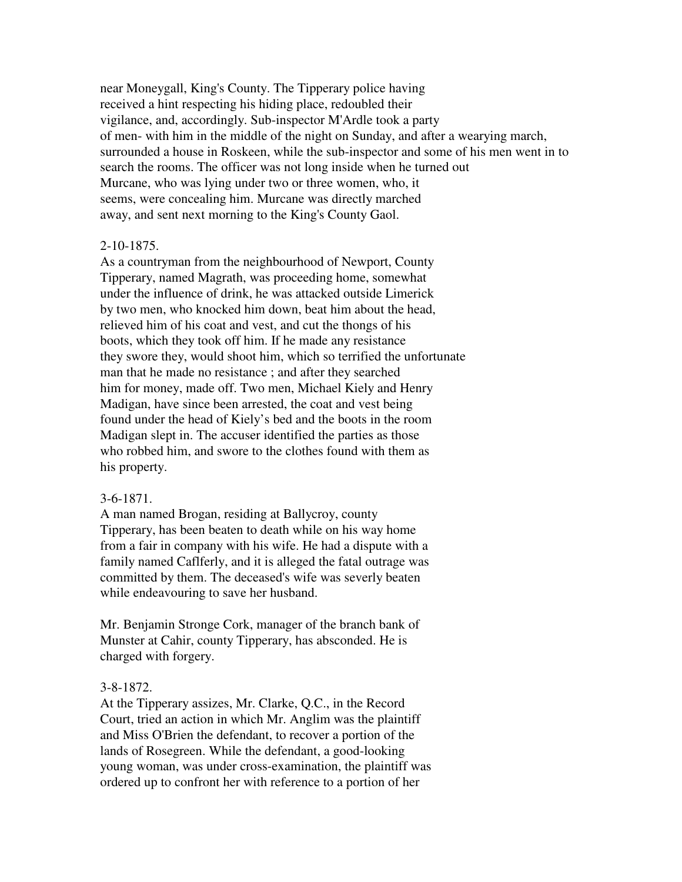near Moneygall, King's County. The Tipperary police having received a hint respecting his hiding place, redoubled their vigilance, and, accordingly. Sub-inspector M'Ardle took a party of men- with him in the middle of the night on Sunday, and after a wearying march, surrounded a house in Roskeen, while the sub-inspector and some of his men went in to search the rooms. The officer was not long inside when he turned out Murcane, who was lying under two or three women, who, it seems, were concealing him. Murcane was directly marched away, and sent next morning to the King's County Gaol.

### 2-10-1875.

As a countryman from the neighbourhood of Newport, County Tipperary, named Magrath, was proceeding home, somewhat under the influence of drink, he was attacked outside Limerick by two men, who knocked him down, beat him about the head, relieved him of his coat and vest, and cut the thongs of his boots, which they took off him. If he made any resistance they swore they, would shoot him, which so terrified the unfortunate man that he made no resistance ; and after they searched him for money, made off. Two men, Michael Kiely and Henry Madigan, have since been arrested, the coat and vest being found under the head of Kiely's bed and the boots in the room Madigan slept in. The accuser identified the parties as those who robbed him, and swore to the clothes found with them as his property.

### 3-6-1871.

A man named Brogan, residing at Ballycroy, county Tipperary, has been beaten to death while on his way home from a fair in company with his wife. He had a dispute with a family named Caflferly, and it is alleged the fatal outrage was committed by them. The deceased's wife was severly beaten while endeavouring to save her husband.

Mr. Benjamin Stronge Cork, manager of the branch bank of Munster at Cahir, county Tipperary, has absconded. He is charged with forgery.

## 3-8-1872.

At the Tipperary assizes, Mr. Clarke, Q.C., in the Record Court, tried an action in which Mr. Anglim was the plaintiff and Miss O'Brien the defendant, to recover a portion of the lands of Rosegreen. While the defendant, a good-looking young woman, was under cross-examination, the plaintiff was ordered up to confront her with reference to a portion of her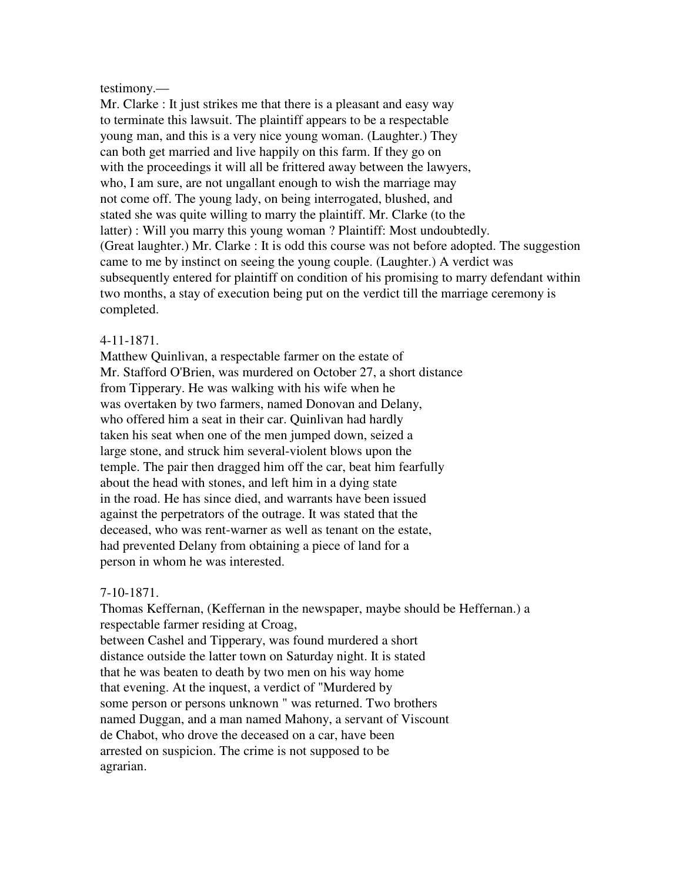#### testimony.—

Mr. Clarke : It just strikes me that there is a pleasant and easy way to terminate this lawsuit. The plaintiff appears to be a respectable young man, and this is a very nice young woman. (Laughter.) They can both get married and live happily on this farm. If they go on with the proceedings it will all be frittered away between the lawyers, who, I am sure, are not ungallant enough to wish the marriage may not come off. The young lady, on being interrogated, blushed, and stated she was quite willing to marry the plaintiff. Mr. Clarke (to the latter) : Will you marry this young woman ? Plaintiff: Most undoubtedly. (Great laughter.) Mr. Clarke : It is odd this course was not before adopted. The suggestion came to me by instinct on seeing the young couple. (Laughter.) A verdict was subsequently entered for plaintiff on condition of his promising to marry defendant within two months, a stay of execution being put on the verdict till the marriage ceremony is completed.

#### 4-11-1871.

Matthew Quinlivan, a respectable farmer on the estate of Mr. Stafford O'Brien, was murdered on October 27, a short distance from Tipperary. He was walking with his wife when he was overtaken by two farmers, named Donovan and Delany, who offered him a seat in their car. Quinlivan had hardly taken his seat when one of the men jumped down, seized a large stone, and struck him several-violent blows upon the temple. The pair then dragged him off the car, beat him fearfully about the head with stones, and left him in a dying state in the road. He has since died, and warrants have been issued against the perpetrators of the outrage. It was stated that the deceased, who was rent-warner as well as tenant on the estate, had prevented Delany from obtaining a piece of land for a person in whom he was interested.

### 7-10-1871.

Thomas Keffernan, (Keffernan in the newspaper, maybe should be Heffernan.) a respectable farmer residing at Croag, between Cashel and Tipperary, was found murdered a short distance outside the latter town on Saturday night. It is stated that he was beaten to death by two men on his way home that evening. At the inquest, a verdict of "Murdered by some person or persons unknown " was returned. Two brothers named Duggan, and a man named Mahony, a servant of Viscount de Chabot, who drove the deceased on a car, have been arrested on suspicion. The crime is not supposed to be agrarian.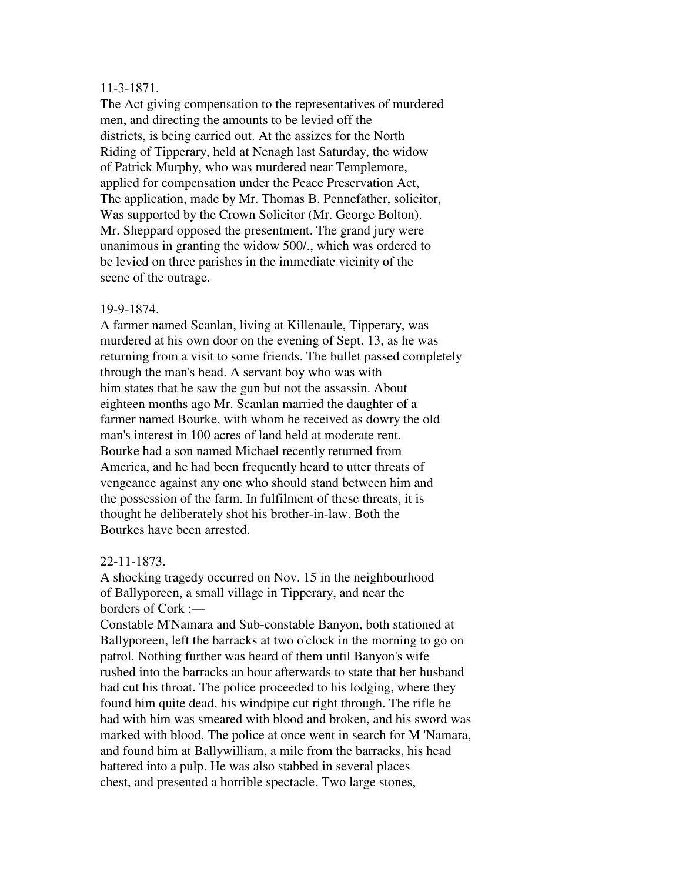## 11-3-1871.

The Act giving compensation to the representatives of murdered men, and directing the amounts to be levied off the districts, is being carried out. At the assizes for the North Riding of Tipperary, held at Nenagh last Saturday, the widow of Patrick Murphy, who was murdered near Templemore, applied for compensation under the Peace Preservation Act, The application, made by Mr. Thomas B. Pennefather, solicitor, Was supported by the Crown Solicitor (Mr. George Bolton). Mr. Sheppard opposed the presentment. The grand jury were unanimous in granting the widow 500/., which was ordered to be levied on three parishes in the immediate vicinity of the scene of the outrage.

## 19-9-1874.

A farmer named Scanlan, living at Killenaule, Tipperary, was murdered at his own door on the evening of Sept. 13, as he was returning from a visit to some friends. The bullet passed completely through the man's head. A servant boy who was with him states that he saw the gun but not the assassin. About eighteen months ago Mr. Scanlan married the daughter of a farmer named Bourke, with whom he received as dowry the old man's interest in 100 acres of land held at moderate rent. Bourke had a son named Michael recently returned from America, and he had been frequently heard to utter threats of vengeance against any one who should stand between him and the possession of the farm. In fulfilment of these threats, it is thought he deliberately shot his brother-in-law. Both the Bourkes have been arrested.

# 22-11-1873.

A shocking tragedy occurred on Nov. 15 in the neighbourhood of Ballyporeen, a small village in Tipperary, and near the borders of Cork :—

Constable M'Namara and Sub-constable Banyon, both stationed at Ballyporeen, left the barracks at two o'clock in the morning to go on patrol. Nothing further was heard of them until Banyon's wife rushed into the barracks an hour afterwards to state that her husband had cut his throat. The police proceeded to his lodging, where they found him quite dead, his windpipe cut right through. The rifle he had with him was smeared with blood and broken, and his sword was marked with blood. The police at once went in search for M 'Namara, and found him at Ballywilliam, a mile from the barracks, his head battered into a pulp. He was also stabbed in several places chest, and presented a horrible spectacle. Two large stones,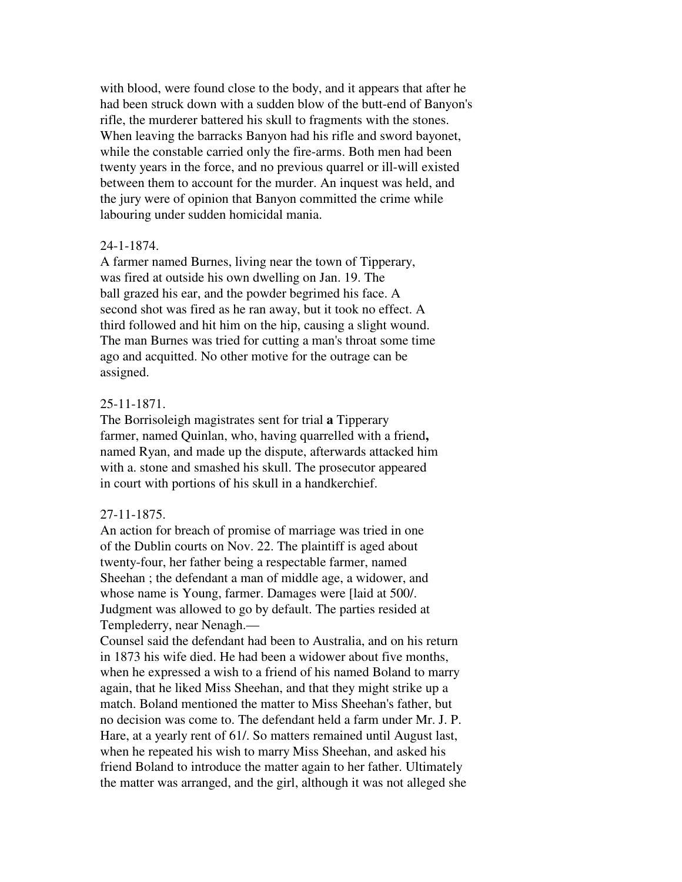with blood, were found close to the body, and it appears that after he had been struck down with a sudden blow of the butt-end of Banyon's rifle, the murderer battered his skull to fragments with the stones. When leaving the barracks Banyon had his rifle and sword bayonet, while the constable carried only the fire-arms. Both men had been twenty years in the force, and no previous quarrel or ill-will existed between them to account for the murder. An inquest was held, and the jury were of opinion that Banyon committed the crime while labouring under sudden homicidal mania.

## 24-1-1874.

A farmer named Burnes, living near the town of Tipperary, was fired at outside his own dwelling on Jan. 19. The ball grazed his ear, and the powder begrimed his face. A second shot was fired as he ran away, but it took no effect. A third followed and hit him on the hip, causing a slight wound. The man Burnes was tried for cutting a man's throat some time ago and acquitted. No other motive for the outrage can be assigned.

## 25-11-1871.

The Borrisoleigh magistrates sent for trial **a** Tipperary farmer, named Quinlan, who, having quarrelled with a friend**,**  named Ryan, and made up the dispute, afterwards attacked him with a. stone and smashed his skull. The prosecutor appeared in court with portions of his skull in a handkerchief.

#### 27-11-1875.

An action for breach of promise of marriage was tried in one of the Dublin courts on Nov. 22. The plaintiff is aged about twenty-four, her father being a respectable farmer, named Sheehan ; the defendant a man of middle age, a widower, and whose name is Young, farmer. Damages were [laid at 500/. Judgment was allowed to go by default. The parties resided at Templederry, near Nenagh.—

Counsel said the defendant had been to Australia, and on his return in 1873 his wife died. He had been a widower about five months, when he expressed a wish to a friend of his named Boland to marry again, that he liked Miss Sheehan, and that they might strike up a match. Boland mentioned the matter to Miss Sheehan's father, but no decision was come to. The defendant held a farm under Mr. J. P. Hare, at a yearly rent of 61/. So matters remained until August last, when he repeated his wish to marry Miss Sheehan, and asked his friend Boland to introduce the matter again to her father. Ultimately the matter was arranged, and the girl, although it was not alleged she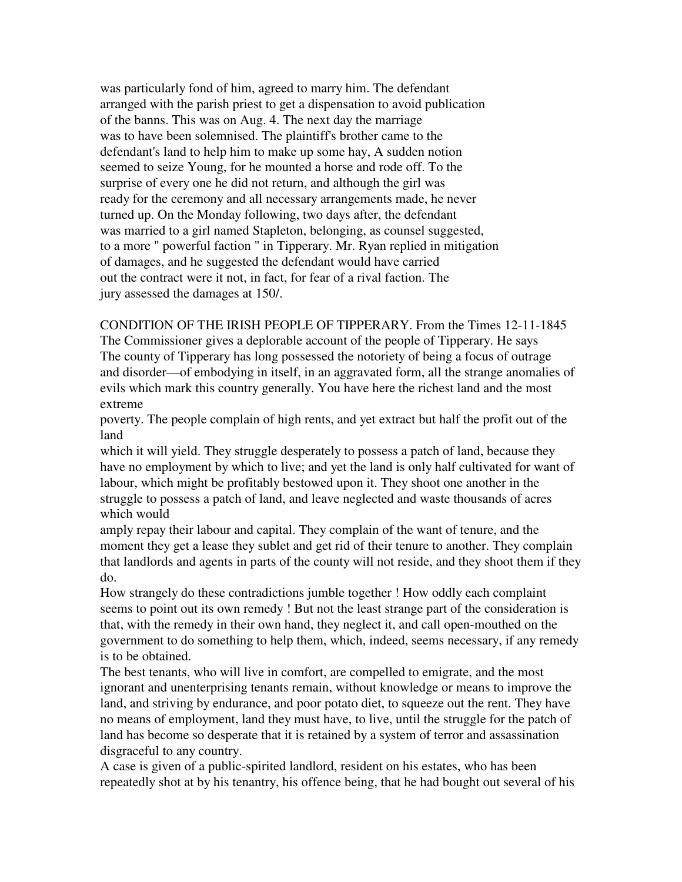was particularly fond of him, agreed to marry him. The defendant arranged with the parish priest to get a dispensation to avoid publication of the banns. This was on Aug. 4. The next day the marriage was to have been solemnised. The plaintiff's brother came to the defendant's land to help him to make up some hay, A sudden notion seemed to seize Young, for he mounted a horse and rode off. To the surprise of every one he did not return, and although the girl was ready for the ceremony and all necessary arrangements made, he never turned up. On the Monday following, two days after, the defendant was married to a girl named Stapleton, belonging, as counsel suggested, to a more " powerful faction " in Tipperary. Mr. Ryan replied in mitigation of damages, and he suggested the defendant would have carried out the contract were it not, in fact, for fear of a rival faction. The jury assessed the damages at 150/.

CONDITION OF THE IRISH PEOPLE OF TIPPERARY. From the Times 12-11-1845 The Commissioner gives a deplorable account of the people of Tipperary. He says The county of Tipperary has long possessed the notoriety of being a focus of outrage and disorder—of embodying in itself, in an aggravated form, all the strange anomalies of evils which mark this country generally. You have here the richest land and the most extreme

poverty. The people complain of high rents, and yet extract but half the profit out of the land

which it will yield. They struggle desperately to possess a patch of land, because they have no employment by which to live; and yet the land is only half cultivated for want of labour, which might be profitably bestowed upon it. They shoot one another in the struggle to possess a patch of land, and leave neglected and waste thousands of acres which would

amply repay their labour and capital. They complain of the want of tenure, and the moment they get a lease they sublet and get rid of their tenure to another. They complain that landlords and agents in parts of the county will not reside, and they shoot them if they do.

How strangely do these contradictions jumble together ! How oddly each complaint seems to point out its own remedy ! But not the least strange part of the consideration is that, with the remedy in their own hand, they neglect it, and call open-mouthed on the government to do something to help them, which, indeed, seems necessary, if any remedy is to be obtained.

The best tenants, who will live in comfort, are compelled to emigrate, and the most ignorant and unenterprising tenants remain, without knowledge or means to improve the land, and striving by endurance, and poor potato diet, to squeeze out the rent. They have no means of employment, land they must have, to live, until the struggle for the patch of land has become so desperate that it is retained by a system of terror and assassination disgraceful to any country.

A case is given of a public-spirited landlord, resident on his estates, who has been repeatedly shot at by his tenantry, his offence being, that he had bought out several of his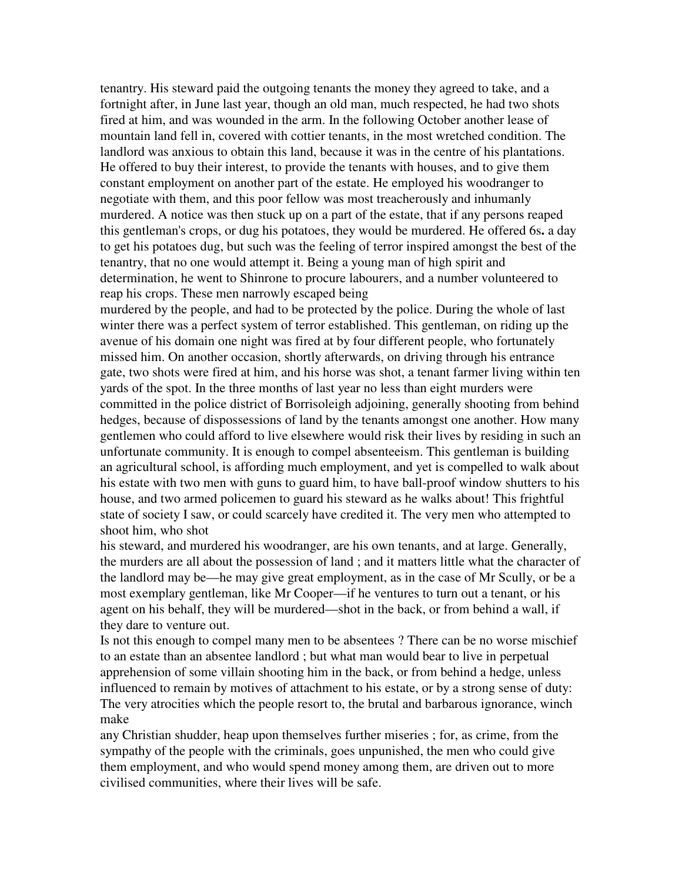tenantry. His steward paid the outgoing tenants the money they agreed to take, and a fortnight after, in June last year, though an old man, much respected, he had two shots fired at him, and was wounded in the arm. In the following October another lease of mountain land fell in, covered with cottier tenants, in the most wretched condition. The landlord was anxious to obtain this land, because it was in the centre of his plantations. He offered to buy their interest, to provide the tenants with houses, and to give them constant employment on another part of the estate. He employed his woodranger to negotiate with them, and this poor fellow was most treacherously and inhumanly murdered. A notice was then stuck up on a part of the estate, that if any persons reaped this gentleman's crops, or dug his potatoes, they would be murdered. He offered 6s**.** a day to get his potatoes dug, but such was the feeling of terror inspired amongst the best of the tenantry, that no one would attempt it. Being a young man of high spirit and determination, he went to Shinrone to procure labourers, and a number volunteered to reap his crops. These men narrowly escaped being

murdered by the people, and had to be protected by the police. During the whole of last winter there was a perfect system of terror established. This gentleman, on riding up the avenue of his domain one night was fired at by four different people, who fortunately missed him. On another occasion, shortly afterwards, on driving through his entrance gate, two shots were fired at him, and his horse was shot, a tenant farmer living within ten yards of the spot. In the three months of last year no less than eight murders were committed in the police district of Borrisoleigh adjoining, generally shooting from behind hedges, because of dispossessions of land by the tenants amongst one another. How many gentlemen who could afford to live elsewhere would risk their lives by residing in such an unfortunate community. It is enough to compel absenteeism. This gentleman is building an agricultural school, is affording much employment, and yet is compelled to walk about his estate with two men with guns to guard him, to have ball-proof window shutters to his house, and two armed policemen to guard his steward as he walks about! This frightful state of society I saw, or could scarcely have credited it. The very men who attempted to shoot him, who shot

his steward, and murdered his woodranger, are his own tenants, and at large. Generally, the murders are all about the possession of land ; and it matters little what the character of the landlord may be—he may give great employment, as in the case of Mr Scully, or be a most exemplary gentleman, like Mr Cooper—if he ventures to turn out a tenant, or his agent on his behalf, they will be murdered—shot in the back, or from behind a wall, if they dare to venture out.

Is not this enough to compel many men to be absentees ? There can be no worse mischief to an estate than an absentee landlord ; but what man would bear to live in perpetual apprehension of some villain shooting him in the back, or from behind a hedge, unless influenced to remain by motives of attachment to his estate, or by a strong sense of duty: The very atrocities which the people resort to, the brutal and barbarous ignorance, winch make

any Christian shudder, heap upon themselves further miseries ; for, as crime, from the sympathy of the people with the criminals, goes unpunished, the men who could give them employment, and who would spend money among them, are driven out to more civilised communities, where their lives will be safe.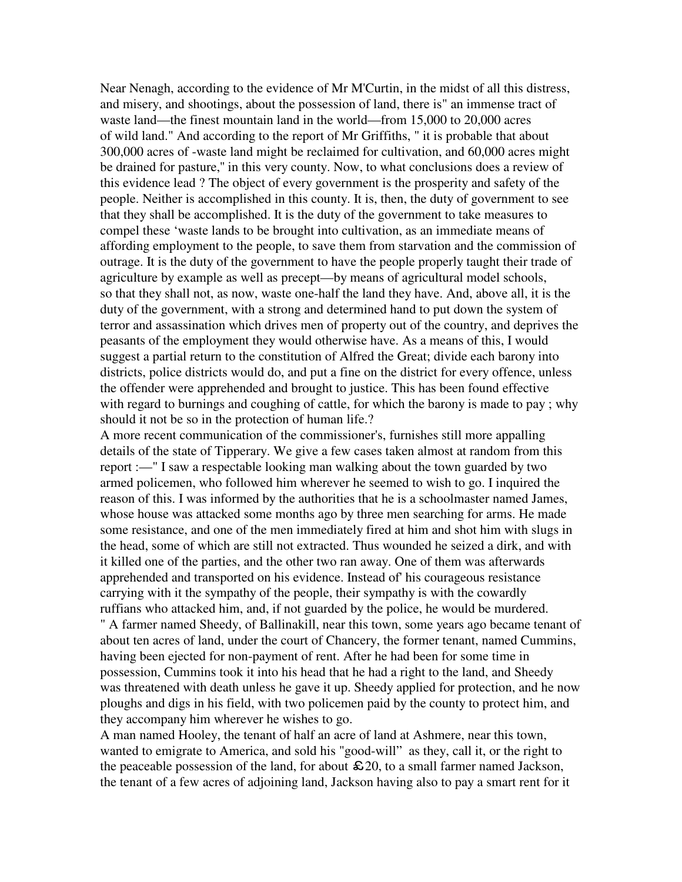Near Nenagh, according to the evidence of Mr M'Curtin, in the midst of all this distress, and misery, and shootings, about the possession of land, there is" an immense tract of waste land—the finest mountain land in the world—from 15,000 to 20,000 acres of wild land." And according to the report of Mr Griffiths, " it is probable that about 300,000 acres of -waste land might be reclaimed for cultivation, and 60,000 acres might be drained for pasture,'' in this very county. Now, to what conclusions does a review of this evidence lead ? The object of every government is the prosperity and safety of the people. Neither is accomplished in this county. It is, then, the duty of government to see that they shall be accomplished. It is the duty of the government to take measures to compel these 'waste lands to be brought into cultivation, as an immediate means of affording employment to the people, to save them from starvation and the commission of outrage. It is the duty of the government to have the people properly taught their trade of agriculture by example as well as precept—by means of agricultural model schools, so that they shall not, as now, waste one-half the land they have. And, above all, it is the duty of the government, with a strong and determined hand to put down the system of terror and assassination which drives men of property out of the country, and deprives the peasants of the employment they would otherwise have. As a means of this, I would suggest a partial return to the constitution of Alfred the Great; divide each barony into districts, police districts would do, and put a fine on the district for every offence, unless the offender were apprehended and brought to justice. This has been found effective with regard to burnings and coughing of cattle, for which the barony is made to pay ; why should it not be so in the protection of human life.?

A more recent communication of the commissioner's, furnishes still more appalling details of the state of Tipperary. We give a few cases taken almost at random from this report :—" I saw a respectable looking man walking about the town guarded by two armed policemen, who followed him wherever he seemed to wish to go. I inquired the reason of this. I was informed by the authorities that he is a schoolmaster named James, whose house was attacked some months ago by three men searching for arms. He made some resistance, and one of the men immediately fired at him and shot him with slugs in the head, some of which are still not extracted. Thus wounded he seized a dirk, and with it killed one of the parties, and the other two ran away. One of them was afterwards apprehended and transported on his evidence. Instead of' his courageous resistance carrying with it the sympathy of the people, their sympathy is with the cowardly ruffians who attacked him, and, if not guarded by the police, he would be murdered. " A farmer named Sheedy, of Ballinakill, near this town, some years ago became tenant of about ten acres of land, under the court of Chancery, the former tenant, named Cummins, having been ejected for non-payment of rent. After he had been for some time in possession, Cummins took it into his head that he had a right to the land, and Sheedy was threatened with death unless he gave it up. Sheedy applied for protection, and he now ploughs and digs in his field, with two policemen paid by the county to protect him, and they accompany him wherever he wishes to go.

A man named Hooley, the tenant of half an acre of land at Ashmere, near this town, wanted to emigrate to America, and sold his "good-will" as they, call it, or the right to the peaceable possession of the land, for about  $\mathfrak{L}20$ , to a small farmer named Jackson, the tenant of a few acres of adjoining land, Jackson having also to pay a smart rent for it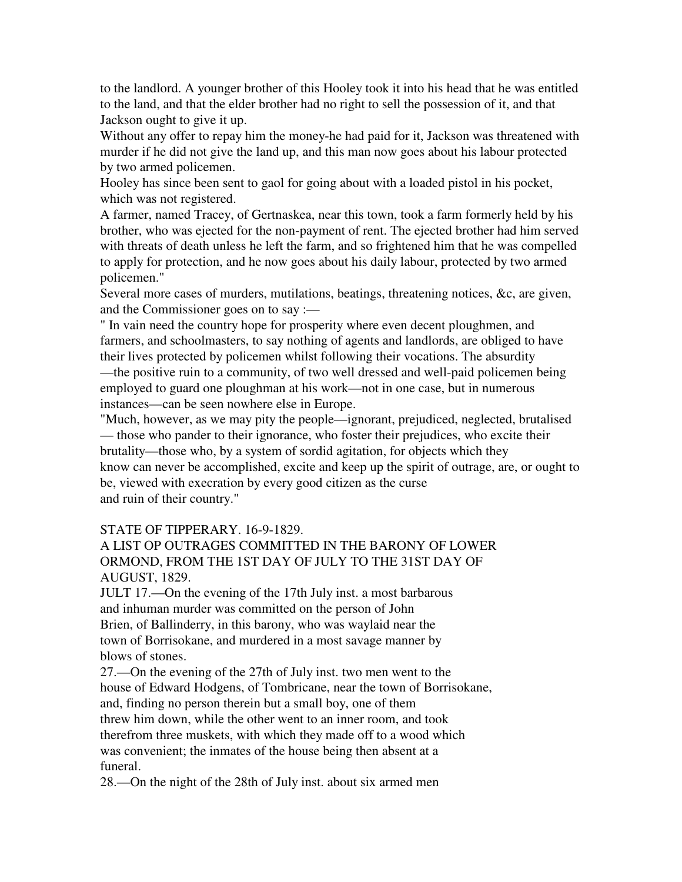to the landlord. A younger brother of this Hooley took it into his head that he was entitled to the land, and that the elder brother had no right to sell the possession of it, and that Jackson ought to give it up.

Without any offer to repay him the money-he had paid for it, Jackson was threatened with murder if he did not give the land up, and this man now goes about his labour protected by two armed policemen.

Hooley has since been sent to gaol for going about with a loaded pistol in his pocket, which was not registered.

A farmer, named Tracey, of Gertnaskea, near this town, took a farm formerly held by his brother, who was ejected for the non-payment of rent. The ejected brother had him served with threats of death unless he left the farm, and so frightened him that he was compelled to apply for protection, and he now goes about his daily labour, protected by two armed policemen."

Several more cases of murders, mutilations, beatings, threatening notices, &c, are given, and the Commissioner goes on to say :—

" In vain need the country hope for prosperity where even decent ploughmen, and farmers, and schoolmasters, to say nothing of agents and landlords, are obliged to have their lives protected by policemen whilst following their vocations. The absurdity —the positive ruin to a community, of two well dressed and well-paid policemen being employed to guard one ploughman at his work—not in one case, but in numerous instances—can be seen nowhere else in Europe.

"Much, however, as we may pity the people—ignorant, prejudiced, neglected, brutalised — those who pander to their ignorance, who foster their prejudices, who excite their brutality—those who, by a system of sordid agitation, for objects which they know can never be accomplished, excite and keep up the spirit of outrage, are, or ought to be, viewed with execration by every good citizen as the curse and ruin of their country."

# STATE OF TIPPERARY. 16-9-1829.

# A LIST OP OUTRAGES COMMITTED IN THE BARONY OF LOWER ORMOND, FROM THE 1ST DAY OF JULY TO THE 31ST DAY OF AUGUST, 1829.

JULT 17.—On the evening of the 17th July inst. a most barbarous and inhuman murder was committed on the person of John Brien, of Ballinderry, in this barony, who was waylaid near the town of Borrisokane, and murdered in a most savage manner by blows of stones.

27.—On the evening of the 27th of July inst. two men went to the house of Edward Hodgens, of Tombricane, near the town of Borrisokane, and, finding no person therein but a small boy, one of them threw him down, while the other went to an inner room, and took therefrom three muskets, with which they made off to a wood which was convenient; the inmates of the house being then absent at a funeral.

28.—On the night of the 28th of July inst. about six armed men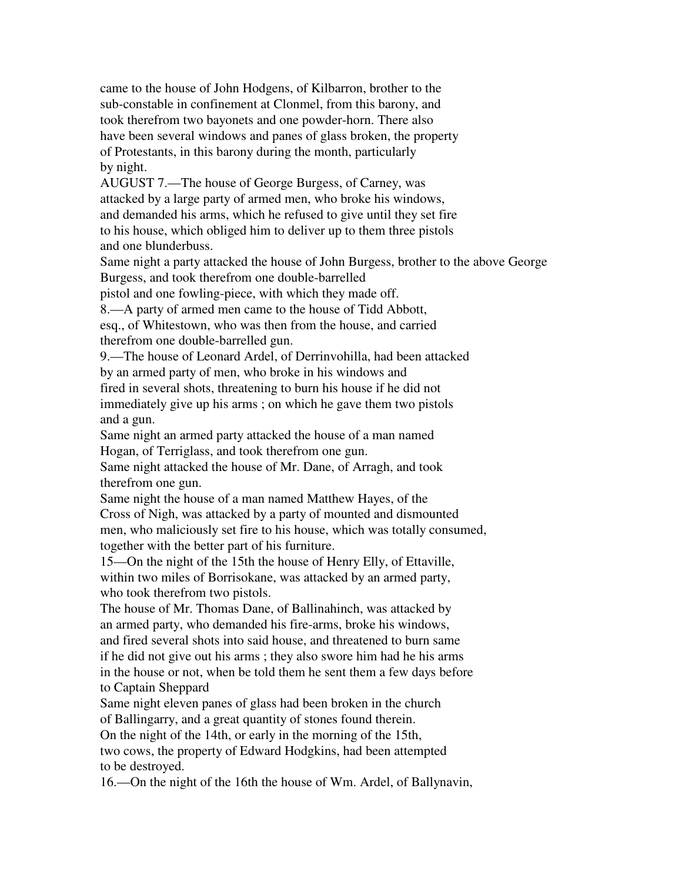came to the house of John Hodgens, of Kilbarron, brother to the sub-constable in confinement at Clonmel, from this barony, and took therefrom two bayonets and one powder-horn. There also have been several windows and panes of glass broken, the property of Protestants, in this barony during the month, particularly by night.

AUGUST 7.—The house of George Burgess, of Carney, was attacked by a large party of armed men, who broke his windows, and demanded his arms, which he refused to give until they set fire to his house, which obliged him to deliver up to them three pistols and one blunderbuss.

Same night a party attacked the house of John Burgess, brother to the above George Burgess, and took therefrom one double-barrelled

pistol and one fowling-piece, with which they made off.

8.—A party of armed men came to the house of Tidd Abbott,

esq., of Whitestown, who was then from the house, and carried therefrom one double-barrelled gun.

9.—The house of Leonard Ardel, of Derrinvohilla, had been attacked by an armed party of men, who broke in his windows and fired in several shots, threatening to burn his house if he did not immediately give up his arms ; on which he gave them two pistols and a gun.

Same night an armed party attacked the house of a man named Hogan, of Terriglass, and took therefrom one gun.

Same night attacked the house of Mr. Dane, of Arragh, and took therefrom one gun.

Same night the house of a man named Matthew Hayes, of the Cross of Nigh, was attacked by a party of mounted and dismounted men, who maliciously set fire to his house, which was totally consumed, together with the better part of his furniture.

15—On the night of the 15th the house of Henry Elly, of Ettaville, within two miles of Borrisokane, was attacked by an armed party, who took therefrom two pistols.

The house of Mr. Thomas Dane, of Ballinahinch, was attacked by an armed party, who demanded his fire-arms, broke his windows, and fired several shots into said house, and threatened to burn same if he did not give out his arms ; they also swore him had he his arms in the house or not, when be told them he sent them a few days before to Captain Sheppard

Same night eleven panes of glass had been broken in the church of Ballingarry, and a great quantity of stones found therein. On the night of the 14th, or early in the morning of the 15th, two cows, the property of Edward Hodgkins, had been attempted

to be destroyed.

16.—On the night of the 16th the house of Wm. Ardel, of Ballynavin,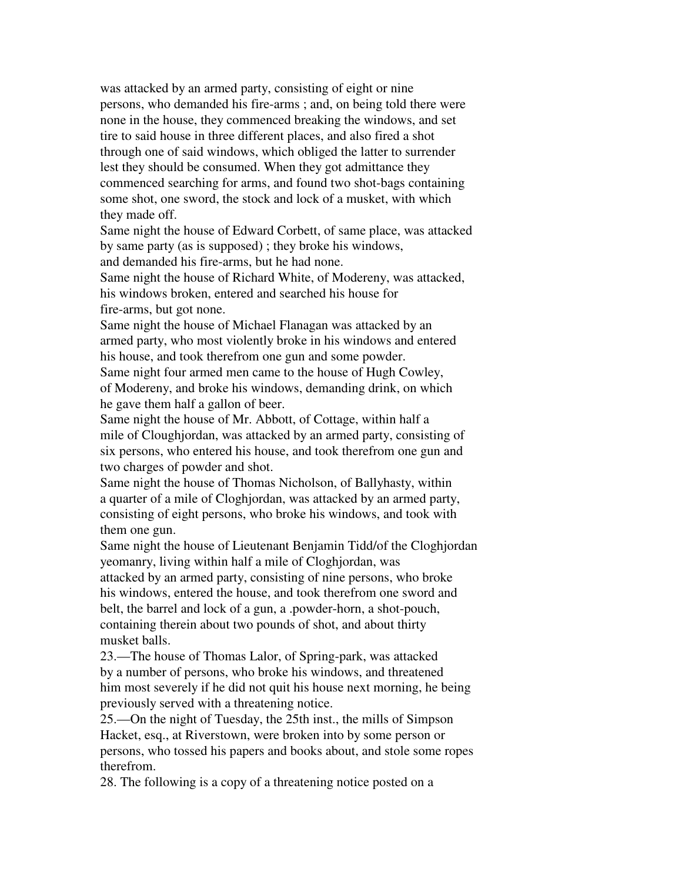was attacked by an armed party, consisting of eight or nine persons, who demanded his fire-arms ; and, on being told there were none in the house, they commenced breaking the windows, and set tire to said house in three different places, and also fired a shot through one of said windows, which obliged the latter to surrender lest they should be consumed. When they got admittance they commenced searching for arms, and found two shot-bags containing some shot, one sword, the stock and lock of a musket, with which they made off.

Same night the house of Edward Corbett, of same place, was attacked by same party (as is supposed) ; they broke his windows, and demanded his fire-arms, but he had none.

Same night the house of Richard White, of Modereny, was attacked, his windows broken, entered and searched his house for fire-arms, but got none.

Same night the house of Michael Flanagan was attacked by an armed party, who most violently broke in his windows and entered his house, and took therefrom one gun and some powder. Same night four armed men came to the house of Hugh Cowley, of Modereny, and broke his windows, demanding drink, on which he gave them half a gallon of beer.

Same night the house of Mr. Abbott, of Cottage, within half a mile of Cloughjordan, was attacked by an armed party, consisting of six persons, who entered his house, and took therefrom one gun and two charges of powder and shot.

Same night the house of Thomas Nicholson, of Ballyhasty, within a quarter of a mile of Cloghjordan, was attacked by an armed party, consisting of eight persons, who broke his windows, and took with them one gun.

Same night the house of Lieutenant Benjamin Tidd/of the Cloghjordan yeomanry, living within half a mile of Cloghjordan, was

attacked by an armed party, consisting of nine persons, who broke his windows, entered the house, and took therefrom one sword and belt, the barrel and lock of a gun, a .powder-horn, a shot-pouch, containing therein about two pounds of shot, and about thirty musket balls.

23.—The house of Thomas Lalor, of Spring-park, was attacked by a number of persons, who broke his windows, and threatened him most severely if he did not quit his house next morning, he being previously served with a threatening notice.

25.—On the night of Tuesday, the 25th inst., the mills of Simpson Hacket, esq., at Riverstown, were broken into by some person or persons, who tossed his papers and books about, and stole some ropes therefrom.

28. The following is a copy of a threatening notice posted on a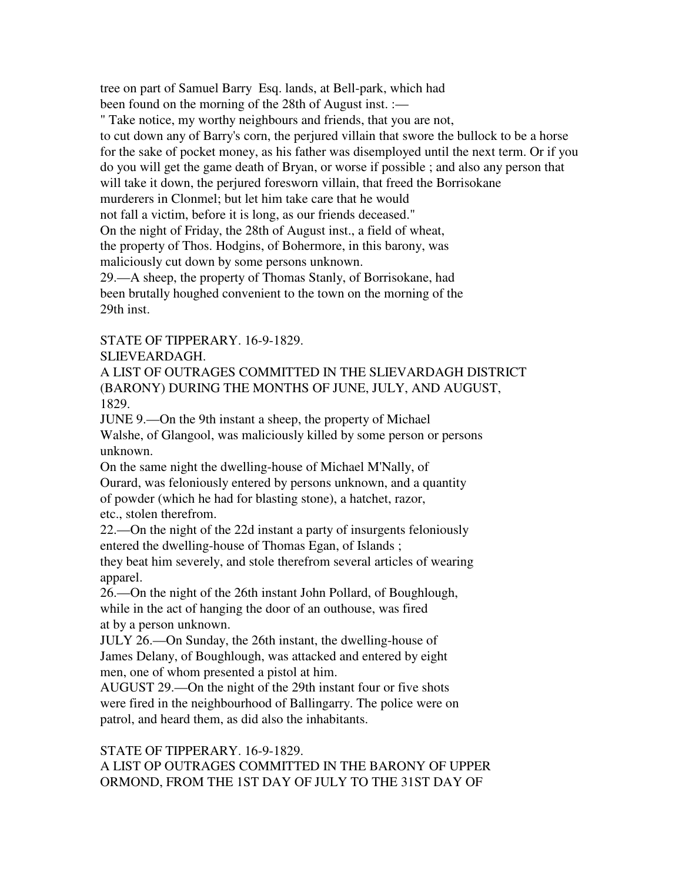tree on part of Samuel Barry Esq. lands, at Bell-park, which had been found on the morning of the 28th of August inst. :—

" Take notice, my worthy neighbours and friends, that you are not, to cut down any of Barry's corn, the perjured villain that swore the bullock to be a horse for the sake of pocket money, as his father was disemployed until the next term. Or if you do you will get the game death of Bryan, or worse if possible ; and also any person that will take it down, the perjured foresworn villain, that freed the Borrisokane murderers in Clonmel; but let him take care that he would not fall a victim, before it is long, as our friends deceased." On the night of Friday, the 28th of August inst., a field of wheat, the property of Thos. Hodgins, of Bohermore, in this barony, was maliciously cut down by some persons unknown.

29.—A sheep, the property of Thomas Stanly, of Borrisokane, had been brutally houghed convenient to the town on the morning of the 29th inst.

STATE OF TIPPERARY. 16-9-1829.

# SLIEVEARDAGH.

A LIST OF OUTRAGES COMMITTED IN THE SLIEVARDAGH DISTRICT (BARONY) DURING THE MONTHS OF JUNE, JULY, AND AUGUST, 1829.

JUNE 9.—On the 9th instant a sheep, the property of Michael Walshe, of Glangool, was maliciously killed by some person or persons unknown.

On the same night the dwelling-house of Michael M'Nally, of Ourard, was feloniously entered by persons unknown, and a quantity of powder (which he had for blasting stone), a hatchet, razor, etc., stolen therefrom.

22.—On the night of the 22d instant a party of insurgents feloniously entered the dwelling-house of Thomas Egan, of Islands ; they beat him severely, and stole therefrom several articles of wearing apparel.

26.—On the night of the 26th instant John Pollard, of Boughlough, while in the act of hanging the door of an outhouse, was fired at by a person unknown.

JULY 26.—On Sunday, the 26th instant, the dwelling-house of James Delany, of Boughlough, was attacked and entered by eight men, one of whom presented a pistol at him.

AUGUST 29.—On the night of the 29th instant four or five shots were fired in the neighbourhood of Ballingarry. The police were on patrol, and heard them, as did also the inhabitants.

### STATE OF TIPPERARY. 16-9-1829. A LIST OP OUTRAGES COMMITTED IN THE BARONY OF UPPER ORMOND, FROM THE 1ST DAY OF JULY TO THE 31ST DAY OF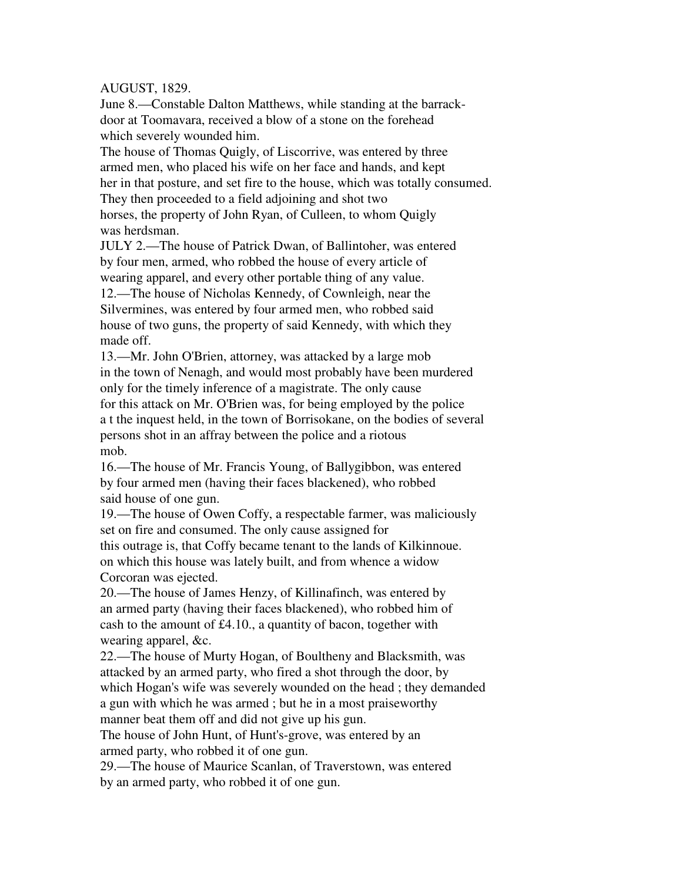# AUGUST, 1829.

June 8.—Constable Dalton Matthews, while standing at the barrackdoor at Toomavara, received a blow of a stone on the forehead which severely wounded him.

The house of Thomas Quigly, of Liscorrive, was entered by three armed men, who placed his wife on her face and hands, and kept her in that posture, and set fire to the house, which was totally consumed. They then proceeded to a field adjoining and shot two horses, the property of John Ryan, of Culleen, to whom Quigly was herdsman.

JULY 2.—The house of Patrick Dwan, of Ballintoher, was entered by four men, armed, who robbed the house of every article of wearing apparel, and every other portable thing of any value. 12.—The house of Nicholas Kennedy, of Cownleigh, near the Silvermines, was entered by four armed men, who robbed said house of two guns, the property of said Kennedy, with which they made off.

13.—Mr. John O'Brien, attorney, was attacked by a large mob in the town of Nenagh, and would most probably have been murdered only for the timely inference of a magistrate. The only cause for this attack on Mr. O'Brien was, for being employed by the police a t the inquest held, in the town of Borrisokane, on the bodies of several persons shot in an affray between the police and a riotous mob.

16.—The house of Mr. Francis Young, of Ballygibbon, was entered by four armed men (having their faces blackened), who robbed said house of one gun.

19.—The house of Owen Coffy, a respectable farmer, was maliciously set on fire and consumed. The only cause assigned for this outrage is, that Coffy became tenant to the lands of Kilkinnoue. on which this house was lately built, and from whence a widow Corcoran was ejected.

20.—The house of James Henzy, of Killinafinch, was entered by an armed party (having their faces blackened), who robbed him of cash to the amount of £4.10., a quantity of bacon, together with wearing apparel, &c.

22.—The house of Murty Hogan, of Boultheny and Blacksmith, was attacked by an armed party, who fired a shot through the door, by which Hogan's wife was severely wounded on the head ; they demanded a gun with which he was armed ; but he in a most praiseworthy manner beat them off and did not give up his gun.

The house of John Hunt, of Hunt's-grove, was entered by an armed party, who robbed it of one gun.

29.—The house of Maurice Scanlan, of Traverstown, was entered by an armed party, who robbed it of one gun.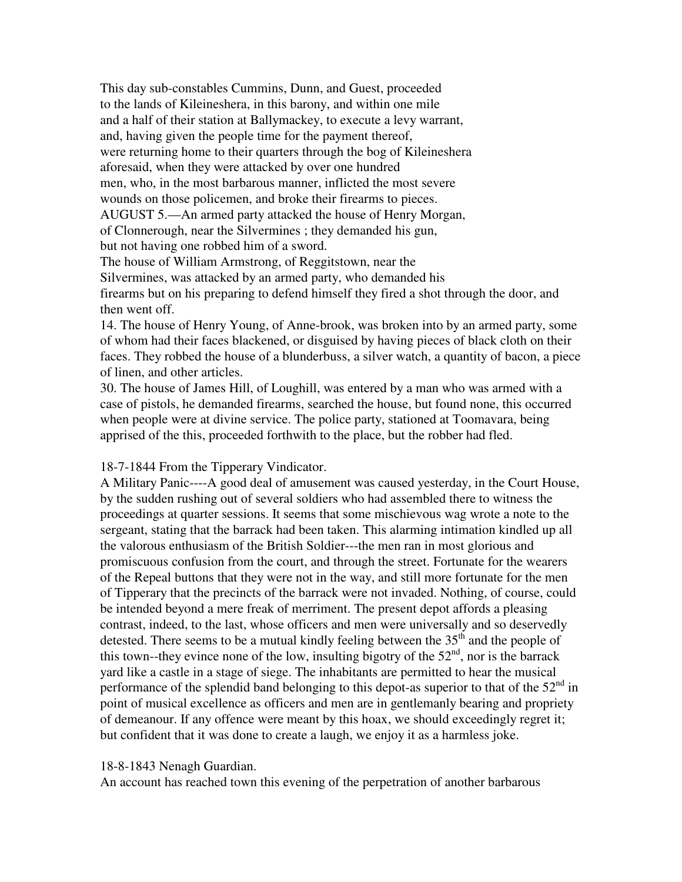This day sub-constables Cummins, Dunn, and Guest, proceeded to the lands of Kileineshera, in this barony, and within one mile and a half of their station at Ballymackey, to execute a levy warrant, and, having given the people time for the payment thereof, were returning home to their quarters through the bog of Kileineshera aforesaid, when they were attacked by over one hundred men, who, in the most barbarous manner, inflicted the most severe wounds on those policemen, and broke their firearms to pieces. AUGUST 5.—An armed party attacked the house of Henry Morgan, of Clonnerough, near the Silvermines ; they demanded his gun, but not having one robbed him of a sword.

The house of William Armstrong, of Reggitstown, near the Silvermines, was attacked by an armed party, who demanded his firearms but on his preparing to defend himself they fired a shot through the door, and then went off.

14. The house of Henry Young, of Anne-brook, was broken into by an armed party, some of whom had their faces blackened, or disguised by having pieces of black cloth on their faces. They robbed the house of a blunderbuss, a silver watch, a quantity of bacon, a piece of linen, and other articles.

30. The house of James Hill, of Loughill, was entered by a man who was armed with a case of pistols, he demanded firearms, searched the house, but found none, this occurred when people were at divine service. The police party, stationed at Toomavara, being apprised of the this, proceeded forthwith to the place, but the robber had fled.

# 18-7-1844 From the Tipperary Vindicator.

A Military Panic----A good deal of amusement was caused yesterday, in the Court House, by the sudden rushing out of several soldiers who had assembled there to witness the proceedings at quarter sessions. It seems that some mischievous wag wrote a note to the sergeant, stating that the barrack had been taken. This alarming intimation kindled up all the valorous enthusiasm of the British Soldier---the men ran in most glorious and promiscuous confusion from the court, and through the street. Fortunate for the wearers of the Repeal buttons that they were not in the way, and still more fortunate for the men of Tipperary that the precincts of the barrack were not invaded. Nothing, of course, could be intended beyond a mere freak of merriment. The present depot affords a pleasing contrast, indeed, to the last, whose officers and men were universally and so deservedly detested. There seems to be a mutual kindly feeling between the  $35<sup>th</sup>$  and the people of this town--they evince none of the low, insulting bigotry of the  $52<sup>nd</sup>$ , nor is the barrack yard like a castle in a stage of siege. The inhabitants are permitted to hear the musical performance of the splendid band belonging to this depot-as superior to that of the  $52<sup>nd</sup>$  in point of musical excellence as officers and men are in gentlemanly bearing and propriety of demeanour. If any offence were meant by this hoax, we should exceedingly regret it; but confident that it was done to create a laugh, we enjoy it as a harmless joke.

# 18-8-1843 Nenagh Guardian.

An account has reached town this evening of the perpetration of another barbarous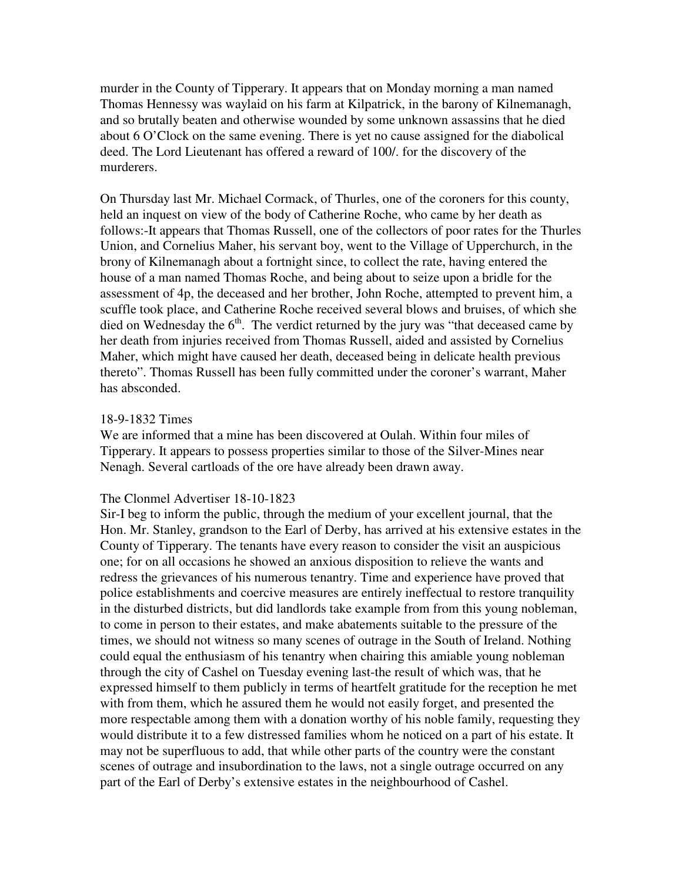murder in the County of Tipperary. It appears that on Monday morning a man named Thomas Hennessy was waylaid on his farm at Kilpatrick, in the barony of Kilnemanagh, and so brutally beaten and otherwise wounded by some unknown assassins that he died about 6 O'Clock on the same evening. There is yet no cause assigned for the diabolical deed. The Lord Lieutenant has offered a reward of 100/. for the discovery of the murderers.

On Thursday last Mr. Michael Cormack, of Thurles, one of the coroners for this county, held an inquest on view of the body of Catherine Roche, who came by her death as follows:-It appears that Thomas Russell, one of the collectors of poor rates for the Thurles Union, and Cornelius Maher, his servant boy, went to the Village of Upperchurch, in the brony of Kilnemanagh about a fortnight since, to collect the rate, having entered the house of a man named Thomas Roche, and being about to seize upon a bridle for the assessment of 4p, the deceased and her brother, John Roche, attempted to prevent him, a scuffle took place, and Catherine Roche received several blows and bruises, of which she died on Wednesday the  $6<sup>th</sup>$ . The verdict returned by the jury was "that deceased came by her death from injuries received from Thomas Russell, aided and assisted by Cornelius Maher, which might have caused her death, deceased being in delicate health previous thereto". Thomas Russell has been fully committed under the coroner's warrant, Maher has absconded.

#### 18-9-1832 Times

We are informed that a mine has been discovered at Oulah. Within four miles of Tipperary. It appears to possess properties similar to those of the Silver-Mines near Nenagh. Several cartloads of the ore have already been drawn away.

#### The Clonmel Advertiser 18-10-1823

Sir-I beg to inform the public, through the medium of your excellent journal, that the Hon. Mr. Stanley, grandson to the Earl of Derby, has arrived at his extensive estates in the County of Tipperary. The tenants have every reason to consider the visit an auspicious one; for on all occasions he showed an anxious disposition to relieve the wants and redress the grievances of his numerous tenantry. Time and experience have proved that police establishments and coercive measures are entirely ineffectual to restore tranquility in the disturbed districts, but did landlords take example from from this young nobleman, to come in person to their estates, and make abatements suitable to the pressure of the times, we should not witness so many scenes of outrage in the South of Ireland. Nothing could equal the enthusiasm of his tenantry when chairing this amiable young nobleman through the city of Cashel on Tuesday evening last-the result of which was, that he expressed himself to them publicly in terms of heartfelt gratitude for the reception he met with from them, which he assured them he would not easily forget, and presented the more respectable among them with a donation worthy of his noble family, requesting they would distribute it to a few distressed families whom he noticed on a part of his estate. It may not be superfluous to add, that while other parts of the country were the constant scenes of outrage and insubordination to the laws, not a single outrage occurred on any part of the Earl of Derby's extensive estates in the neighbourhood of Cashel.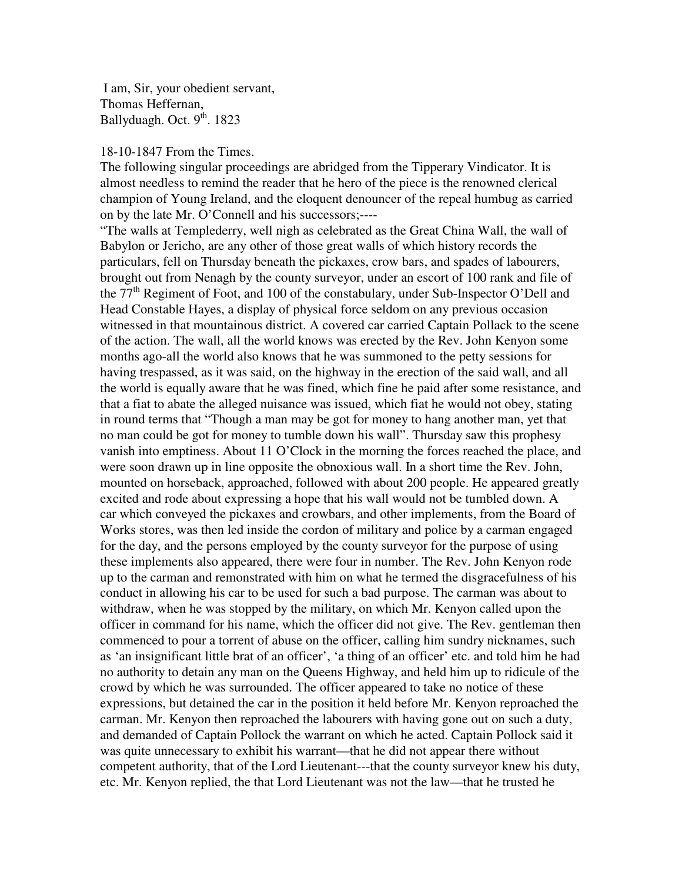I am, Sir, your obedient servant, Thomas Heffernan, Ballyduagh. Oct.  $9<sup>th</sup>$ . 1823

#### 18-10-1847 From the Times.

The following singular proceedings are abridged from the Tipperary Vindicator. It is almost needless to remind the reader that he hero of the piece is the renowned clerical champion of Young Ireland, and the eloquent denouncer of the repeal humbug as carried on by the late Mr. O'Connell and his successors;----

"The walls at Templederry, well nigh as celebrated as the Great China Wall, the wall of Babylon or Jericho, are any other of those great walls of which history records the particulars, fell on Thursday beneath the pickaxes, crow bars, and spades of labourers, brought out from Nenagh by the county surveyor, under an escort of 100 rank and file of the 77<sup>th</sup> Regiment of Foot, and 100 of the constabulary, under Sub-Inspector O'Dell and Head Constable Hayes, a display of physical force seldom on any previous occasion witnessed in that mountainous district. A covered car carried Captain Pollack to the scene of the action. The wall, all the world knows was erected by the Rev. John Kenyon some months ago-all the world also knows that he was summoned to the petty sessions for having trespassed, as it was said, on the highway in the erection of the said wall, and all the world is equally aware that he was fined, which fine he paid after some resistance, and that a fiat to abate the alleged nuisance was issued, which fiat he would not obey, stating in round terms that "Though a man may be got for money to hang another man, yet that no man could be got for money to tumble down his wall". Thursday saw this prophesy vanish into emptiness. About 11 O'Clock in the morning the forces reached the place, and were soon drawn up in line opposite the obnoxious wall. In a short time the Rev. John, mounted on horseback, approached, followed with about 200 people. He appeared greatly excited and rode about expressing a hope that his wall would not be tumbled down. A car which conveyed the pickaxes and crowbars, and other implements, from the Board of Works stores, was then led inside the cordon of military and police by a carman engaged for the day, and the persons employed by the county surveyor for the purpose of using these implements also appeared, there were four in number. The Rev. John Kenyon rode up to the carman and remonstrated with him on what he termed the disgracefulness of his conduct in allowing his car to be used for such a bad purpose. The carman was about to withdraw, when he was stopped by the military, on which Mr. Kenyon called upon the officer in command for his name, which the officer did not give. The Rev. gentleman then commenced to pour a torrent of abuse on the officer, calling him sundry nicknames, such as 'an insignificant little brat of an officer', 'a thing of an officer' etc. and told him he had no authority to detain any man on the Queens Highway, and held him up to ridicule of the crowd by which he was surrounded. The officer appeared to take no notice of these expressions, but detained the car in the position it held before Mr. Kenyon reproached the carman. Mr. Kenyon then reproached the labourers with having gone out on such a duty, and demanded of Captain Pollock the warrant on which he acted. Captain Pollock said it was quite unnecessary to exhibit his warrant—that he did not appear there without competent authority, that of the Lord Lieutenant---that the county surveyor knew his duty, etc. Mr. Kenyon replied, the that Lord Lieutenant was not the law—that he trusted he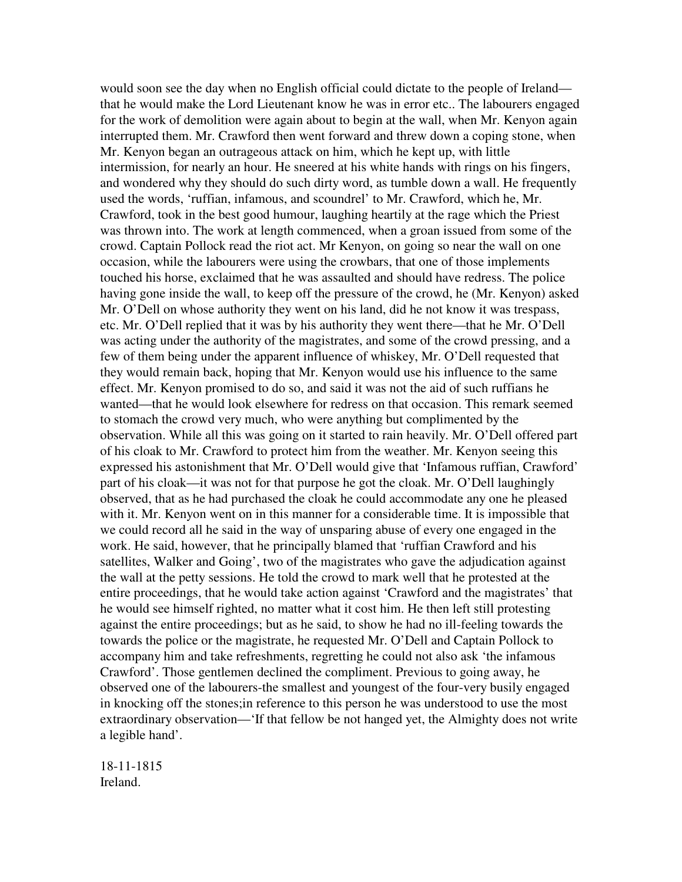would soon see the day when no English official could dictate to the people of Ireland that he would make the Lord Lieutenant know he was in error etc.. The labourers engaged for the work of demolition were again about to begin at the wall, when Mr. Kenyon again interrupted them. Mr. Crawford then went forward and threw down a coping stone, when Mr. Kenyon began an outrageous attack on him, which he kept up, with little intermission, for nearly an hour. He sneered at his white hands with rings on his fingers, and wondered why they should do such dirty word, as tumble down a wall. He frequently used the words, 'ruffian, infamous, and scoundrel' to Mr. Crawford, which he, Mr. Crawford, took in the best good humour, laughing heartily at the rage which the Priest was thrown into. The work at length commenced, when a groan issued from some of the crowd. Captain Pollock read the riot act. Mr Kenyon, on going so near the wall on one occasion, while the labourers were using the crowbars, that one of those implements touched his horse, exclaimed that he was assaulted and should have redress. The police having gone inside the wall, to keep off the pressure of the crowd, he (Mr. Kenyon) asked Mr. O'Dell on whose authority they went on his land, did he not know it was trespass, etc. Mr. O'Dell replied that it was by his authority they went there—that he Mr. O'Dell was acting under the authority of the magistrates, and some of the crowd pressing, and a few of them being under the apparent influence of whiskey, Mr. O'Dell requested that they would remain back, hoping that Mr. Kenyon would use his influence to the same effect. Mr. Kenyon promised to do so, and said it was not the aid of such ruffians he wanted—that he would look elsewhere for redress on that occasion. This remark seemed to stomach the crowd very much, who were anything but complimented by the observation. While all this was going on it started to rain heavily. Mr. O'Dell offered part of his cloak to Mr. Crawford to protect him from the weather. Mr. Kenyon seeing this expressed his astonishment that Mr. O'Dell would give that 'Infamous ruffian, Crawford' part of his cloak—it was not for that purpose he got the cloak. Mr. O'Dell laughingly observed, that as he had purchased the cloak he could accommodate any one he pleased with it. Mr. Kenyon went on in this manner for a considerable time. It is impossible that we could record all he said in the way of unsparing abuse of every one engaged in the work. He said, however, that he principally blamed that 'ruffian Crawford and his satellites, Walker and Going', two of the magistrates who gave the adjudication against the wall at the petty sessions. He told the crowd to mark well that he protested at the entire proceedings, that he would take action against 'Crawford and the magistrates' that he would see himself righted, no matter what it cost him. He then left still protesting against the entire proceedings; but as he said, to show he had no ill-feeling towards the towards the police or the magistrate, he requested Mr. O'Dell and Captain Pollock to accompany him and take refreshments, regretting he could not also ask 'the infamous Crawford'. Those gentlemen declined the compliment. Previous to going away, he observed one of the labourers-the smallest and youngest of the four-very busily engaged in knocking off the stones;in reference to this person he was understood to use the most extraordinary observation—'If that fellow be not hanged yet, the Almighty does not write a legible hand'.

18-11-1815 Ireland.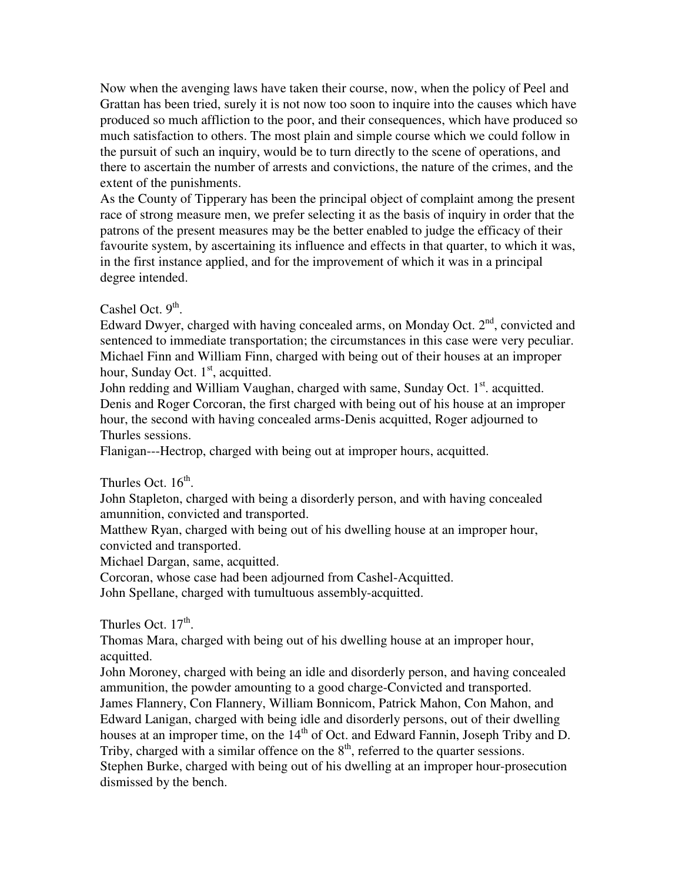Now when the avenging laws have taken their course, now, when the policy of Peel and Grattan has been tried, surely it is not now too soon to inquire into the causes which have produced so much affliction to the poor, and their consequences, which have produced so much satisfaction to others. The most plain and simple course which we could follow in the pursuit of such an inquiry, would be to turn directly to the scene of operations, and there to ascertain the number of arrests and convictions, the nature of the crimes, and the extent of the punishments.

As the County of Tipperary has been the principal object of complaint among the present race of strong measure men, we prefer selecting it as the basis of inquiry in order that the patrons of the present measures may be the better enabled to judge the efficacy of their favourite system, by ascertaining its influence and effects in that quarter, to which it was, in the first instance applied, and for the improvement of which it was in a principal degree intended.

# Cashel Oct.  $9<sup>th</sup>$ .

Edward Dwyer, charged with having concealed arms, on Monday Oct.  $2<sup>nd</sup>$ , convicted and sentenced to immediate transportation; the circumstances in this case were very peculiar. Michael Finn and William Finn, charged with being out of their houses at an improper hour, Sunday Oct.  $1<sup>st</sup>$ , acquitted.

John redding and William Vaughan, charged with same, Sunday Oct.  $1<sup>st</sup>$ . acquitted. Denis and Roger Corcoran, the first charged with being out of his house at an improper hour, the second with having concealed arms-Denis acquitted, Roger adjourned to Thurles sessions.

Flanigan---Hectrop, charged with being out at improper hours, acquitted.

# Thurles Oct.  $16<sup>th</sup>$ .

John Stapleton, charged with being a disorderly person, and with having concealed amunnition, convicted and transported.

Matthew Ryan, charged with being out of his dwelling house at an improper hour, convicted and transported.

Michael Dargan, same, acquitted.

Corcoran, whose case had been adjourned from Cashel-Acquitted.

John Spellane, charged with tumultuous assembly-acquitted.

Thurles Oct.  $17<sup>th</sup>$ .

Thomas Mara, charged with being out of his dwelling house at an improper hour, acquitted.

John Moroney, charged with being an idle and disorderly person, and having concealed ammunition, the powder amounting to a good charge-Convicted and transported. James Flannery, Con Flannery, William Bonnicom, Patrick Mahon, Con Mahon, and Edward Lanigan, charged with being idle and disorderly persons, out of their dwelling houses at an improper time, on the 14<sup>th</sup> of Oct. and Edward Fannin, Joseph Triby and D. Triby, charged with a similar offence on the  $8<sup>th</sup>$ , referred to the quarter sessions. Stephen Burke, charged with being out of his dwelling at an improper hour-prosecution dismissed by the bench.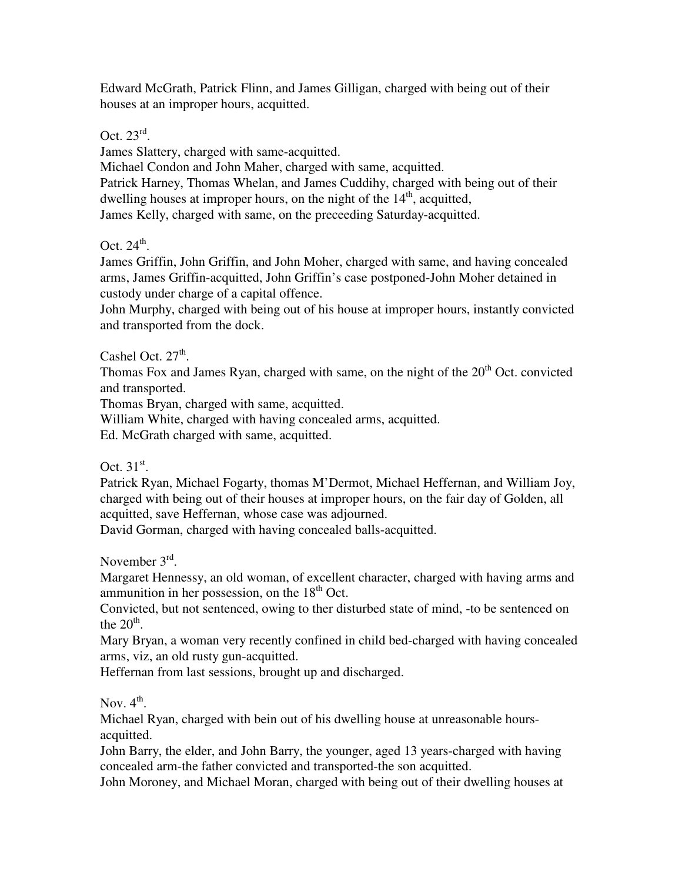Edward McGrath, Patrick Flinn, and James Gilligan, charged with being out of their houses at an improper hours, acquitted.

Oct.  $23^{\text{rd}}$ .

James Slattery, charged with same-acquitted.

Michael Condon and John Maher, charged with same, acquitted.

Patrick Harney, Thomas Whelan, and James Cuddihy, charged with being out of their dwelling houses at improper hours, on the night of the  $14<sup>th</sup>$ , acquitted,

James Kelly, charged with same, on the preceeding Saturday-acquitted.

Oct.  $24^{\text{th}}$ .

James Griffin, John Griffin, and John Moher, charged with same, and having concealed arms, James Griffin-acquitted, John Griffin's case postponed-John Moher detained in custody under charge of a capital offence.

John Murphy, charged with being out of his house at improper hours, instantly convicted and transported from the dock.

Cashel Oct.  $27<sup>th</sup>$ .

Thomas Fox and James Ryan, charged with same, on the night of the  $20<sup>th</sup>$  Oct. convicted and transported.

Thomas Bryan, charged with same, acquitted.

William White, charged with having concealed arms, acquitted.

Ed. McGrath charged with same, acquitted.

Oct.  $31<sup>st</sup>$ .

Patrick Ryan, Michael Fogarty, thomas M'Dermot, Michael Heffernan, and William Joy, charged with being out of their houses at improper hours, on the fair day of Golden, all acquitted, save Heffernan, whose case was adjourned.

David Gorman, charged with having concealed balls-acquitted.

November 3<sup>rd</sup>.

Margaret Hennessy, an old woman, of excellent character, charged with having arms and ammunition in her possession, on the  $18<sup>th</sup>$  Oct.

Convicted, but not sentenced, owing to ther disturbed state of mind, -to be sentenced on the  $20<sup>th</sup>$ .

Mary Bryan, a woman very recently confined in child bed-charged with having concealed arms, viz, an old rusty gun-acquitted.

Heffernan from last sessions, brought up and discharged.

Nov.  $4^{\text{th}}$ .

Michael Ryan, charged with bein out of his dwelling house at unreasonable hoursacquitted.

John Barry, the elder, and John Barry, the younger, aged 13 years-charged with having concealed arm-the father convicted and transported-the son acquitted.

John Moroney, and Michael Moran, charged with being out of their dwelling houses at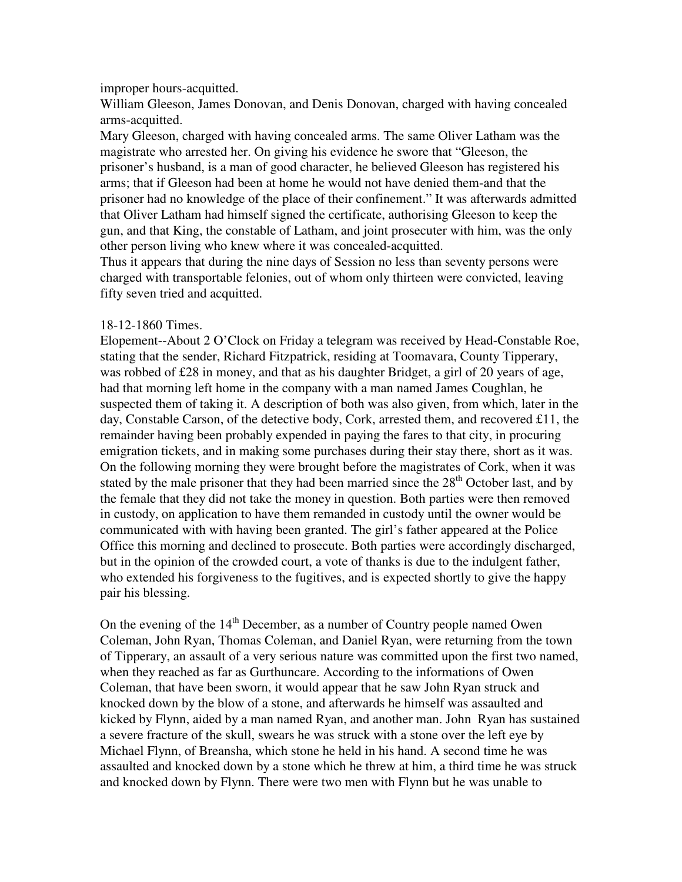#### improper hours-acquitted.

William Gleeson, James Donovan, and Denis Donovan, charged with having concealed arms-acquitted.

Mary Gleeson, charged with having concealed arms. The same Oliver Latham was the magistrate who arrested her. On giving his evidence he swore that "Gleeson, the prisoner's husband, is a man of good character, he believed Gleeson has registered his arms; that if Gleeson had been at home he would not have denied them-and that the prisoner had no knowledge of the place of their confinement." It was afterwards admitted that Oliver Latham had himself signed the certificate, authorising Gleeson to keep the gun, and that King, the constable of Latham, and joint prosecuter with him, was the only other person living who knew where it was concealed-acquitted.

Thus it appears that during the nine days of Session no less than seventy persons were charged with transportable felonies, out of whom only thirteen were convicted, leaving fifty seven tried and acquitted.

# 18-12-1860 Times.

Elopement--About 2 O'Clock on Friday a telegram was received by Head-Constable Roe, stating that the sender, Richard Fitzpatrick, residing at Toomavara, County Tipperary, was robbed of  $\pounds 28$  in money, and that as his daughter Bridget, a girl of 20 years of age, had that morning left home in the company with a man named James Coughlan, he suspected them of taking it. A description of both was also given, from which, later in the day, Constable Carson, of the detective body, Cork, arrested them, and recovered £11, the remainder having been probably expended in paying the fares to that city, in procuring emigration tickets, and in making some purchases during their stay there, short as it was. On the following morning they were brought before the magistrates of Cork, when it was stated by the male prisoner that they had been married since the  $28<sup>th</sup>$  October last, and by the female that they did not take the money in question. Both parties were then removed in custody, on application to have them remanded in custody until the owner would be communicated with with having been granted. The girl's father appeared at the Police Office this morning and declined to prosecute. Both parties were accordingly discharged, but in the opinion of the crowded court, a vote of thanks is due to the indulgent father, who extended his forgiveness to the fugitives, and is expected shortly to give the happy pair his blessing.

On the evening of the  $14<sup>th</sup>$  December, as a number of Country people named Owen Coleman, John Ryan, Thomas Coleman, and Daniel Ryan, were returning from the town of Tipperary, an assault of a very serious nature was committed upon the first two named, when they reached as far as Gurthuncare. According to the informations of Owen Coleman, that have been sworn, it would appear that he saw John Ryan struck and knocked down by the blow of a stone, and afterwards he himself was assaulted and kicked by Flynn, aided by a man named Ryan, and another man. John Ryan has sustained a severe fracture of the skull, swears he was struck with a stone over the left eye by Michael Flynn, of Breansha, which stone he held in his hand. A second time he was assaulted and knocked down by a stone which he threw at him, a third time he was struck and knocked down by Flynn. There were two men with Flynn but he was unable to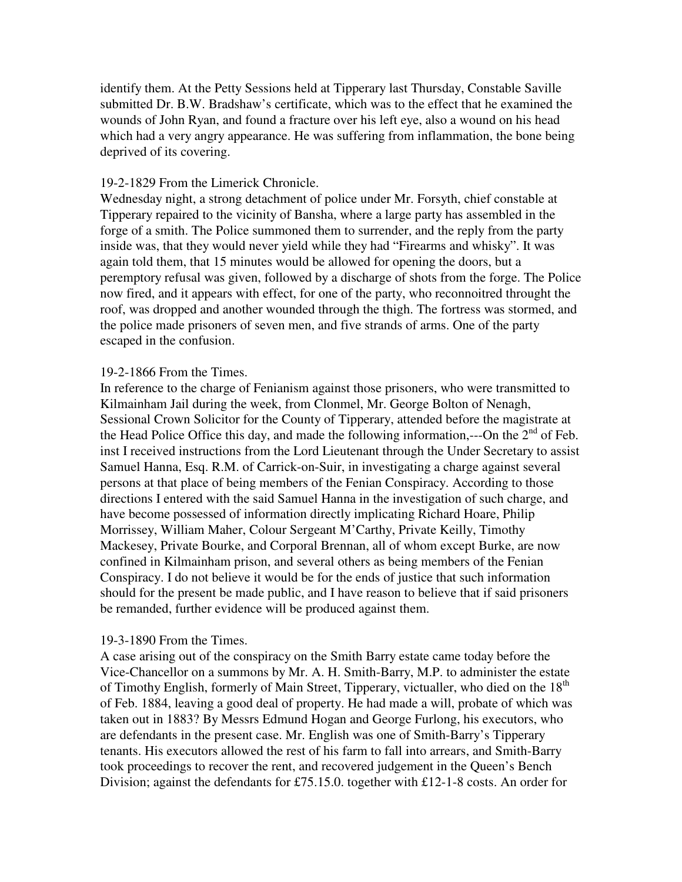identify them. At the Petty Sessions held at Tipperary last Thursday, Constable Saville submitted Dr. B.W. Bradshaw's certificate, which was to the effect that he examined the wounds of John Ryan, and found a fracture over his left eye, also a wound on his head which had a very angry appearance. He was suffering from inflammation, the bone being deprived of its covering.

#### 19-2-1829 From the Limerick Chronicle.

Wednesday night, a strong detachment of police under Mr. Forsyth, chief constable at Tipperary repaired to the vicinity of Bansha, where a large party has assembled in the forge of a smith. The Police summoned them to surrender, and the reply from the party inside was, that they would never yield while they had "Firearms and whisky". It was again told them, that 15 minutes would be allowed for opening the doors, but a peremptory refusal was given, followed by a discharge of shots from the forge. The Police now fired, and it appears with effect, for one of the party, who reconnoitred throught the roof, was dropped and another wounded through the thigh. The fortress was stormed, and the police made prisoners of seven men, and five strands of arms. One of the party escaped in the confusion.

#### 19-2-1866 From the Times.

In reference to the charge of Fenianism against those prisoners, who were transmitted to Kilmainham Jail during the week, from Clonmel, Mr. George Bolton of Nenagh, Sessional Crown Solicitor for the County of Tipperary, attended before the magistrate at the Head Police Office this day, and made the following information,---On the  $2<sup>nd</sup>$  of Feb. inst I received instructions from the Lord Lieutenant through the Under Secretary to assist Samuel Hanna, Esq. R.M. of Carrick-on-Suir, in investigating a charge against several persons at that place of being members of the Fenian Conspiracy. According to those directions I entered with the said Samuel Hanna in the investigation of such charge, and have become possessed of information directly implicating Richard Hoare, Philip Morrissey, William Maher, Colour Sergeant M'Carthy, Private Keilly, Timothy Mackesey, Private Bourke, and Corporal Brennan, all of whom except Burke, are now confined in Kilmainham prison, and several others as being members of the Fenian Conspiracy. I do not believe it would be for the ends of justice that such information should for the present be made public, and I have reason to believe that if said prisoners be remanded, further evidence will be produced against them.

# 19-3-1890 From the Times.

A case arising out of the conspiracy on the Smith Barry estate came today before the Vice-Chancellor on a summons by Mr. A. H. Smith-Barry, M.P. to administer the estate of Timothy English, formerly of Main Street, Tipperary, victualler, who died on the 18<sup>th</sup> of Feb. 1884, leaving a good deal of property. He had made a will, probate of which was taken out in 1883? By Messrs Edmund Hogan and George Furlong, his executors, who are defendants in the present case. Mr. English was one of Smith-Barry's Tipperary tenants. His executors allowed the rest of his farm to fall into arrears, and Smith-Barry took proceedings to recover the rent, and recovered judgement in the Queen's Bench Division; against the defendants for £75.15.0. together with £12-1-8 costs. An order for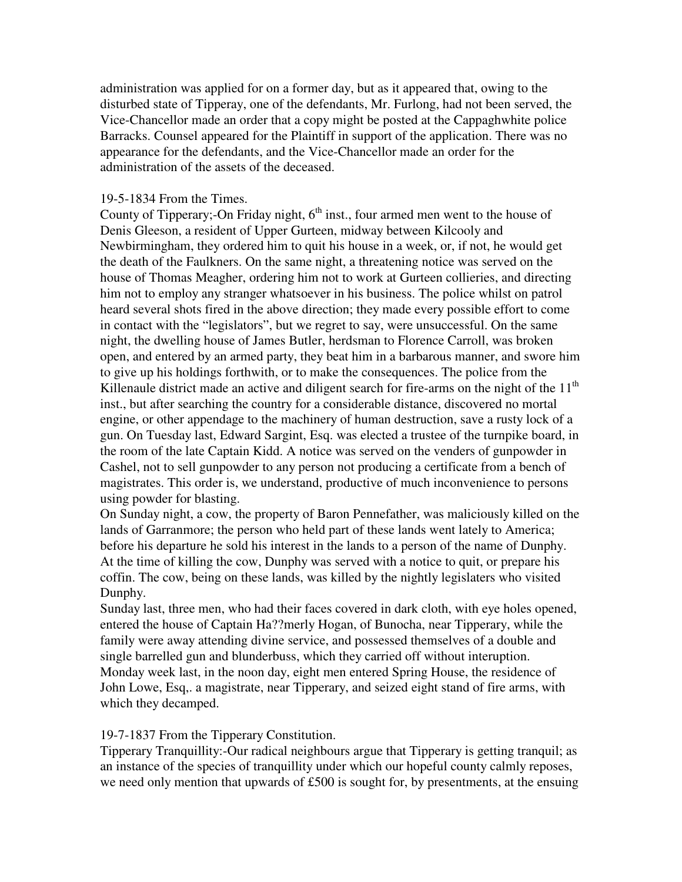administration was applied for on a former day, but as it appeared that, owing to the disturbed state of Tipperay, one of the defendants, Mr. Furlong, had not been served, the Vice-Chancellor made an order that a copy might be posted at the Cappaghwhite police Barracks. Counsel appeared for the Plaintiff in support of the application. There was no appearance for the defendants, and the Vice-Chancellor made an order for the administration of the assets of the deceased.

### 19-5-1834 From the Times.

County of Tipperary;-On Friday night,  $6<sup>th</sup>$  inst., four armed men went to the house of Denis Gleeson, a resident of Upper Gurteen, midway between Kilcooly and Newbirmingham, they ordered him to quit his house in a week, or, if not, he would get the death of the Faulkners. On the same night, a threatening notice was served on the house of Thomas Meagher, ordering him not to work at Gurteen collieries, and directing him not to employ any stranger whatsoever in his business. The police whilst on patrol heard several shots fired in the above direction; they made every possible effort to come in contact with the "legislators", but we regret to say, were unsuccessful. On the same night, the dwelling house of James Butler, herdsman to Florence Carroll, was broken open, and entered by an armed party, they beat him in a barbarous manner, and swore him to give up his holdings forthwith, or to make the consequences. The police from the Killenaule district made an active and diligent search for fire-arms on the night of the  $11<sup>th</sup>$ inst., but after searching the country for a considerable distance, discovered no mortal engine, or other appendage to the machinery of human destruction, save a rusty lock of a gun. On Tuesday last, Edward Sargint, Esq. was elected a trustee of the turnpike board, in the room of the late Captain Kidd. A notice was served on the venders of gunpowder in Cashel, not to sell gunpowder to any person not producing a certificate from a bench of magistrates. This order is, we understand, productive of much inconvenience to persons using powder for blasting.

On Sunday night, a cow, the property of Baron Pennefather, was maliciously killed on the lands of Garranmore; the person who held part of these lands went lately to America; before his departure he sold his interest in the lands to a person of the name of Dunphy. At the time of killing the cow, Dunphy was served with a notice to quit, or prepare his coffin. The cow, being on these lands, was killed by the nightly legislaters who visited Dunphy.

Sunday last, three men, who had their faces covered in dark cloth, with eye holes opened, entered the house of Captain Ha??merly Hogan, of Bunocha, near Tipperary, while the family were away attending divine service, and possessed themselves of a double and single barrelled gun and blunderbuss, which they carried off without interuption. Monday week last, in the noon day, eight men entered Spring House, the residence of John Lowe, Esq,. a magistrate, near Tipperary, and seized eight stand of fire arms, with which they decamped.

# 19-7-1837 From the Tipperary Constitution.

Tipperary Tranquillity:-Our radical neighbours argue that Tipperary is getting tranquil; as an instance of the species of tranquillity under which our hopeful county calmly reposes, we need only mention that upwards of £500 is sought for, by presentments, at the ensuing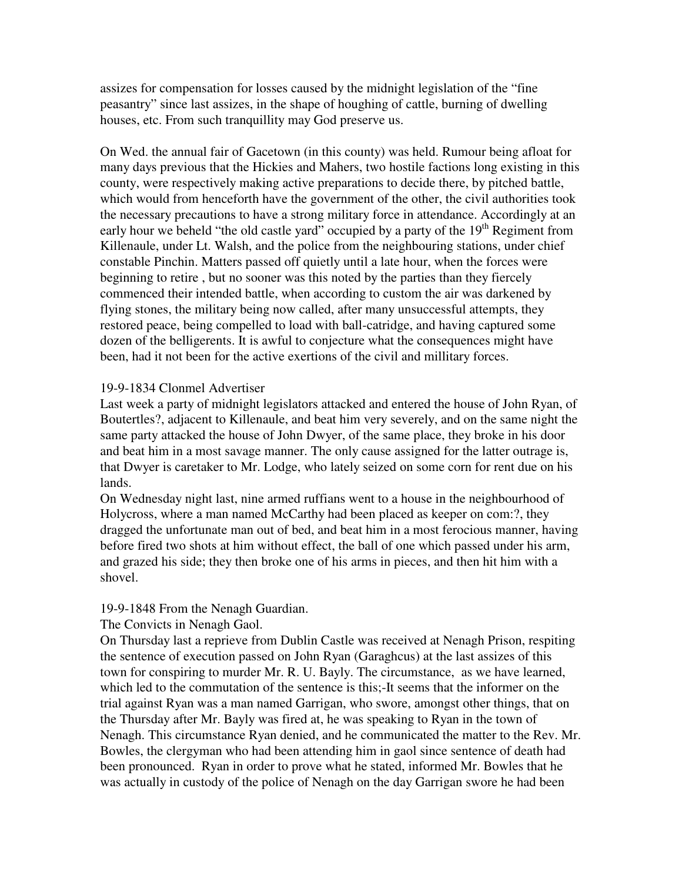assizes for compensation for losses caused by the midnight legislation of the "fine peasantry" since last assizes, in the shape of houghing of cattle, burning of dwelling houses, etc. From such tranquillity may God preserve us.

On Wed. the annual fair of Gacetown (in this county) was held. Rumour being afloat for many days previous that the Hickies and Mahers, two hostile factions long existing in this county, were respectively making active preparations to decide there, by pitched battle, which would from henceforth have the government of the other, the civil authorities took the necessary precautions to have a strong military force in attendance. Accordingly at an early hour we beheld "the old castle yard" occupied by a party of the  $19<sup>th</sup>$  Regiment from Killenaule, under Lt. Walsh, and the police from the neighbouring stations, under chief constable Pinchin. Matters passed off quietly until a late hour, when the forces were beginning to retire , but no sooner was this noted by the parties than they fiercely commenced their intended battle, when according to custom the air was darkened by flying stones, the military being now called, after many unsuccessful attempts, they restored peace, being compelled to load with ball-catridge, and having captured some dozen of the belligerents. It is awful to conjecture what the consequences might have been, had it not been for the active exertions of the civil and millitary forces.

# 19-9-1834 Clonmel Advertiser

Last week a party of midnight legislators attacked and entered the house of John Ryan, of Boutertles?, adjacent to Killenaule, and beat him very severely, and on the same night the same party attacked the house of John Dwyer, of the same place, they broke in his door and beat him in a most savage manner. The only cause assigned for the latter outrage is, that Dwyer is caretaker to Mr. Lodge, who lately seized on some corn for rent due on his lands.

On Wednesday night last, nine armed ruffians went to a house in the neighbourhood of Holycross, where a man named McCarthy had been placed as keeper on com:?, they dragged the unfortunate man out of bed, and beat him in a most ferocious manner, having before fired two shots at him without effect, the ball of one which passed under his arm, and grazed his side; they then broke one of his arms in pieces, and then hit him with a shovel.

# 19-9-1848 From the Nenagh Guardian.

# The Convicts in Nenagh Gaol.

On Thursday last a reprieve from Dublin Castle was received at Nenagh Prison, respiting the sentence of execution passed on John Ryan (Garaghcus) at the last assizes of this town for conspiring to murder Mr. R. U. Bayly. The circumstance, as we have learned, which led to the commutation of the sentence is this;-It seems that the informer on the trial against Ryan was a man named Garrigan, who swore, amongst other things, that on the Thursday after Mr. Bayly was fired at, he was speaking to Ryan in the town of Nenagh. This circumstance Ryan denied, and he communicated the matter to the Rev. Mr. Bowles, the clergyman who had been attending him in gaol since sentence of death had been pronounced. Ryan in order to prove what he stated, informed Mr. Bowles that he was actually in custody of the police of Nenagh on the day Garrigan swore he had been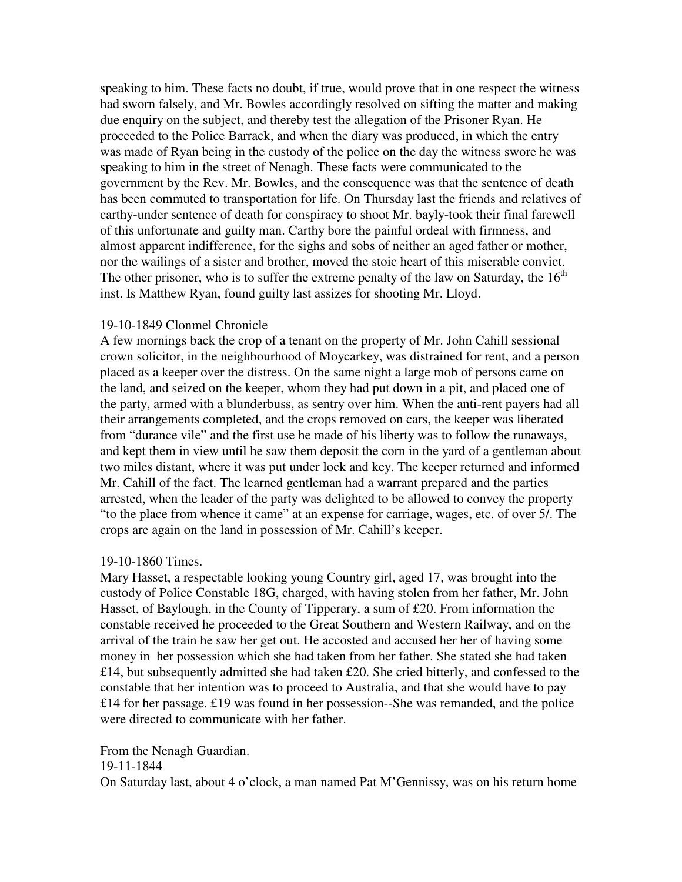speaking to him. These facts no doubt, if true, would prove that in one respect the witness had sworn falsely, and Mr. Bowles accordingly resolved on sifting the matter and making due enquiry on the subject, and thereby test the allegation of the Prisoner Ryan. He proceeded to the Police Barrack, and when the diary was produced, in which the entry was made of Ryan being in the custody of the police on the day the witness swore he was speaking to him in the street of Nenagh. These facts were communicated to the government by the Rev. Mr. Bowles, and the consequence was that the sentence of death has been commuted to transportation for life. On Thursday last the friends and relatives of carthy-under sentence of death for conspiracy to shoot Mr. bayly-took their final farewell of this unfortunate and guilty man. Carthy bore the painful ordeal with firmness, and almost apparent indifference, for the sighs and sobs of neither an aged father or mother, nor the wailings of a sister and brother, moved the stoic heart of this miserable convict. The other prisoner, who is to suffer the extreme penalty of the law on Saturday, the  $16<sup>th</sup>$ inst. Is Matthew Ryan, found guilty last assizes for shooting Mr. Lloyd.

# 19-10-1849 Clonmel Chronicle

A few mornings back the crop of a tenant on the property of Mr. John Cahill sessional crown solicitor, in the neighbourhood of Moycarkey, was distrained for rent, and a person placed as a keeper over the distress. On the same night a large mob of persons came on the land, and seized on the keeper, whom they had put down in a pit, and placed one of the party, armed with a blunderbuss, as sentry over him. When the anti-rent payers had all their arrangements completed, and the crops removed on cars, the keeper was liberated from "durance vile" and the first use he made of his liberty was to follow the runaways, and kept them in view until he saw them deposit the corn in the yard of a gentleman about two miles distant, where it was put under lock and key. The keeper returned and informed Mr. Cahill of the fact. The learned gentleman had a warrant prepared and the parties arrested, when the leader of the party was delighted to be allowed to convey the property "to the place from whence it came" at an expense for carriage, wages, etc. of over 5/. The crops are again on the land in possession of Mr. Cahill's keeper.

#### 19-10-1860 Times.

Mary Hasset, a respectable looking young Country girl, aged 17, was brought into the custody of Police Constable 18G, charged, with having stolen from her father, Mr. John Hasset, of Baylough, in the County of Tipperary, a sum of £20. From information the constable received he proceeded to the Great Southern and Western Railway, and on the arrival of the train he saw her get out. He accosted and accused her her of having some money in her possession which she had taken from her father. She stated she had taken £14, but subsequently admitted she had taken £20. She cried bitterly, and confessed to the constable that her intention was to proceed to Australia, and that she would have to pay £14 for her passage. £19 was found in her possession--She was remanded, and the police were directed to communicate with her father.

From the Nenagh Guardian.

# 19-11-1844

On Saturday last, about 4 o'clock, a man named Pat M'Gennissy, was on his return home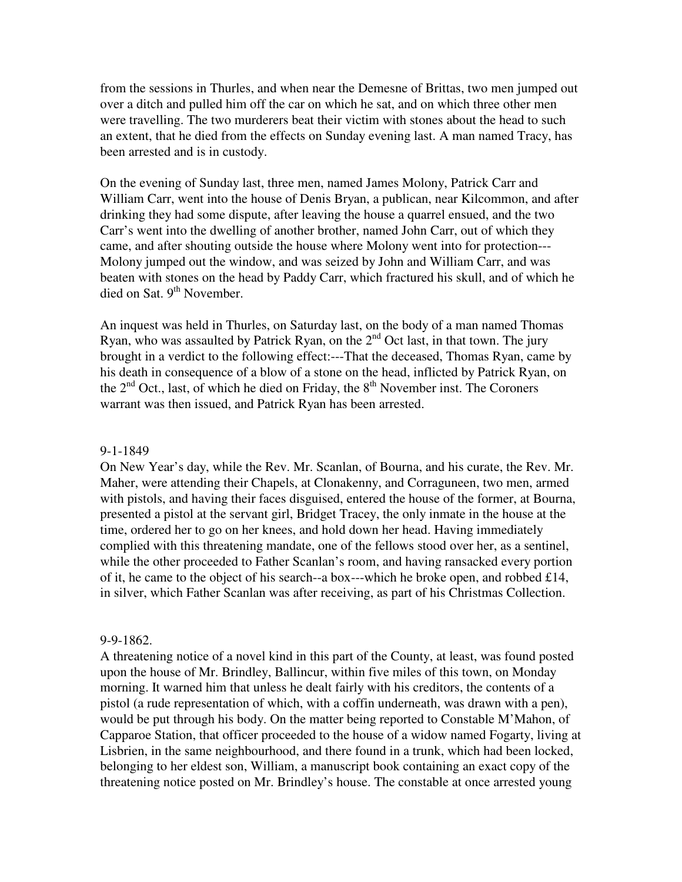from the sessions in Thurles, and when near the Demesne of Brittas, two men jumped out over a ditch and pulled him off the car on which he sat, and on which three other men were travelling. The two murderers beat their victim with stones about the head to such an extent, that he died from the effects on Sunday evening last. A man named Tracy, has been arrested and is in custody.

On the evening of Sunday last, three men, named James Molony, Patrick Carr and William Carr, went into the house of Denis Bryan, a publican, near Kilcommon, and after drinking they had some dispute, after leaving the house a quarrel ensued, and the two Carr's went into the dwelling of another brother, named John Carr, out of which they came, and after shouting outside the house where Molony went into for protection--- Molony jumped out the window, and was seized by John and William Carr, and was beaten with stones on the head by Paddy Carr, which fractured his skull, and of which he died on Sat.  $9<sup>th</sup>$  November.

An inquest was held in Thurles, on Saturday last, on the body of a man named Thomas Ryan, who was assaulted by Patrick Ryan, on the  $2<sup>nd</sup>$  Oct last, in that town. The jury brought in a verdict to the following effect:---That the deceased, Thomas Ryan, came by his death in consequence of a blow of a stone on the head, inflicted by Patrick Ryan, on the  $2<sup>nd</sup>$  Oct., last, of which he died on Friday, the  $8<sup>th</sup>$  November inst. The Coroners warrant was then issued, and Patrick Ryan has been arrested.

#### 9-1-1849

On New Year's day, while the Rev. Mr. Scanlan, of Bourna, and his curate, the Rev. Mr. Maher, were attending their Chapels, at Clonakenny, and Corraguneen, two men, armed with pistols, and having their faces disguised, entered the house of the former, at Bourna, presented a pistol at the servant girl, Bridget Tracey, the only inmate in the house at the time, ordered her to go on her knees, and hold down her head. Having immediately complied with this threatening mandate, one of the fellows stood over her, as a sentinel, while the other proceeded to Father Scanlan's room, and having ransacked every portion of it, he came to the object of his search--a box---which he broke open, and robbed  $\pounds 14$ , in silver, which Father Scanlan was after receiving, as part of his Christmas Collection.

#### 9-9-1862.

A threatening notice of a novel kind in this part of the County, at least, was found posted upon the house of Mr. Brindley, Ballincur, within five miles of this town, on Monday morning. It warned him that unless he dealt fairly with his creditors, the contents of a pistol (a rude representation of which, with a coffin underneath, was drawn with a pen), would be put through his body. On the matter being reported to Constable M'Mahon, of Capparoe Station, that officer proceeded to the house of a widow named Fogarty, living at Lisbrien, in the same neighbourhood, and there found in a trunk, which had been locked, belonging to her eldest son, William, a manuscript book containing an exact copy of the threatening notice posted on Mr. Brindley's house. The constable at once arrested young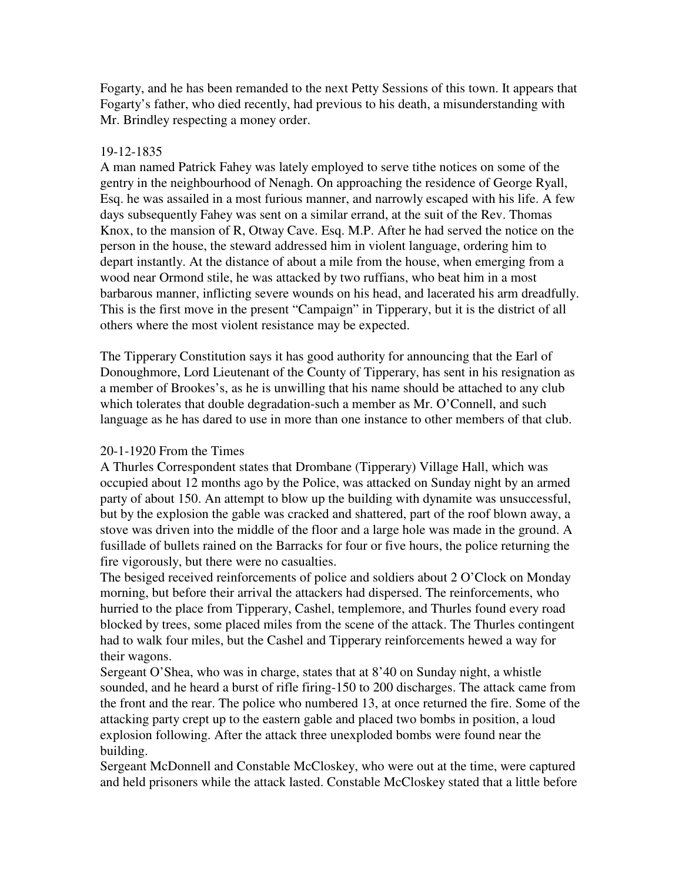Fogarty, and he has been remanded to the next Petty Sessions of this town. It appears that Fogarty's father, who died recently, had previous to his death, a misunderstanding with Mr. Brindley respecting a money order.

#### 19-12-1835

A man named Patrick Fahey was lately employed to serve tithe notices on some of the gentry in the neighbourhood of Nenagh. On approaching the residence of George Ryall, Esq. he was assailed in a most furious manner, and narrowly escaped with his life. A few days subsequently Fahey was sent on a similar errand, at the suit of the Rev. Thomas Knox, to the mansion of R, Otway Cave. Esq. M.P. After he had served the notice on the person in the house, the steward addressed him in violent language, ordering him to depart instantly. At the distance of about a mile from the house, when emerging from a wood near Ormond stile, he was attacked by two ruffians, who beat him in a most barbarous manner, inflicting severe wounds on his head, and lacerated his arm dreadfully. This is the first move in the present "Campaign" in Tipperary, but it is the district of all others where the most violent resistance may be expected.

The Tipperary Constitution says it has good authority for announcing that the Earl of Donoughmore, Lord Lieutenant of the County of Tipperary, has sent in his resignation as a member of Brookes's, as he is unwilling that his name should be attached to any club which tolerates that double degradation-such a member as Mr. O'Connell, and such language as he has dared to use in more than one instance to other members of that club.

# 20-1-1920 From the Times

A Thurles Correspondent states that Drombane (Tipperary) Village Hall, which was occupied about 12 months ago by the Police, was attacked on Sunday night by an armed party of about 150. An attempt to blow up the building with dynamite was unsuccessful, but by the explosion the gable was cracked and shattered, part of the roof blown away, a stove was driven into the middle of the floor and a large hole was made in the ground. A fusillade of bullets rained on the Barracks for four or five hours, the police returning the fire vigorously, but there were no casualties.

The besiged received reinforcements of police and soldiers about 2 O'Clock on Monday morning, but before their arrival the attackers had dispersed. The reinforcements, who hurried to the place from Tipperary, Cashel, templemore, and Thurles found every road blocked by trees, some placed miles from the scene of the attack. The Thurles contingent had to walk four miles, but the Cashel and Tipperary reinforcements hewed a way for their wagons.

Sergeant O'Shea, who was in charge, states that at 8'40 on Sunday night, a whistle sounded, and he heard a burst of rifle firing-150 to 200 discharges. The attack came from the front and the rear. The police who numbered 13, at once returned the fire. Some of the attacking party crept up to the eastern gable and placed two bombs in position, a loud explosion following. After the attack three unexploded bombs were found near the building.

Sergeant McDonnell and Constable McCloskey, who were out at the time, were captured and held prisoners while the attack lasted. Constable McCloskey stated that a little before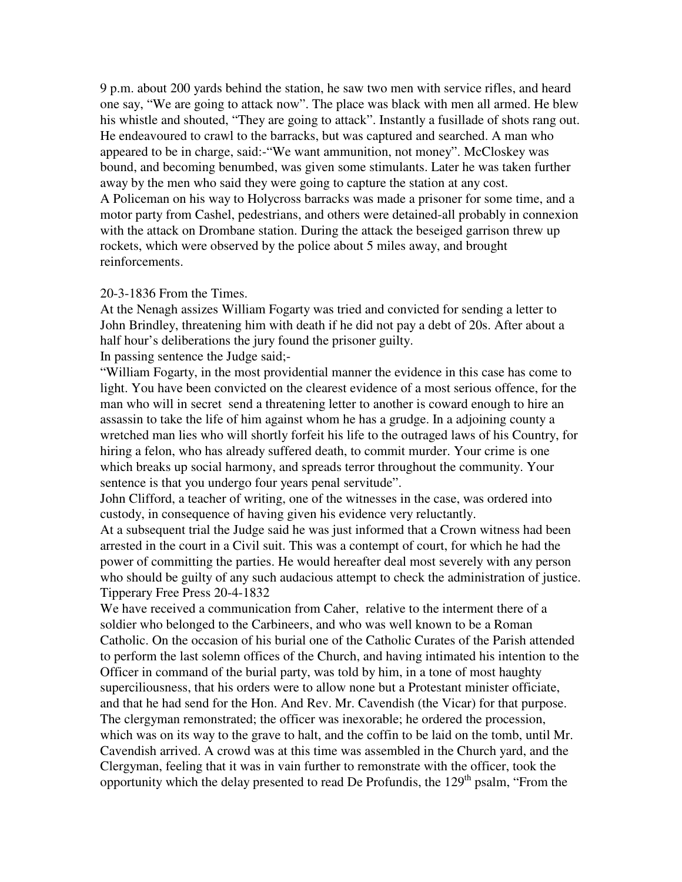9 p.m. about 200 yards behind the station, he saw two men with service rifles, and heard one say, "We are going to attack now". The place was black with men all armed. He blew his whistle and shouted, "They are going to attack". Instantly a fusillade of shots rang out. He endeavoured to crawl to the barracks, but was captured and searched. A man who appeared to be in charge, said:-"We want ammunition, not money". McCloskey was bound, and becoming benumbed, was given some stimulants. Later he was taken further away by the men who said they were going to capture the station at any cost. A Policeman on his way to Holycross barracks was made a prisoner for some time, and a motor party from Cashel, pedestrians, and others were detained-all probably in connexion with the attack on Drombane station. During the attack the beseiged garrison threw up rockets, which were observed by the police about 5 miles away, and brought reinforcements.

#### 20-3-1836 From the Times.

At the Nenagh assizes William Fogarty was tried and convicted for sending a letter to John Brindley, threatening him with death if he did not pay a debt of 20s. After about a half hour's deliberations the jury found the prisoner guilty.

In passing sentence the Judge said;-

"William Fogarty, in the most providential manner the evidence in this case has come to light. You have been convicted on the clearest evidence of a most serious offence, for the man who will in secret send a threatening letter to another is coward enough to hire an assassin to take the life of him against whom he has a grudge. In a adjoining county a wretched man lies who will shortly forfeit his life to the outraged laws of his Country, for hiring a felon, who has already suffered death, to commit murder. Your crime is one which breaks up social harmony, and spreads terror throughout the community. Your sentence is that you undergo four years penal servitude".

John Clifford, a teacher of writing, one of the witnesses in the case, was ordered into custody, in consequence of having given his evidence very reluctantly.

At a subsequent trial the Judge said he was just informed that a Crown witness had been arrested in the court in a Civil suit. This was a contempt of court, for which he had the power of committing the parties. He would hereafter deal most severely with any person who should be guilty of any such audacious attempt to check the administration of justice. Tipperary Free Press 20-4-1832

We have received a communication from Caher, relative to the interment there of a soldier who belonged to the Carbineers, and who was well known to be a Roman Catholic. On the occasion of his burial one of the Catholic Curates of the Parish attended to perform the last solemn offices of the Church, and having intimated his intention to the Officer in command of the burial party, was told by him, in a tone of most haughty superciliousness, that his orders were to allow none but a Protestant minister officiate, and that he had send for the Hon. And Rev. Mr. Cavendish (the Vicar) for that purpose. The clergyman remonstrated; the officer was inexorable; he ordered the procession, which was on its way to the grave to halt, and the coffin to be laid on the tomb, until Mr. Cavendish arrived. A crowd was at this time was assembled in the Church yard, and the Clergyman, feeling that it was in vain further to remonstrate with the officer, took the opportunity which the delay presented to read De Profundis, the  $129<sup>th</sup>$  psalm, "From the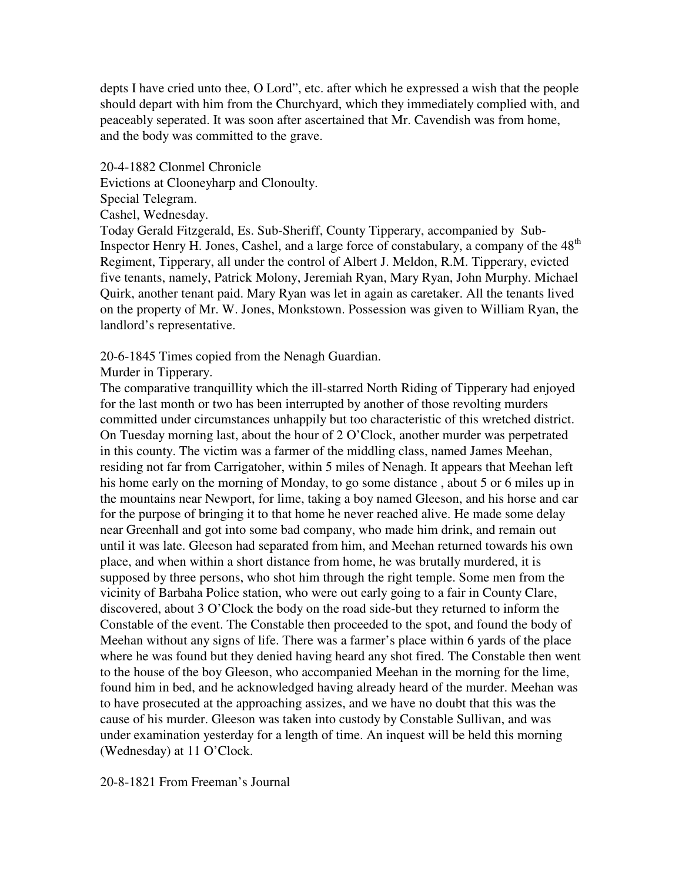depts I have cried unto thee, O Lord", etc. after which he expressed a wish that the people should depart with him from the Churchyard, which they immediately complied with, and peaceably seperated. It was soon after ascertained that Mr. Cavendish was from home, and the body was committed to the grave.

20-4-1882 Clonmel Chronicle

Evictions at Clooneyharp and Clonoulty.

Special Telegram.

Cashel, Wednesday.

Today Gerald Fitzgerald, Es. Sub-Sheriff, County Tipperary, accompanied by Sub-Inspector Henry H. Jones, Cashel, and a large force of constabulary, a company of the 48<sup>th</sup> Regiment, Tipperary, all under the control of Albert J. Meldon, R.M. Tipperary, evicted five tenants, namely, Patrick Molony, Jeremiah Ryan, Mary Ryan, John Murphy. Michael Quirk, another tenant paid. Mary Ryan was let in again as caretaker. All the tenants lived on the property of Mr. W. Jones, Monkstown. Possession was given to William Ryan, the landlord's representative.

20-6-1845 Times copied from the Nenagh Guardian.

Murder in Tipperary.

The comparative tranquillity which the ill-starred North Riding of Tipperary had enjoyed for the last month or two has been interrupted by another of those revolting murders committed under circumstances unhappily but too characteristic of this wretched district. On Tuesday morning last, about the hour of 2 O'Clock, another murder was perpetrated in this county. The victim was a farmer of the middling class, named James Meehan, residing not far from Carrigatoher, within 5 miles of Nenagh. It appears that Meehan left his home early on the morning of Monday, to go some distance , about 5 or 6 miles up in the mountains near Newport, for lime, taking a boy named Gleeson, and his horse and car for the purpose of bringing it to that home he never reached alive. He made some delay near Greenhall and got into some bad company, who made him drink, and remain out until it was late. Gleeson had separated from him, and Meehan returned towards his own place, and when within a short distance from home, he was brutally murdered, it is supposed by three persons, who shot him through the right temple. Some men from the vicinity of Barbaha Police station, who were out early going to a fair in County Clare, discovered, about 3 O'Clock the body on the road side-but they returned to inform the Constable of the event. The Constable then proceeded to the spot, and found the body of Meehan without any signs of life. There was a farmer's place within 6 yards of the place where he was found but they denied having heard any shot fired. The Constable then went to the house of the boy Gleeson, who accompanied Meehan in the morning for the lime, found him in bed, and he acknowledged having already heard of the murder. Meehan was to have prosecuted at the approaching assizes, and we have no doubt that this was the cause of his murder. Gleeson was taken into custody by Constable Sullivan, and was under examination yesterday for a length of time. An inquest will be held this morning (Wednesday) at 11 O'Clock.

20-8-1821 From Freeman's Journal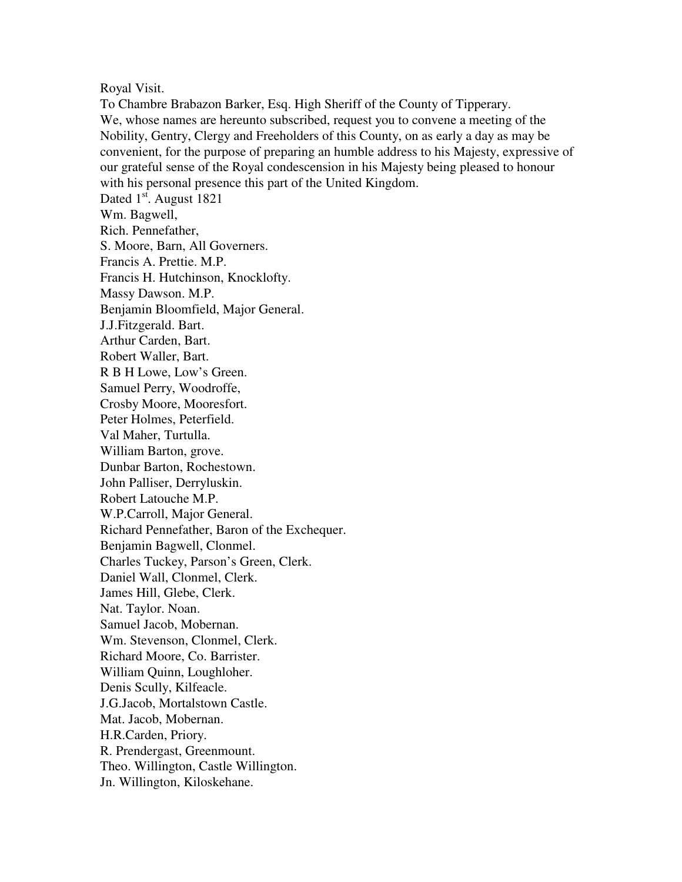#### Royal Visit.

To Chambre Brabazon Barker, Esq. High Sheriff of the County of Tipperary. We, whose names are hereunto subscribed, request you to convene a meeting of the Nobility, Gentry, Clergy and Freeholders of this County, on as early a day as may be convenient, for the purpose of preparing an humble address to his Majesty, expressive of our grateful sense of the Royal condescension in his Majesty being pleased to honour with his personal presence this part of the United Kingdom. Dated 1<sup>st</sup>. August 1821 Wm. Bagwell, Rich. Pennefather, S. Moore, Barn, All Governers. Francis A. Prettie. M.P. Francis H. Hutchinson, Knocklofty. Massy Dawson. M.P. Benjamin Bloomfield, Major General. J.J.Fitzgerald. Bart. Arthur Carden, Bart. Robert Waller, Bart. R B H Lowe, Low's Green. Samuel Perry, Woodroffe, Crosby Moore, Mooresfort. Peter Holmes, Peterfield. Val Maher, Turtulla. William Barton, grove. Dunbar Barton, Rochestown. John Palliser, Derryluskin. Robert Latouche M.P. W.P.Carroll, Major General. Richard Pennefather, Baron of the Exchequer. Benjamin Bagwell, Clonmel. Charles Tuckey, Parson's Green, Clerk. Daniel Wall, Clonmel, Clerk. James Hill, Glebe, Clerk. Nat. Taylor. Noan. Samuel Jacob, Mobernan. Wm. Stevenson, Clonmel, Clerk. Richard Moore, Co. Barrister. William Quinn, Loughloher. Denis Scully, Kilfeacle. J.G.Jacob, Mortalstown Castle. Mat. Jacob, Mobernan. H.R.Carden, Priory. R. Prendergast, Greenmount. Theo. Willington, Castle Willington. Jn. Willington, Kiloskehane.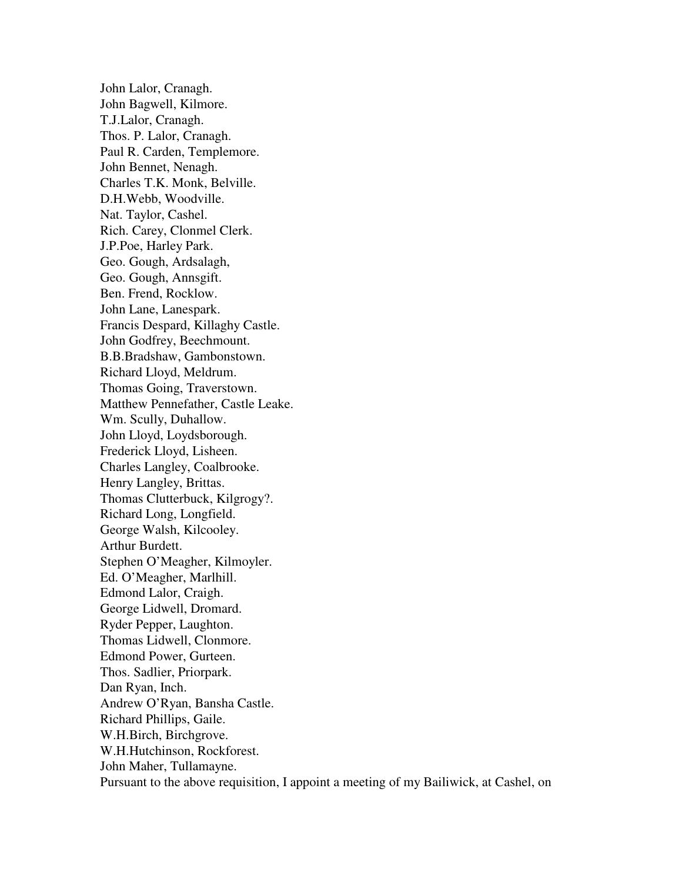John Lalor, Cranagh. John Bagwell, Kilmore. T.J.Lalor, Cranagh. Thos. P. Lalor, Cranagh. Paul R. Carden, Templemore. John Bennet, Nenagh. Charles T.K. Monk, Belville. D.H.Webb, Woodville. Nat. Taylor, Cashel. Rich. Carey, Clonmel Clerk. J.P.Poe, Harley Park. Geo. Gough, Ardsalagh, Geo. Gough, Annsgift. Ben. Frend, Rocklow. John Lane, Lanespark. Francis Despard, Killaghy Castle. John Godfrey, Beechmount. B.B.Bradshaw, Gambonstown. Richard Lloyd, Meldrum. Thomas Going, Traverstown. Matthew Pennefather, Castle Leake. Wm. Scully, Duhallow. John Lloyd, Loydsborough. Frederick Lloyd, Lisheen. Charles Langley, Coalbrooke. Henry Langley, Brittas. Thomas Clutterbuck, Kilgrogy?. Richard Long, Longfield. George Walsh, Kilcooley. Arthur Burdett. Stephen O'Meagher, Kilmoyler. Ed. O'Meagher, Marlhill. Edmond Lalor, Craigh. George Lidwell, Dromard. Ryder Pepper, Laughton. Thomas Lidwell, Clonmore. Edmond Power, Gurteen. Thos. Sadlier, Priorpark. Dan Ryan, Inch. Andrew O'Ryan, Bansha Castle. Richard Phillips, Gaile. W.H.Birch, Birchgrove. W.H.Hutchinson, Rockforest. John Maher, Tullamayne. Pursuant to the above requisition, I appoint a meeting of my Bailiwick, at Cashel, on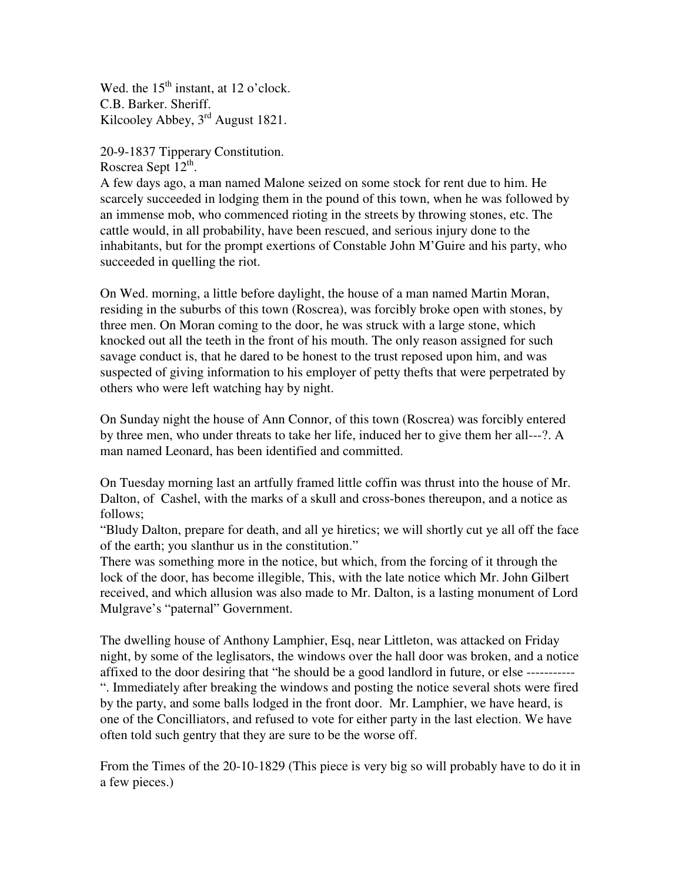Wed. the  $15<sup>th</sup>$  instant, at 12 o'clock. C.B. Barker. Sheriff. Kilcooley Abbey, 3rd August 1821.

20-9-1837 Tipperary Constitution. Roscrea Sept 12<sup>th</sup>.

A few days ago, a man named Malone seized on some stock for rent due to him. He scarcely succeeded in lodging them in the pound of this town, when he was followed by an immense mob, who commenced rioting in the streets by throwing stones, etc. The cattle would, in all probability, have been rescued, and serious injury done to the inhabitants, but for the prompt exertions of Constable John M'Guire and his party, who succeeded in quelling the riot.

On Wed. morning, a little before daylight, the house of a man named Martin Moran, residing in the suburbs of this town (Roscrea), was forcibly broke open with stones, by three men. On Moran coming to the door, he was struck with a large stone, which knocked out all the teeth in the front of his mouth. The only reason assigned for such savage conduct is, that he dared to be honest to the trust reposed upon him, and was suspected of giving information to his employer of petty thefts that were perpetrated by others who were left watching hay by night.

On Sunday night the house of Ann Connor, of this town (Roscrea) was forcibly entered by three men, who under threats to take her life, induced her to give them her all---?. A man named Leonard, has been identified and committed.

On Tuesday morning last an artfully framed little coffin was thrust into the house of Mr. Dalton, of Cashel, with the marks of a skull and cross-bones thereupon, and a notice as follows;

"Bludy Dalton, prepare for death, and all ye hiretics; we will shortly cut ye all off the face of the earth; you slanthur us in the constitution."

There was something more in the notice, but which, from the forcing of it through the lock of the door, has become illegible, This, with the late notice which Mr. John Gilbert received, and which allusion was also made to Mr. Dalton, is a lasting monument of Lord Mulgrave's "paternal" Government.

The dwelling house of Anthony Lamphier, Esq, near Littleton, was attacked on Friday night, by some of the leglisators, the windows over the hall door was broken, and a notice affixed to the door desiring that "he should be a good landlord in future, or else ----------- ". Immediately after breaking the windows and posting the notice several shots were fired by the party, and some balls lodged in the front door. Mr. Lamphier, we have heard, is one of the Concilliators, and refused to vote for either party in the last election. We have often told such gentry that they are sure to be the worse off.

From the Times of the 20-10-1829 (This piece is very big so will probably have to do it in a few pieces.)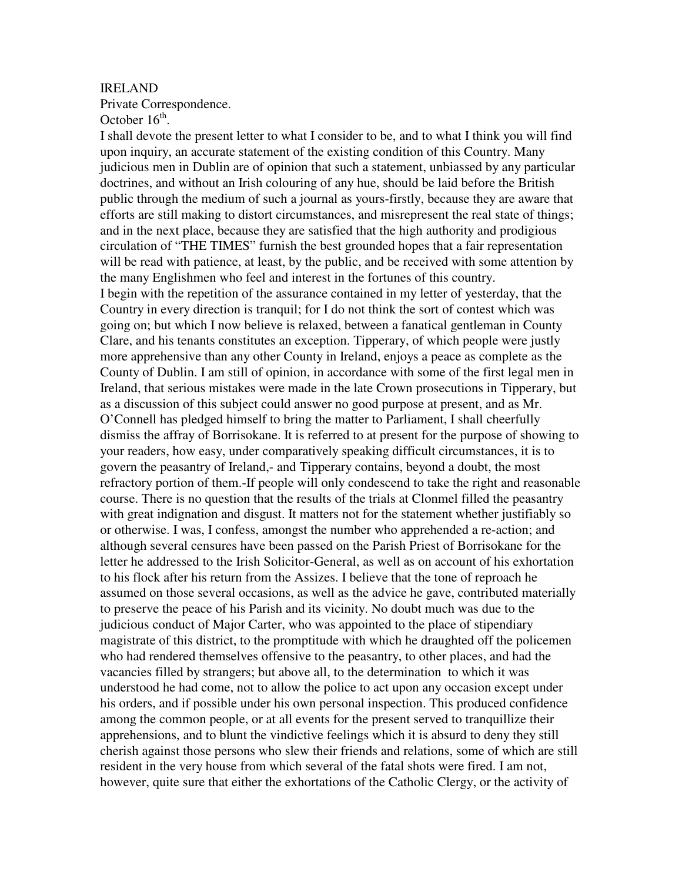#### IRELAND

Private Correspondence.

October  $16<sup>th</sup>$ .

I shall devote the present letter to what I consider to be, and to what I think you will find upon inquiry, an accurate statement of the existing condition of this Country. Many judicious men in Dublin are of opinion that such a statement, unbiassed by any particular doctrines, and without an Irish colouring of any hue, should be laid before the British public through the medium of such a journal as yours-firstly, because they are aware that efforts are still making to distort circumstances, and misrepresent the real state of things; and in the next place, because they are satisfied that the high authority and prodigious circulation of "THE TIMES" furnish the best grounded hopes that a fair representation will be read with patience, at least, by the public, and be received with some attention by the many Englishmen who feel and interest in the fortunes of this country. I begin with the repetition of the assurance contained in my letter of yesterday, that the Country in every direction is tranquil; for I do not think the sort of contest which was going on; but which I now believe is relaxed, between a fanatical gentleman in County Clare, and his tenants constitutes an exception. Tipperary, of which people were justly more apprehensive than any other County in Ireland, enjoys a peace as complete as the County of Dublin. I am still of opinion, in accordance with some of the first legal men in Ireland, that serious mistakes were made in the late Crown prosecutions in Tipperary, but as a discussion of this subject could answer no good purpose at present, and as Mr. O'Connell has pledged himself to bring the matter to Parliament, I shall cheerfully dismiss the affray of Borrisokane. It is referred to at present for the purpose of showing to your readers, how easy, under comparatively speaking difficult circumstances, it is to govern the peasantry of Ireland,- and Tipperary contains, beyond a doubt, the most refractory portion of them.-If people will only condescend to take the right and reasonable course. There is no question that the results of the trials at Clonmel filled the peasantry with great indignation and disgust. It matters not for the statement whether justifiably so or otherwise. I was, I confess, amongst the number who apprehended a re-action; and although several censures have been passed on the Parish Priest of Borrisokane for the letter he addressed to the Irish Solicitor-General, as well as on account of his exhortation to his flock after his return from the Assizes. I believe that the tone of reproach he assumed on those several occasions, as well as the advice he gave, contributed materially to preserve the peace of his Parish and its vicinity. No doubt much was due to the judicious conduct of Major Carter, who was appointed to the place of stipendiary magistrate of this district, to the promptitude with which he draughted off the policemen who had rendered themselves offensive to the peasantry, to other places, and had the vacancies filled by strangers; but above all, to the determination to which it was understood he had come, not to allow the police to act upon any occasion except under his orders, and if possible under his own personal inspection. This produced confidence among the common people, or at all events for the present served to tranquillize their apprehensions, and to blunt the vindictive feelings which it is absurd to deny they still cherish against those persons who slew their friends and relations, some of which are still resident in the very house from which several of the fatal shots were fired. I am not, however, quite sure that either the exhortations of the Catholic Clergy, or the activity of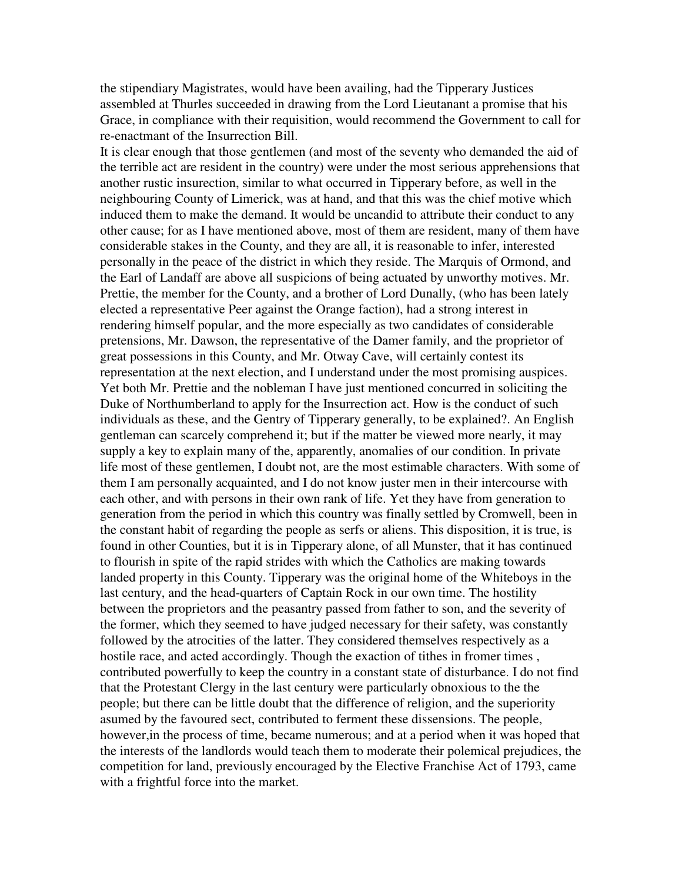the stipendiary Magistrates, would have been availing, had the Tipperary Justices assembled at Thurles succeeded in drawing from the Lord Lieutanant a promise that his Grace, in compliance with their requisition, would recommend the Government to call for re-enactmant of the Insurrection Bill.

It is clear enough that those gentlemen (and most of the seventy who demanded the aid of the terrible act are resident in the country) were under the most serious apprehensions that another rustic insurection, similar to what occurred in Tipperary before, as well in the neighbouring County of Limerick, was at hand, and that this was the chief motive which induced them to make the demand. It would be uncandid to attribute their conduct to any other cause; for as I have mentioned above, most of them are resident, many of them have considerable stakes in the County, and they are all, it is reasonable to infer, interested personally in the peace of the district in which they reside. The Marquis of Ormond, and the Earl of Landaff are above all suspicions of being actuated by unworthy motives. Mr. Prettie, the member for the County, and a brother of Lord Dunally, (who has been lately elected a representative Peer against the Orange faction), had a strong interest in rendering himself popular, and the more especially as two candidates of considerable pretensions, Mr. Dawson, the representative of the Damer family, and the proprietor of great possessions in this County, and Mr. Otway Cave, will certainly contest its representation at the next election, and I understand under the most promising auspices. Yet both Mr. Prettie and the nobleman I have just mentioned concurred in soliciting the Duke of Northumberland to apply for the Insurrection act. How is the conduct of such individuals as these, and the Gentry of Tipperary generally, to be explained?. An English gentleman can scarcely comprehend it; but if the matter be viewed more nearly, it may supply a key to explain many of the, apparently, anomalies of our condition. In private life most of these gentlemen, I doubt not, are the most estimable characters. With some of them I am personally acquainted, and I do not know juster men in their intercourse with each other, and with persons in their own rank of life. Yet they have from generation to generation from the period in which this country was finally settled by Cromwell, been in the constant habit of regarding the people as serfs or aliens. This disposition, it is true, is found in other Counties, but it is in Tipperary alone, of all Munster, that it has continued to flourish in spite of the rapid strides with which the Catholics are making towards landed property in this County. Tipperary was the original home of the Whiteboys in the last century, and the head-quarters of Captain Rock in our own time. The hostility between the proprietors and the peasantry passed from father to son, and the severity of the former, which they seemed to have judged necessary for their safety, was constantly followed by the atrocities of the latter. They considered themselves respectively as a hostile race, and acted accordingly. Though the exaction of tithes in fromer times , contributed powerfully to keep the country in a constant state of disturbance. I do not find that the Protestant Clergy in the last century were particularly obnoxious to the the people; but there can be little doubt that the difference of religion, and the superiority asumed by the favoured sect, contributed to ferment these dissensions. The people, however,in the process of time, became numerous; and at a period when it was hoped that the interests of the landlords would teach them to moderate their polemical prejudices, the competition for land, previously encouraged by the Elective Franchise Act of 1793, came with a frightful force into the market.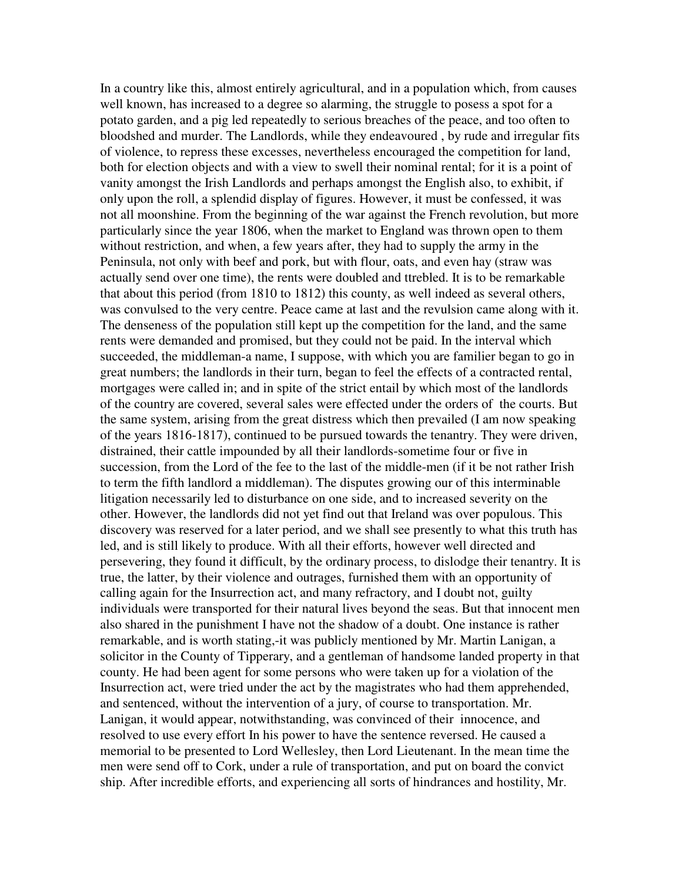In a country like this, almost entirely agricultural, and in a population which, from causes well known, has increased to a degree so alarming, the struggle to posess a spot for a potato garden, and a pig led repeatedly to serious breaches of the peace, and too often to bloodshed and murder. The Landlords, while they endeavoured , by rude and irregular fits of violence, to repress these excesses, nevertheless encouraged the competition for land, both for election objects and with a view to swell their nominal rental; for it is a point of vanity amongst the Irish Landlords and perhaps amongst the English also, to exhibit, if only upon the roll, a splendid display of figures. However, it must be confessed, it was not all moonshine. From the beginning of the war against the French revolution, but more particularly since the year 1806, when the market to England was thrown open to them without restriction, and when, a few years after, they had to supply the army in the Peninsula, not only with beef and pork, but with flour, oats, and even hay (straw was actually send over one time), the rents were doubled and ttrebled. It is to be remarkable that about this period (from 1810 to 1812) this county, as well indeed as several others, was convulsed to the very centre. Peace came at last and the revulsion came along with it. The denseness of the population still kept up the competition for the land, and the same rents were demanded and promised, but they could not be paid. In the interval which succeeded, the middleman-a name, I suppose, with which you are familier began to go in great numbers; the landlords in their turn, began to feel the effects of a contracted rental, mortgages were called in; and in spite of the strict entail by which most of the landlords of the country are covered, several sales were effected under the orders of the courts. But the same system, arising from the great distress which then prevailed (I am now speaking of the years 1816-1817), continued to be pursued towards the tenantry. They were driven, distrained, their cattle impounded by all their landlords-sometime four or five in succession, from the Lord of the fee to the last of the middle-men (if it be not rather Irish to term the fifth landlord a middleman). The disputes growing our of this interminable litigation necessarily led to disturbance on one side, and to increased severity on the other. However, the landlords did not yet find out that Ireland was over populous. This discovery was reserved for a later period, and we shall see presently to what this truth has led, and is still likely to produce. With all their efforts, however well directed and persevering, they found it difficult, by the ordinary process, to dislodge their tenantry. It is true, the latter, by their violence and outrages, furnished them with an opportunity of calling again for the Insurrection act, and many refractory, and I doubt not, guilty individuals were transported for their natural lives beyond the seas. But that innocent men also shared in the punishment I have not the shadow of a doubt. One instance is rather remarkable, and is worth stating,-it was publicly mentioned by Mr. Martin Lanigan, a solicitor in the County of Tipperary, and a gentleman of handsome landed property in that county. He had been agent for some persons who were taken up for a violation of the Insurrection act, were tried under the act by the magistrates who had them apprehended, and sentenced, without the intervention of a jury, of course to transportation. Mr. Lanigan, it would appear, notwithstanding, was convinced of their innocence, and resolved to use every effort In his power to have the sentence reversed. He caused a memorial to be presented to Lord Wellesley, then Lord Lieutenant. In the mean time the men were send off to Cork, under a rule of transportation, and put on board the convict ship. After incredible efforts, and experiencing all sorts of hindrances and hostility, Mr.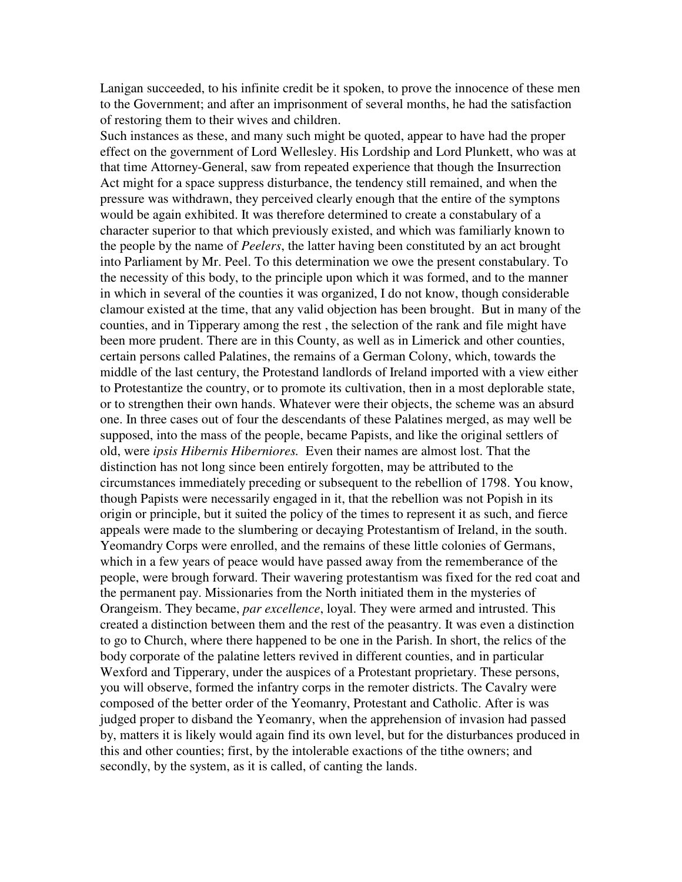Lanigan succeeded, to his infinite credit be it spoken, to prove the innocence of these men to the Government; and after an imprisonment of several months, he had the satisfaction of restoring them to their wives and children.

Such instances as these, and many such might be quoted, appear to have had the proper effect on the government of Lord Wellesley. His Lordship and Lord Plunkett, who was at that time Attorney-General, saw from repeated experience that though the Insurrection Act might for a space suppress disturbance, the tendency still remained, and when the pressure was withdrawn, they perceived clearly enough that the entire of the symptons would be again exhibited. It was therefore determined to create a constabulary of a character superior to that which previously existed, and which was familiarly known to the people by the name of *Peelers*, the latter having been constituted by an act brought into Parliament by Mr. Peel. To this determination we owe the present constabulary. To the necessity of this body, to the principle upon which it was formed, and to the manner in which in several of the counties it was organized, I do not know, though considerable clamour existed at the time, that any valid objection has been brought. But in many of the counties, and in Tipperary among the rest , the selection of the rank and file might have been more prudent. There are in this County, as well as in Limerick and other counties, certain persons called Palatines, the remains of a German Colony, which, towards the middle of the last century, the Protestand landlords of Ireland imported with a view either to Protestantize the country, or to promote its cultivation, then in a most deplorable state, or to strengthen their own hands. Whatever were their objects, the scheme was an absurd one. In three cases out of four the descendants of these Palatines merged, as may well be supposed, into the mass of the people, became Papists, and like the original settlers of old, were *ipsis Hibernis Hiberniores.* Even their names are almost lost. That the distinction has not long since been entirely forgotten, may be attributed to the circumstances immediately preceding or subsequent to the rebellion of 1798. You know, though Papists were necessarily engaged in it, that the rebellion was not Popish in its origin or principle, but it suited the policy of the times to represent it as such, and fierce appeals were made to the slumbering or decaying Protestantism of Ireland, in the south. Yeomandry Corps were enrolled, and the remains of these little colonies of Germans, which in a few years of peace would have passed away from the rememberance of the people, were brough forward. Their wavering protestantism was fixed for the red coat and the permanent pay. Missionaries from the North initiated them in the mysteries of Orangeism. They became, *par excellence*, loyal. They were armed and intrusted. This created a distinction between them and the rest of the peasantry. It was even a distinction to go to Church, where there happened to be one in the Parish. In short, the relics of the body corporate of the palatine letters revived in different counties, and in particular Wexford and Tipperary, under the auspices of a Protestant proprietary. These persons, you will observe, formed the infantry corps in the remoter districts. The Cavalry were composed of the better order of the Yeomanry, Protestant and Catholic. After is was judged proper to disband the Yeomanry, when the apprehension of invasion had passed by, matters it is likely would again find its own level, but for the disturbances produced in this and other counties; first, by the intolerable exactions of the tithe owners; and secondly, by the system, as it is called, of canting the lands.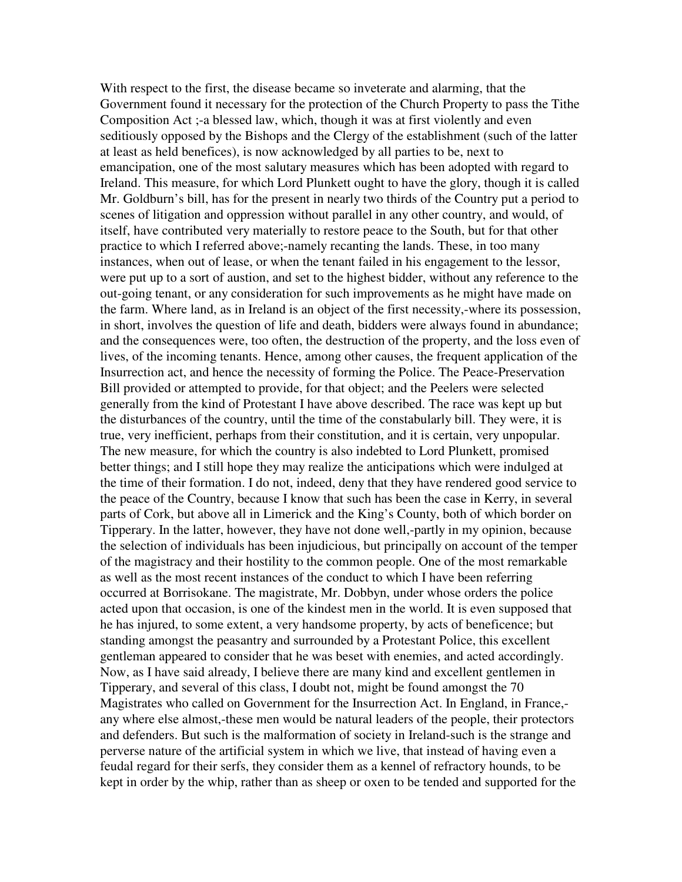With respect to the first, the disease became so inveterate and alarming, that the Government found it necessary for the protection of the Church Property to pass the Tithe Composition Act ;-a blessed law, which, though it was at first violently and even seditiously opposed by the Bishops and the Clergy of the establishment (such of the latter at least as held benefices), is now acknowledged by all parties to be, next to emancipation, one of the most salutary measures which has been adopted with regard to Ireland. This measure, for which Lord Plunkett ought to have the glory, though it is called Mr. Goldburn's bill, has for the present in nearly two thirds of the Country put a period to scenes of litigation and oppression without parallel in any other country, and would, of itself, have contributed very materially to restore peace to the South, but for that other practice to which I referred above;-namely recanting the lands. These, in too many instances, when out of lease, or when the tenant failed in his engagement to the lessor, were put up to a sort of austion, and set to the highest bidder, without any reference to the out-going tenant, or any consideration for such improvements as he might have made on the farm. Where land, as in Ireland is an object of the first necessity,-where its possession, in short, involves the question of life and death, bidders were always found in abundance; and the consequences were, too often, the destruction of the property, and the loss even of lives, of the incoming tenants. Hence, among other causes, the frequent application of the Insurrection act, and hence the necessity of forming the Police. The Peace-Preservation Bill provided or attempted to provide, for that object; and the Peelers were selected generally from the kind of Protestant I have above described. The race was kept up but the disturbances of the country, until the time of the constabularly bill. They were, it is true, very inefficient, perhaps from their constitution, and it is certain, very unpopular. The new measure, for which the country is also indebted to Lord Plunkett, promised better things; and I still hope they may realize the anticipations which were indulged at the time of their formation. I do not, indeed, deny that they have rendered good service to the peace of the Country, because I know that such has been the case in Kerry, in several parts of Cork, but above all in Limerick and the King's County, both of which border on Tipperary. In the latter, however, they have not done well,-partly in my opinion, because the selection of individuals has been injudicious, but principally on account of the temper of the magistracy and their hostility to the common people. One of the most remarkable as well as the most recent instances of the conduct to which I have been referring occurred at Borrisokane. The magistrate, Mr. Dobbyn, under whose orders the police acted upon that occasion, is one of the kindest men in the world. It is even supposed that he has injured, to some extent, a very handsome property, by acts of beneficence; but standing amongst the peasantry and surrounded by a Protestant Police, this excellent gentleman appeared to consider that he was beset with enemies, and acted accordingly. Now, as I have said already, I believe there are many kind and excellent gentlemen in Tipperary, and several of this class, I doubt not, might be found amongst the 70 Magistrates who called on Government for the Insurrection Act. In England, in France, any where else almost,-these men would be natural leaders of the people, their protectors and defenders. But such is the malformation of society in Ireland-such is the strange and perverse nature of the artificial system in which we live, that instead of having even a feudal regard for their serfs, they consider them as a kennel of refractory hounds, to be kept in order by the whip, rather than as sheep or oxen to be tended and supported for the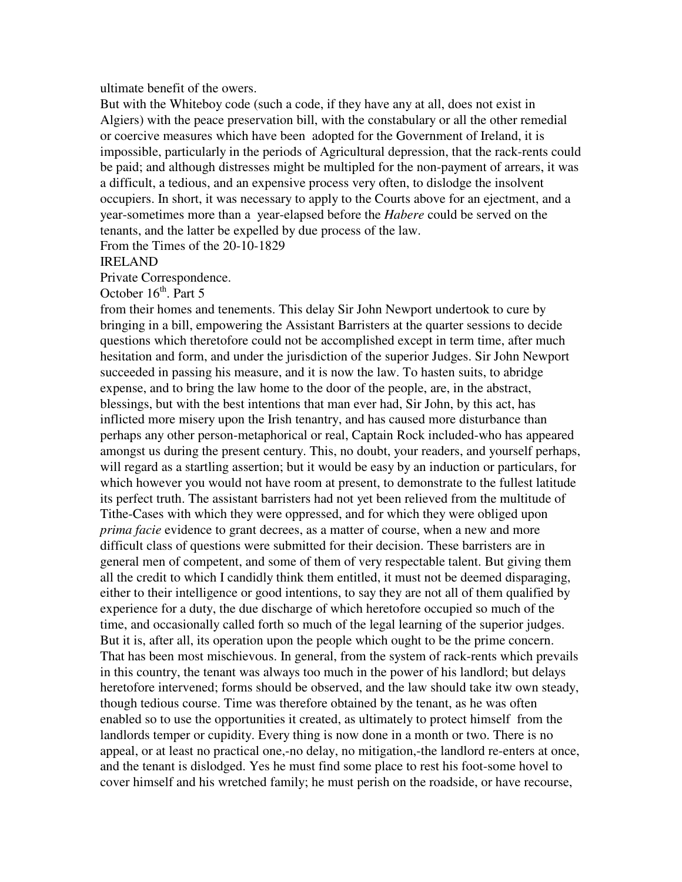#### ultimate benefit of the owers.

But with the Whiteboy code (such a code, if they have any at all, does not exist in Algiers) with the peace preservation bill, with the constabulary or all the other remedial or coercive measures which have been adopted for the Government of Ireland, it is impossible, particularly in the periods of Agricultural depression, that the rack-rents could be paid; and although distresses might be multipled for the non-payment of arrears, it was a difficult, a tedious, and an expensive process very often, to dislodge the insolvent occupiers. In short, it was necessary to apply to the Courts above for an ejectment, and a year-sometimes more than a year-elapsed before the *Habere* could be served on the tenants, and the latter be expelled by due process of the law.

From the Times of the 20-10-1829

IRELAND

Private Correspondence.

October  $16<sup>th</sup>$ . Part 5

from their homes and tenements. This delay Sir John Newport undertook to cure by bringing in a bill, empowering the Assistant Barristers at the quarter sessions to decide questions which theretofore could not be accomplished except in term time, after much hesitation and form, and under the jurisdiction of the superior Judges. Sir John Newport succeeded in passing his measure, and it is now the law. To hasten suits, to abridge expense, and to bring the law home to the door of the people, are, in the abstract, blessings, but with the best intentions that man ever had, Sir John, by this act, has inflicted more misery upon the Irish tenantry, and has caused more disturbance than perhaps any other person-metaphorical or real, Captain Rock included-who has appeared amongst us during the present century. This, no doubt, your readers, and yourself perhaps, will regard as a startling assertion; but it would be easy by an induction or particulars, for which however you would not have room at present, to demonstrate to the fullest latitude its perfect truth. The assistant barristers had not yet been relieved from the multitude of Tithe-Cases with which they were oppressed, and for which they were obliged upon *prima facie* evidence to grant decrees, as a matter of course, when a new and more difficult class of questions were submitted for their decision. These barristers are in general men of competent, and some of them of very respectable talent. But giving them all the credit to which I candidly think them entitled, it must not be deemed disparaging, either to their intelligence or good intentions, to say they are not all of them qualified by experience for a duty, the due discharge of which heretofore occupied so much of the time, and occasionally called forth so much of the legal learning of the superior judges. But it is, after all, its operation upon the people which ought to be the prime concern. That has been most mischievous. In general, from the system of rack-rents which prevails in this country, the tenant was always too much in the power of his landlord; but delays heretofore intervened; forms should be observed, and the law should take itw own steady, though tedious course. Time was therefore obtained by the tenant, as he was often enabled so to use the opportunities it created, as ultimately to protect himself from the landlords temper or cupidity. Every thing is now done in a month or two. There is no appeal, or at least no practical one,-no delay, no mitigation,-the landlord re-enters at once, and the tenant is dislodged. Yes he must find some place to rest his foot-some hovel to cover himself and his wretched family; he must perish on the roadside, or have recourse,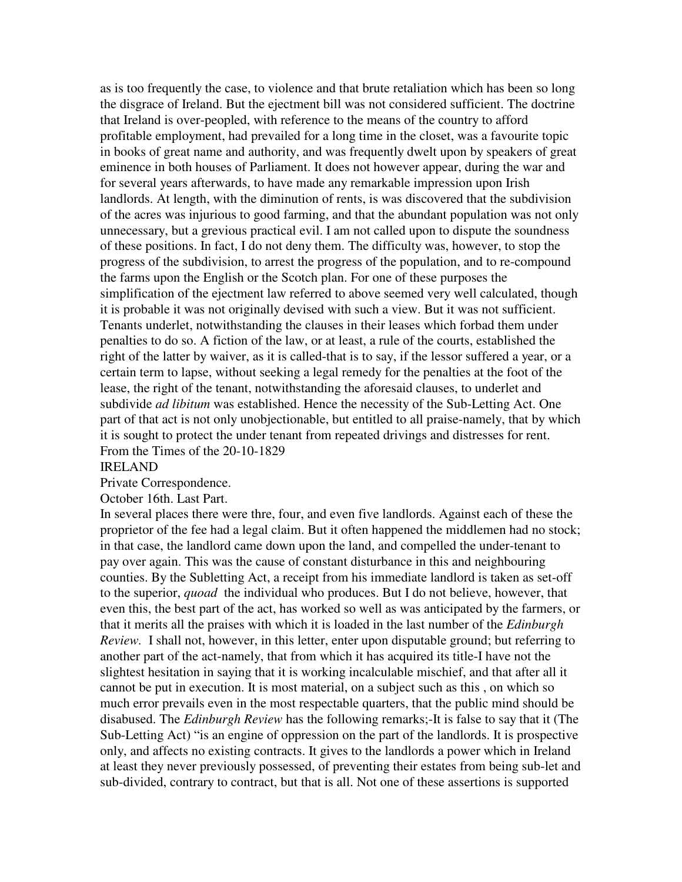as is too frequently the case, to violence and that brute retaliation which has been so long the disgrace of Ireland. But the ejectment bill was not considered sufficient. The doctrine that Ireland is over-peopled, with reference to the means of the country to afford profitable employment, had prevailed for a long time in the closet, was a favourite topic in books of great name and authority, and was frequently dwelt upon by speakers of great eminence in both houses of Parliament. It does not however appear, during the war and for several years afterwards, to have made any remarkable impression upon Irish landlords. At length, with the diminution of rents, is was discovered that the subdivision of the acres was injurious to good farming, and that the abundant population was not only unnecessary, but a grevious practical evil. I am not called upon to dispute the soundness of these positions. In fact, I do not deny them. The difficulty was, however, to stop the progress of the subdivision, to arrest the progress of the population, and to re-compound the farms upon the English or the Scotch plan. For one of these purposes the simplification of the ejectment law referred to above seemed very well calculated, though it is probable it was not originally devised with such a view. But it was not sufficient. Tenants underlet, notwithstanding the clauses in their leases which forbad them under penalties to do so. A fiction of the law, or at least, a rule of the courts, established the right of the latter by waiver, as it is called-that is to say, if the lessor suffered a year, or a certain term to lapse, without seeking a legal remedy for the penalties at the foot of the lease, the right of the tenant, notwithstanding the aforesaid clauses, to underlet and subdivide *ad libitum* was established. Hence the necessity of the Sub-Letting Act. One part of that act is not only unobjectionable, but entitled to all praise-namely, that by which it is sought to protect the under tenant from repeated drivings and distresses for rent. From the Times of the 20-10-1829

#### IRELAND

Private Correspondence.

#### October 16th. Last Part.

In several places there were thre, four, and even five landlords. Against each of these the proprietor of the fee had a legal claim. But it often happened the middlemen had no stock; in that case, the landlord came down upon the land, and compelled the under-tenant to pay over again. This was the cause of constant disturbance in this and neighbouring counties. By the Subletting Act, a receipt from his immediate landlord is taken as set-off to the superior, *quoad* the individual who produces. But I do not believe, however, that even this, the best part of the act, has worked so well as was anticipated by the farmers, or that it merits all the praises with which it is loaded in the last number of the *Edinburgh Review.* I shall not, however, in this letter, enter upon disputable ground; but referring to another part of the act-namely, that from which it has acquired its title-I have not the slightest hesitation in saying that it is working incalculable mischief, and that after all it cannot be put in execution. It is most material, on a subject such as this , on which so much error prevails even in the most respectable quarters, that the public mind should be disabused. The *Edinburgh Review* has the following remarks;-It is false to say that it (The Sub-Letting Act) "is an engine of oppression on the part of the landlords. It is prospective only, and affects no existing contracts. It gives to the landlords a power which in Ireland at least they never previously possessed, of preventing their estates from being sub-let and sub-divided, contrary to contract, but that is all. Not one of these assertions is supported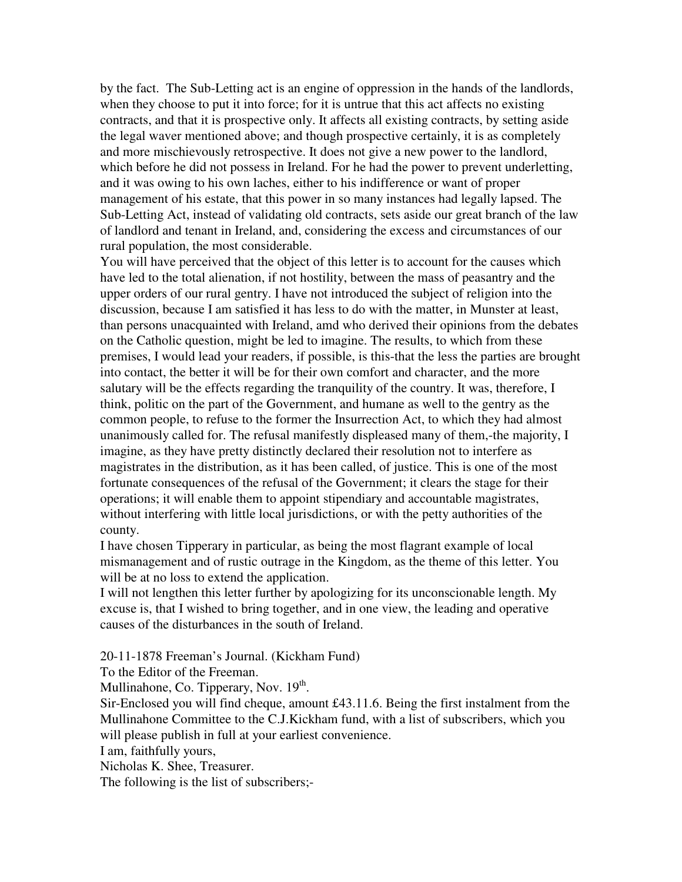by the fact. The Sub-Letting act is an engine of oppression in the hands of the landlords, when they choose to put it into force; for it is untrue that this act affects no existing contracts, and that it is prospective only. It affects all existing contracts, by setting aside the legal waver mentioned above; and though prospective certainly, it is as completely and more mischievously retrospective. It does not give a new power to the landlord, which before he did not possess in Ireland. For he had the power to prevent underletting, and it was owing to his own laches, either to his indifference or want of proper management of his estate, that this power in so many instances had legally lapsed. The Sub-Letting Act, instead of validating old contracts, sets aside our great branch of the law of landlord and tenant in Ireland, and, considering the excess and circumstances of our rural population, the most considerable.

You will have perceived that the object of this letter is to account for the causes which have led to the total alienation, if not hostility, between the mass of peasantry and the upper orders of our rural gentry. I have not introduced the subject of religion into the discussion, because I am satisfied it has less to do with the matter, in Munster at least, than persons unacquainted with Ireland, amd who derived their opinions from the debates on the Catholic question, might be led to imagine. The results, to which from these premises, I would lead your readers, if possible, is this-that the less the parties are brought into contact, the better it will be for their own comfort and character, and the more salutary will be the effects regarding the tranquility of the country. It was, therefore, I think, politic on the part of the Government, and humane as well to the gentry as the common people, to refuse to the former the Insurrection Act, to which they had almost unanimously called for. The refusal manifestly displeased many of them,-the majority, I imagine, as they have pretty distinctly declared their resolution not to interfere as magistrates in the distribution, as it has been called, of justice. This is one of the most fortunate consequences of the refusal of the Government; it clears the stage for their operations; it will enable them to appoint stipendiary and accountable magistrates, without interfering with little local jurisdictions, or with the petty authorities of the county.

I have chosen Tipperary in particular, as being the most flagrant example of local mismanagement and of rustic outrage in the Kingdom, as the theme of this letter. You will be at no loss to extend the application.

I will not lengthen this letter further by apologizing for its unconscionable length. My excuse is, that I wished to bring together, and in one view, the leading and operative causes of the disturbances in the south of Ireland.

20-11-1878 Freeman's Journal. (Kickham Fund)

To the Editor of the Freeman.

Mullinahone, Co. Tipperary, Nov. 19<sup>th</sup>.

Sir-Enclosed you will find cheque, amount £43.11.6. Being the first instalment from the Mullinahone Committee to the C.J.Kickham fund, with a list of subscribers, which you will please publish in full at your earliest convenience.

I am, faithfully yours,

Nicholas K. Shee, Treasurer.

The following is the list of subscribers;-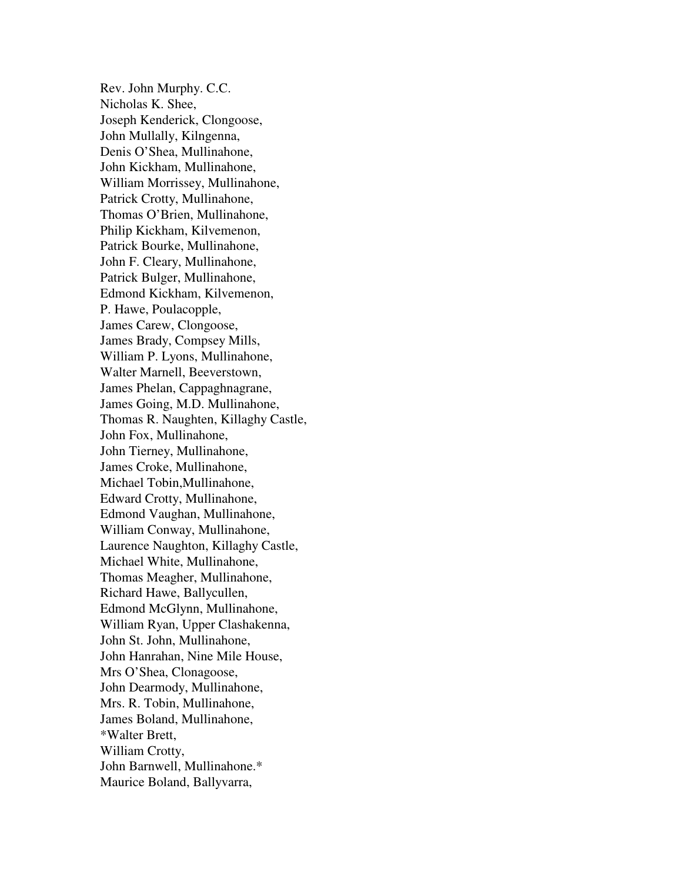Rev. John Murphy. C.C. Nicholas K. Shee, Joseph Kenderick, Clongoose, John Mullally, Kilngenna, Denis O'Shea, Mullinahone, John Kickham, Mullinahone, William Morrissey, Mullinahone, Patrick Crotty, Mullinahone, Thomas O'Brien, Mullinahone, Philip Kickham, Kilvemenon, Patrick Bourke, Mullinahone, John F. Cleary, Mullinahone, Patrick Bulger, Mullinahone, Edmond Kickham, Kilvemenon, P. Hawe, Poulacopple, James Carew, Clongoose, James Brady, Compsey Mills, William P. Lyons, Mullinahone, Walter Marnell, Beeverstown, James Phelan, Cappaghnagrane, James Going, M.D. Mullinahone, Thomas R. Naughten, Killaghy Castle, John Fox, Mullinahone, John Tierney, Mullinahone, James Croke, Mullinahone, Michael Tobin,Mullinahone, Edward Crotty, Mullinahone, Edmond Vaughan, Mullinahone, William Conway, Mullinahone, Laurence Naughton, Killaghy Castle, Michael White, Mullinahone, Thomas Meagher, Mullinahone, Richard Hawe, Ballycullen, Edmond McGlynn, Mullinahone, William Ryan, Upper Clashakenna, John St. John, Mullinahone, John Hanrahan, Nine Mile House, Mrs O'Shea, Clonagoose, John Dearmody, Mullinahone, Mrs. R. Tobin, Mullinahone, James Boland, Mullinahone, \*Walter Brett, William Crotty, John Barnwell, Mullinahone.\* Maurice Boland, Ballyvarra,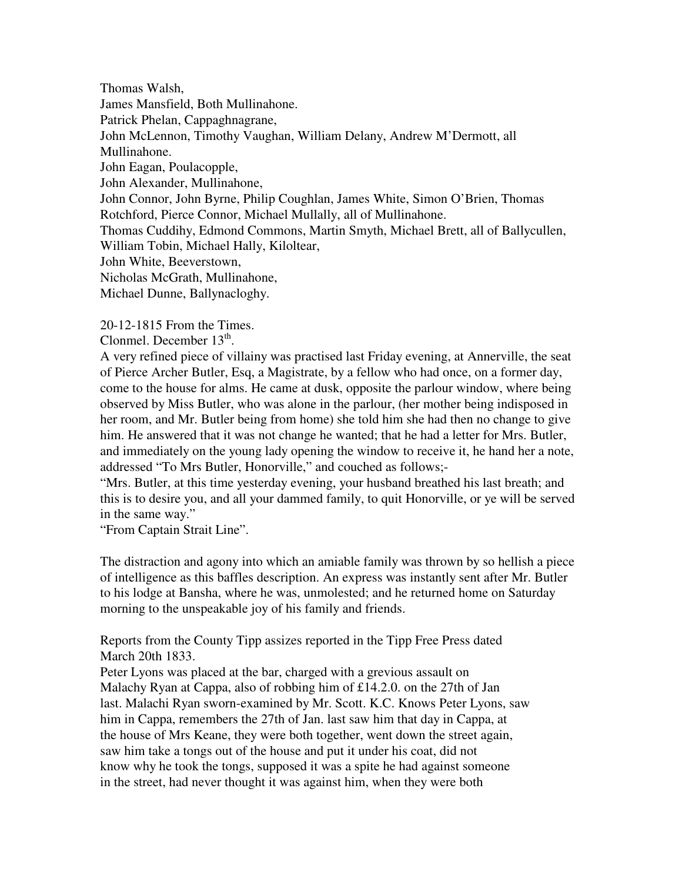Thomas Walsh, James Mansfield, Both Mullinahone. Patrick Phelan, Cappaghnagrane, John McLennon, Timothy Vaughan, William Delany, Andrew M'Dermott, all Mullinahone. John Eagan, Poulacopple, John Alexander, Mullinahone, John Connor, John Byrne, Philip Coughlan, James White, Simon O'Brien, Thomas Rotchford, Pierce Connor, Michael Mullally, all of Mullinahone. Thomas Cuddihy, Edmond Commons, Martin Smyth, Michael Brett, all of Ballycullen, William Tobin, Michael Hally, Kiloltear, John White, Beeverstown, Nicholas McGrath, Mullinahone, Michael Dunne, Ballynacloghy.

20-12-1815 From the Times.

Clonmel. December  $13<sup>th</sup>$ .

A very refined piece of villainy was practised last Friday evening, at Annerville, the seat of Pierce Archer Butler, Esq, a Magistrate, by a fellow who had once, on a former day, come to the house for alms. He came at dusk, opposite the parlour window, where being observed by Miss Butler, who was alone in the parlour, (her mother being indisposed in her room, and Mr. Butler being from home) she told him she had then no change to give him. He answered that it was not change he wanted; that he had a letter for Mrs. Butler, and immediately on the young lady opening the window to receive it, he hand her a note, addressed "To Mrs Butler, Honorville," and couched as follows;-

"Mrs. Butler, at this time yesterday evening, your husband breathed his last breath; and this is to desire you, and all your dammed family, to quit Honorville, or ye will be served in the same way."

"From Captain Strait Line".

The distraction and agony into which an amiable family was thrown by so hellish a piece of intelligence as this baffles description. An express was instantly sent after Mr. Butler to his lodge at Bansha, where he was, unmolested; and he returned home on Saturday morning to the unspeakable joy of his family and friends.

Reports from the County Tipp assizes reported in the Tipp Free Press dated March 20th 1833.

Peter Lyons was placed at the bar, charged with a grevious assault on Malachy Ryan at Cappa, also of robbing him of £14.2.0. on the 27th of Jan last. Malachi Ryan sworn-examined by Mr. Scott. K.C. Knows Peter Lyons, saw him in Cappa, remembers the 27th of Jan. last saw him that day in Cappa, at the house of Mrs Keane, they were both together, went down the street again, saw him take a tongs out of the house and put it under his coat, did not know why he took the tongs, supposed it was a spite he had against someone in the street, had never thought it was against him, when they were both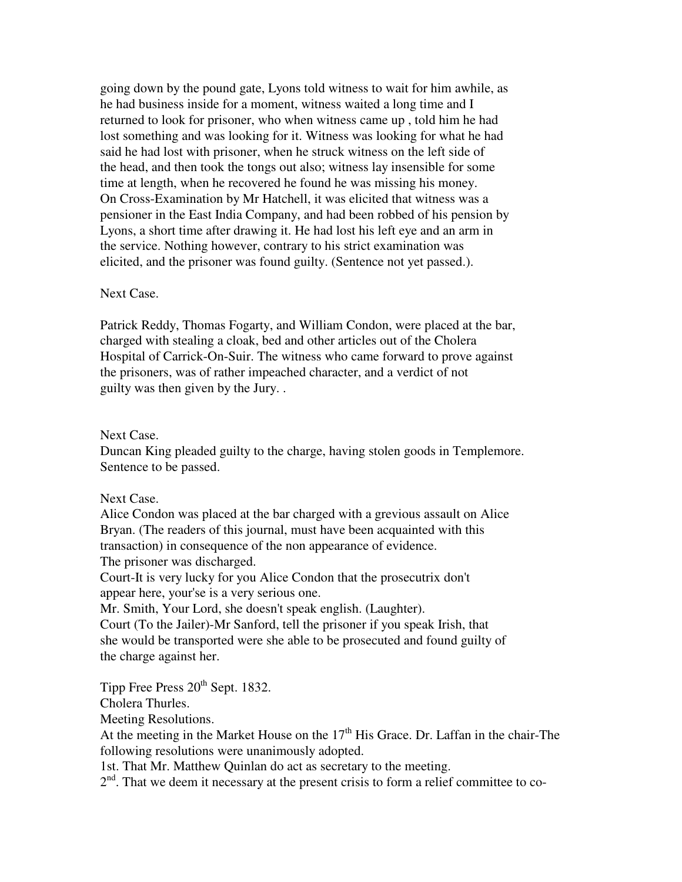going down by the pound gate, Lyons told witness to wait for him awhile, as he had business inside for a moment, witness waited a long time and I returned to look for prisoner, who when witness came up , told him he had lost something and was looking for it. Witness was looking for what he had said he had lost with prisoner, when he struck witness on the left side of the head, and then took the tongs out also; witness lay insensible for some time at length, when he recovered he found he was missing his money. On Cross-Examination by Mr Hatchell, it was elicited that witness was a pensioner in the East India Company, and had been robbed of his pension by Lyons, a short time after drawing it. He had lost his left eye and an arm in the service. Nothing however, contrary to his strict examination was elicited, and the prisoner was found guilty. (Sentence not yet passed.).

#### Next Case.

Patrick Reddy, Thomas Fogarty, and William Condon, were placed at the bar, charged with stealing a cloak, bed and other articles out of the Cholera Hospital of Carrick-On-Suir. The witness who came forward to prove against the prisoners, was of rather impeached character, and a verdict of not guilty was then given by the Jury. .

#### Next Case.

Duncan King pleaded guilty to the charge, having stolen goods in Templemore. Sentence to be passed.

# Next Case.

Alice Condon was placed at the bar charged with a grevious assault on Alice Bryan. (The readers of this journal, must have been acquainted with this transaction) in consequence of the non appearance of evidence. The prisoner was discharged.

Court-It is very lucky for you Alice Condon that the prosecutrix don't appear here, your'se is a very serious one.

Mr. Smith, Your Lord, she doesn't speak english. (Laughter).

Court (To the Jailer)-Mr Sanford, tell the prisoner if you speak Irish, that she would be transported were she able to be prosecuted and found guilty of the charge against her.

Tipp Free Press  $20^{th}$  Sept. 1832.

Cholera Thurles.

Meeting Resolutions.

At the meeting in the Market House on the  $17<sup>th</sup>$  His Grace. Dr. Laffan in the chair-The following resolutions were unanimously adopted.

1st. That Mr. Matthew Quinlan do act as secretary to the meeting.

 $2<sup>nd</sup>$ . That we deem it necessary at the present crisis to form a relief committee to co-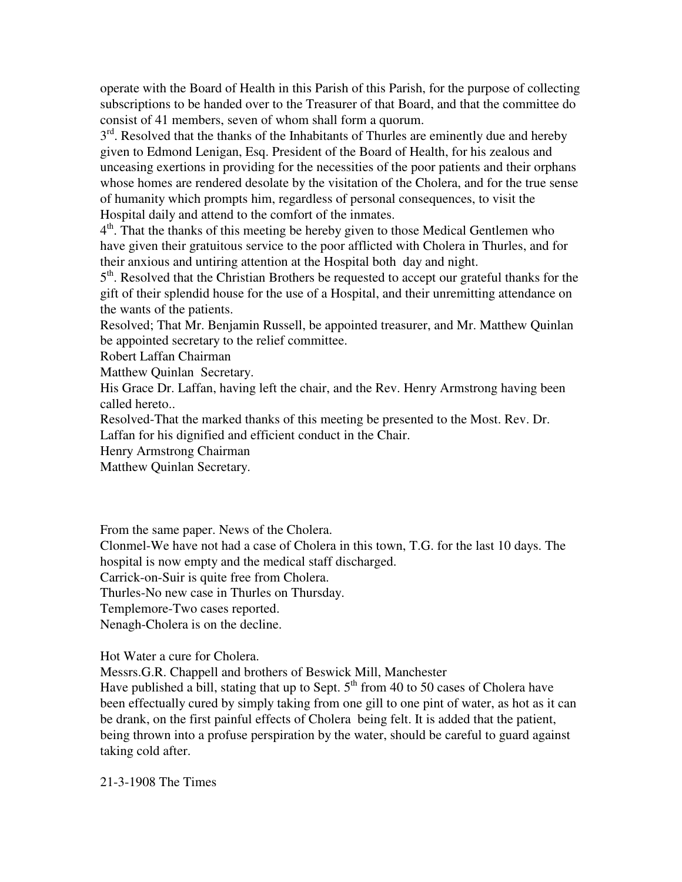operate with the Board of Health in this Parish of this Parish, for the purpose of collecting subscriptions to be handed over to the Treasurer of that Board, and that the committee do consist of 41 members, seven of whom shall form a quorum.

 $3<sup>rd</sup>$ . Resolved that the thanks of the Inhabitants of Thurles are eminently due and hereby given to Edmond Lenigan, Esq. President of the Board of Health, for his zealous and unceasing exertions in providing for the necessities of the poor patients and their orphans whose homes are rendered desolate by the visitation of the Cholera, and for the true sense of humanity which prompts him, regardless of personal consequences, to visit the Hospital daily and attend to the comfort of the inmates.

4<sup>th</sup>. That the thanks of this meeting be hereby given to those Medical Gentlemen who have given their gratuitous service to the poor afflicted with Cholera in Thurles, and for their anxious and untiring attention at the Hospital both day and night.

5<sup>th</sup>. Resolved that the Christian Brothers be requested to accept our grateful thanks for the gift of their splendid house for the use of a Hospital, and their unremitting attendance on the wants of the patients.

Resolved; That Mr. Benjamin Russell, be appointed treasurer, and Mr. Matthew Quinlan be appointed secretary to the relief committee.

Robert Laffan Chairman

Matthew Quinlan Secretary.

His Grace Dr. Laffan, having left the chair, and the Rev. Henry Armstrong having been called hereto..

Resolved-That the marked thanks of this meeting be presented to the Most. Rev. Dr. Laffan for his dignified and efficient conduct in the Chair.

Henry Armstrong Chairman

Matthew Quinlan Secretary.

From the same paper. News of the Cholera.

Clonmel-We have not had a case of Cholera in this town, T.G. for the last 10 days. The hospital is now empty and the medical staff discharged.

Carrick-on-Suir is quite free from Cholera.

Thurles-No new case in Thurles on Thursday.

Templemore-Two cases reported.

Nenagh-Cholera is on the decline.

Hot Water a cure for Cholera.

Messrs.G.R. Chappell and brothers of Beswick Mill, Manchester

Have published a bill, stating that up to Sept.  $5<sup>th</sup>$  from 40 to 50 cases of Cholera have been effectually cured by simply taking from one gill to one pint of water, as hot as it can be drank, on the first painful effects of Cholera being felt. It is added that the patient, being thrown into a profuse perspiration by the water, should be careful to guard against taking cold after.

21-3-1908 The Times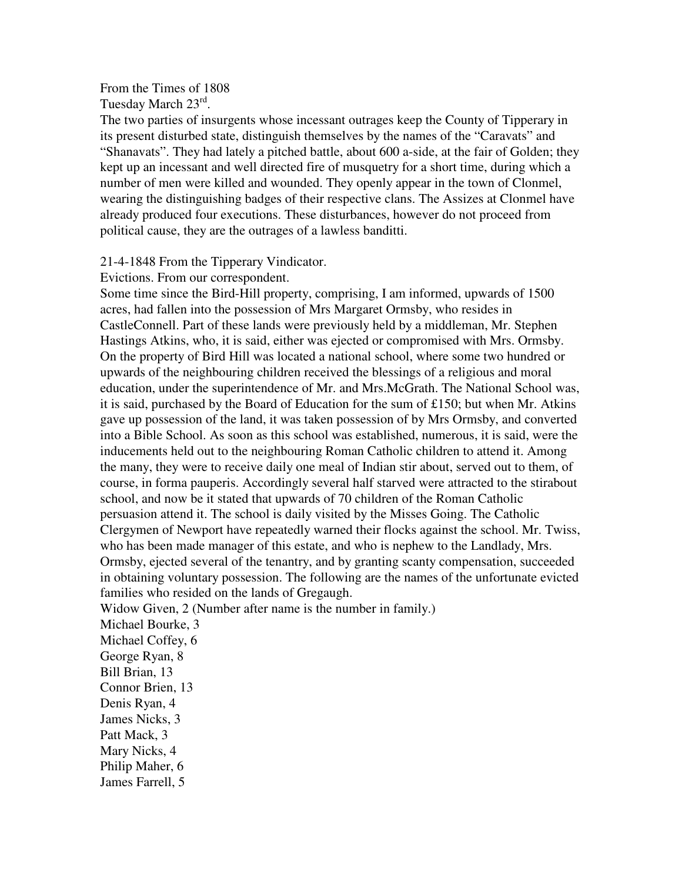From the Times of 1808 Tuesday March 23rd.

The two parties of insurgents whose incessant outrages keep the County of Tipperary in its present disturbed state, distinguish themselves by the names of the "Caravats" and "Shanavats". They had lately a pitched battle, about 600 a-side, at the fair of Golden; they kept up an incessant and well directed fire of musquetry for a short time, during which a number of men were killed and wounded. They openly appear in the town of Clonmel, wearing the distinguishing badges of their respective clans. The Assizes at Clonmel have already produced four executions. These disturbances, however do not proceed from political cause, they are the outrages of a lawless banditti.

#### 21-4-1848 From the Tipperary Vindicator.

Evictions. From our correspondent.

Some time since the Bird-Hill property, comprising, I am informed, upwards of 1500 acres, had fallen into the possession of Mrs Margaret Ormsby, who resides in CastleConnell. Part of these lands were previously held by a middleman, Mr. Stephen Hastings Atkins, who, it is said, either was ejected or compromised with Mrs. Ormsby. On the property of Bird Hill was located a national school, where some two hundred or upwards of the neighbouring children received the blessings of a religious and moral education, under the superintendence of Mr. and Mrs.McGrath. The National School was, it is said, purchased by the Board of Education for the sum of £150; but when Mr. Atkins gave up possession of the land, it was taken possession of by Mrs Ormsby, and converted into a Bible School. As soon as this school was established, numerous, it is said, were the inducements held out to the neighbouring Roman Catholic children to attend it. Among the many, they were to receive daily one meal of Indian stir about, served out to them, of course, in forma pauperis. Accordingly several half starved were attracted to the stirabout school, and now be it stated that upwards of 70 children of the Roman Catholic persuasion attend it. The school is daily visited by the Misses Going. The Catholic Clergymen of Newport have repeatedly warned their flocks against the school. Mr. Twiss, who has been made manager of this estate, and who is nephew to the Landlady, Mrs. Ormsby, ejected several of the tenantry, and by granting scanty compensation, succeeded in obtaining voluntary possession. The following are the names of the unfortunate evicted families who resided on the lands of Gregaugh.

Widow Given, 2 (Number after name is the number in family.)

Michael Bourke, 3 Michael Coffey, 6 George Ryan, 8 Bill Brian, 13 Connor Brien, 13 Denis Ryan, 4 James Nicks, 3 Patt Mack, 3 Mary Nicks, 4 Philip Maher, 6 James Farrell, 5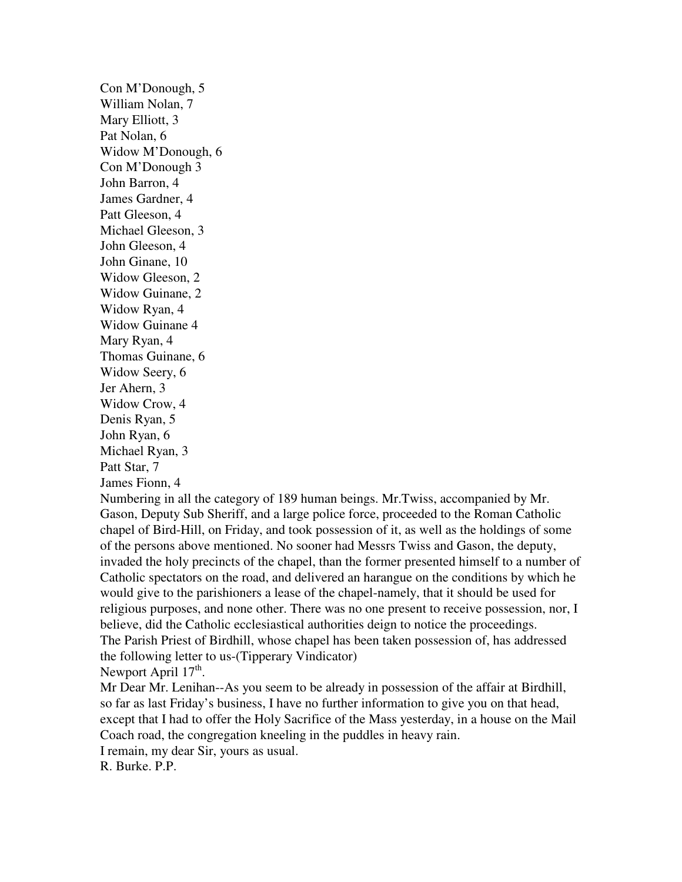Con M'Donough, 5 William Nolan, 7 Mary Elliott, 3 Pat Nolan, 6 Widow M'Donough, 6 Con M'Donough 3 John Barron, 4 James Gardner, 4 Patt Gleeson, 4 Michael Gleeson, 3 John Gleeson, 4 John Ginane, 10 Widow Gleeson, 2 Widow Guinane, 2 Widow Ryan, 4 Widow Guinane 4 Mary Ryan, 4 Thomas Guinane, 6 Widow Seery, 6 Jer Ahern, 3 Widow Crow, 4 Denis Ryan, 5 John Ryan, 6 Michael Ryan, 3 Patt Star, 7 James Fionn, 4

Numbering in all the category of 189 human beings. Mr.Twiss, accompanied by Mr. Gason, Deputy Sub Sheriff, and a large police force, proceeded to the Roman Catholic chapel of Bird-Hill, on Friday, and took possession of it, as well as the holdings of some of the persons above mentioned. No sooner had Messrs Twiss and Gason, the deputy, invaded the holy precincts of the chapel, than the former presented himself to a number of Catholic spectators on the road, and delivered an harangue on the conditions by which he would give to the parishioners a lease of the chapel-namely, that it should be used for religious purposes, and none other. There was no one present to receive possession, nor, I believe, did the Catholic ecclesiastical authorities deign to notice the proceedings. The Parish Priest of Birdhill, whose chapel has been taken possession of, has addressed the following letter to us-(Tipperary Vindicator) Newport April 17<sup>th</sup>.

Mr Dear Mr. Lenihan--As you seem to be already in possession of the affair at Birdhill, so far as last Friday's business, I have no further information to give you on that head, except that I had to offer the Holy Sacrifice of the Mass yesterday, in a house on the Mail Coach road, the congregation kneeling in the puddles in heavy rain.

I remain, my dear Sir, yours as usual.

R. Burke. P.P.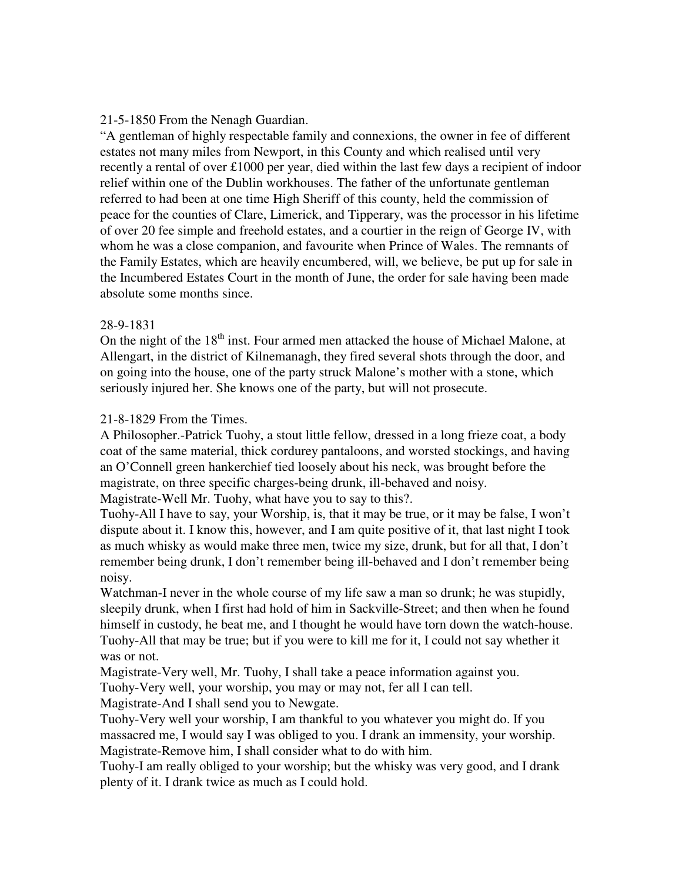## 21-5-1850 From the Nenagh Guardian.

"A gentleman of highly respectable family and connexions, the owner in fee of different estates not many miles from Newport, in this County and which realised until very recently a rental of over £1000 per year, died within the last few days a recipient of indoor relief within one of the Dublin workhouses. The father of the unfortunate gentleman referred to had been at one time High Sheriff of this county, held the commission of peace for the counties of Clare, Limerick, and Tipperary, was the processor in his lifetime of over 20 fee simple and freehold estates, and a courtier in the reign of George IV, with whom he was a close companion, and favourite when Prince of Wales. The remnants of the Family Estates, which are heavily encumbered, will, we believe, be put up for sale in the Incumbered Estates Court in the month of June, the order for sale having been made absolute some months since.

## 28-9-1831

On the night of the  $18<sup>th</sup>$  inst. Four armed men attacked the house of Michael Malone, at Allengart, in the district of Kilnemanagh, they fired several shots through the door, and on going into the house, one of the party struck Malone's mother with a stone, which seriously injured her. She knows one of the party, but will not prosecute.

### 21-8-1829 From the Times.

A Philosopher.-Patrick Tuohy, a stout little fellow, dressed in a long frieze coat, a body coat of the same material, thick cordurey pantaloons, and worsted stockings, and having an O'Connell green hankerchief tied loosely about his neck, was brought before the magistrate, on three specific charges-being drunk, ill-behaved and noisy.

Magistrate-Well Mr. Tuohy, what have you to say to this?.

Tuohy-All I have to say, your Worship, is, that it may be true, or it may be false, I won't dispute about it. I know this, however, and I am quite positive of it, that last night I took as much whisky as would make three men, twice my size, drunk, but for all that, I don't remember being drunk, I don't remember being ill-behaved and I don't remember being noisy.

Watchman-I never in the whole course of my life saw a man so drunk; he was stupidly, sleepily drunk, when I first had hold of him in Sackville-Street; and then when he found himself in custody, he beat me, and I thought he would have torn down the watch-house. Tuohy-All that may be true; but if you were to kill me for it, I could not say whether it was or not.

Magistrate-Very well, Mr. Tuohy, I shall take a peace information against you.

Tuohy-Very well, your worship, you may or may not, fer all I can tell.

Magistrate-And I shall send you to Newgate.

Tuohy-Very well your worship, I am thankful to you whatever you might do. If you massacred me, I would say I was obliged to you. I drank an immensity, your worship. Magistrate-Remove him, I shall consider what to do with him.

Tuohy-I am really obliged to your worship; but the whisky was very good, and I drank plenty of it. I drank twice as much as I could hold.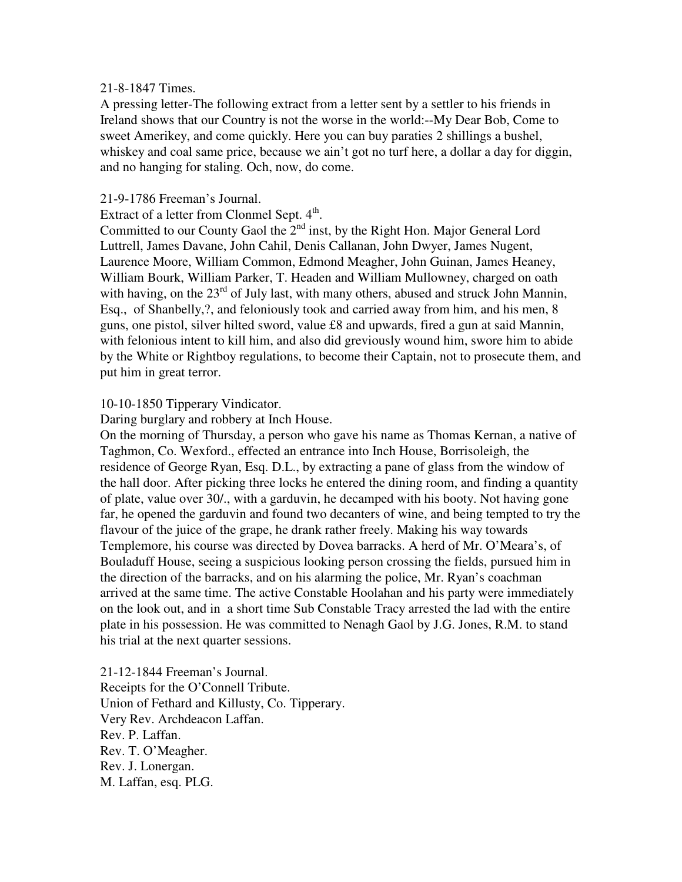### 21-8-1847 Times.

A pressing letter-The following extract from a letter sent by a settler to his friends in Ireland shows that our Country is not the worse in the world:--My Dear Bob, Come to sweet Amerikey, and come quickly. Here you can buy paraties 2 shillings a bushel, whiskey and coal same price, because we ain't got no turf here, a dollar a day for diggin, and no hanging for staling. Och, now, do come.

### 21-9-1786 Freeman's Journal.

Extract of a letter from Clonmel Sept.  $4<sup>th</sup>$ .

Committed to our County Gaol the  $2<sup>nd</sup>$  inst, by the Right Hon. Major General Lord Luttrell, James Davane, John Cahil, Denis Callanan, John Dwyer, James Nugent, Laurence Moore, William Common, Edmond Meagher, John Guinan, James Heaney, William Bourk, William Parker, T. Headen and William Mullowney, charged on oath with having, on the  $23<sup>rd</sup>$  of July last, with many others, abused and struck John Mannin, Esq., of Shanbelly,?, and feloniously took and carried away from him, and his men, 8 guns, one pistol, silver hilted sword, value £8 and upwards, fired a gun at said Mannin, with felonious intent to kill him, and also did greviously wound him, swore him to abide by the White or Rightboy regulations, to become their Captain, not to prosecute them, and put him in great terror.

## 10-10-1850 Tipperary Vindicator.

Daring burglary and robbery at Inch House.

On the morning of Thursday, a person who gave his name as Thomas Kernan, a native of Taghmon, Co. Wexford., effected an entrance into Inch House, Borrisoleigh, the residence of George Ryan, Esq. D.L., by extracting a pane of glass from the window of the hall door. After picking three locks he entered the dining room, and finding a quantity of plate, value over 30/., with a garduvin, he decamped with his booty. Not having gone far, he opened the garduvin and found two decanters of wine, and being tempted to try the flavour of the juice of the grape, he drank rather freely. Making his way towards Templemore, his course was directed by Dovea barracks. A herd of Mr. O'Meara's, of Bouladuff House, seeing a suspicious looking person crossing the fields, pursued him in the direction of the barracks, and on his alarming the police, Mr. Ryan's coachman arrived at the same time. The active Constable Hoolahan and his party were immediately on the look out, and in a short time Sub Constable Tracy arrested the lad with the entire plate in his possession. He was committed to Nenagh Gaol by J.G. Jones, R.M. to stand his trial at the next quarter sessions.

21-12-1844 Freeman's Journal. Receipts for the O'Connell Tribute. Union of Fethard and Killusty, Co. Tipperary. Very Rev. Archdeacon Laffan. Rev. P. Laffan. Rev. T. O'Meagher. Rev. J. Lonergan. M. Laffan, esq. PLG.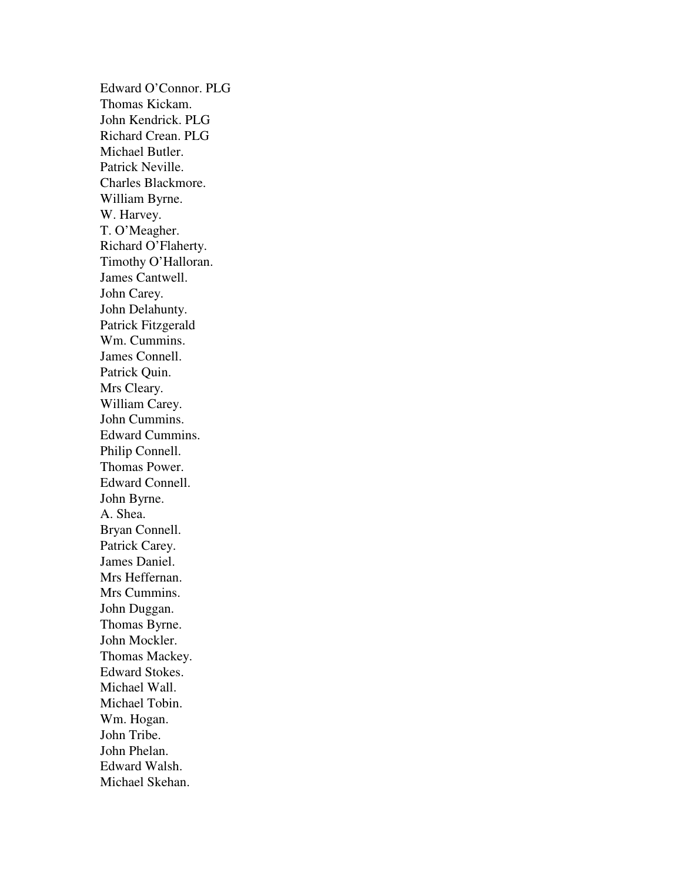Edward O'Connor. PLG Thomas Kickam. John Kendrick. PLG Richard Crean. PLG Michael Butler. Patrick Neville. Charles Blackmore. William Byrne. W. Harvey. T. O'Meagher. Richard O'Flaherty. Timothy O'Halloran. James Cantwell. John Carey. John Delahunty. Patrick Fitzgerald Wm. Cummins. James Connell. Patrick Quin. Mrs Cleary. William Carey. John Cummins. Edward Cummins. Philip Connell. Thomas Power. Edward Connell. John Byrne. A. Shea. Bryan Connell. Patrick Carey. James Daniel. Mrs Heffernan. Mrs Cummins. John Duggan. Thomas Byrne. John Mockler. Thomas Mackey. Edward Stokes. Michael Wall. Michael Tobin. Wm. Hogan. John Tribe. John Phelan. Edward Walsh. Michael Skehan.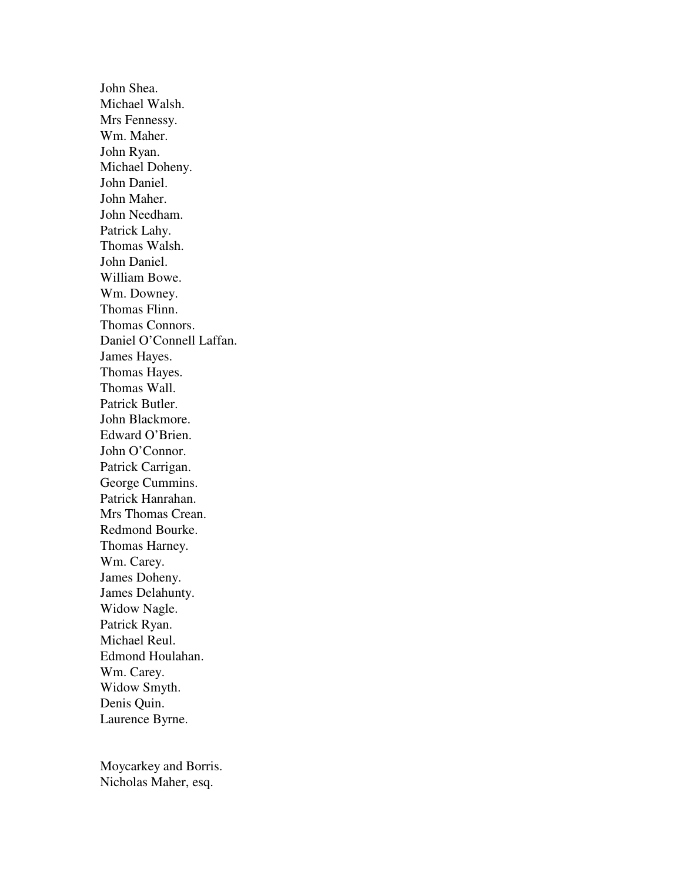John Shea. Michael Walsh. Mrs Fennessy. Wm. Maher. John Ryan. Michael Doheny. John Daniel. John Maher. John Needham. Patrick Lahy. Thomas Walsh. John Daniel. William Bowe. Wm. Downey. Thomas Flinn. Thomas Connors. Daniel O'Connell Laffan. James Hayes. Thomas Hayes. Thomas Wall. Patrick Butler. John Blackmore. Edward O'Brien. John O'Connor. Patrick Carrigan. George Cummins. Patrick Hanrahan. Mrs Thomas Crean. Redmond Bourke. Thomas Harney. Wm. Carey. James Doheny. James Delahunty. Widow Nagle. Patrick Ryan. Michael Reul. Edmond Houlahan. Wm. Carey. Widow Smyth. Denis Quin. Laurence Byrne.

Moycarkey and Borris. Nicholas Maher, esq.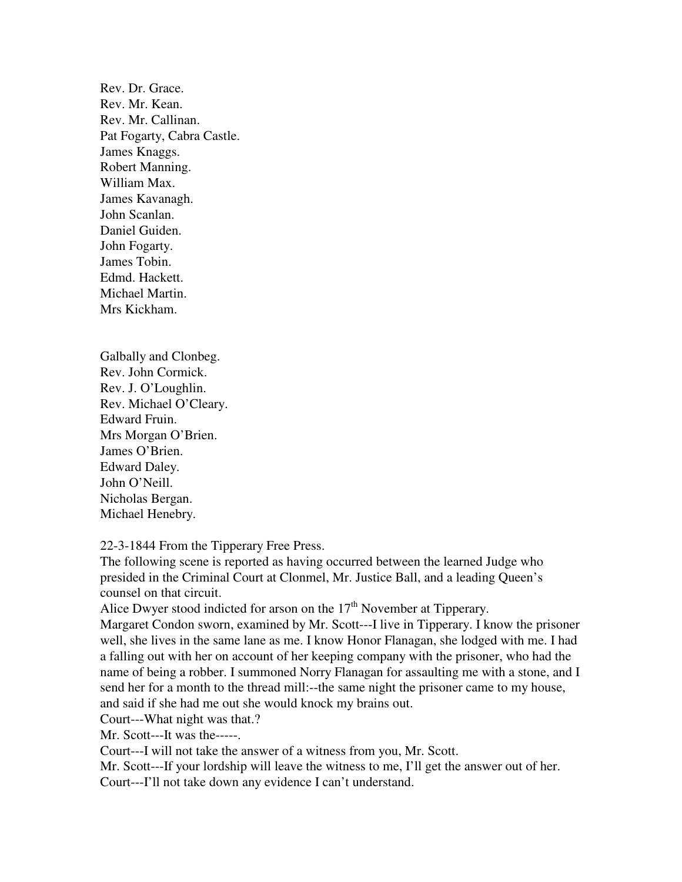Rev. Dr. Grace. Rev. Mr. Kean. Rev. Mr. Callinan. Pat Fogarty, Cabra Castle. James Knaggs. Robert Manning. William Max. James Kavanagh. John Scanlan. Daniel Guiden. John Fogarty. James Tobin. Edmd. Hackett. Michael Martin. Mrs Kickham.

Galbally and Clonbeg. Rev. John Cormick. Rev. J. O'Loughlin. Rev. Michael O'Cleary. Edward Fruin. Mrs Morgan O'Brien. James O'Brien. Edward Daley. John O'Neill. Nicholas Bergan. Michael Henebry.

22-3-1844 From the Tipperary Free Press.

The following scene is reported as having occurred between the learned Judge who presided in the Criminal Court at Clonmel, Mr. Justice Ball, and a leading Queen's counsel on that circuit.

Alice Dwyer stood indicted for arson on the  $17<sup>th</sup>$  November at Tipperary.

Margaret Condon sworn, examined by Mr. Scott---I live in Tipperary. I know the prisoner well, she lives in the same lane as me. I know Honor Flanagan, she lodged with me. I had a falling out with her on account of her keeping company with the prisoner, who had the name of being a robber. I summoned Norry Flanagan for assaulting me with a stone, and I send her for a month to the thread mill:--the same night the prisoner came to my house, and said if she had me out she would knock my brains out.

Court---What night was that.?

Mr. Scott---It was the-----.

Court---I will not take the answer of a witness from you, Mr. Scott.

Mr. Scott---If your lordship will leave the witness to me, I'll get the answer out of her.

Court---I'll not take down any evidence I can't understand.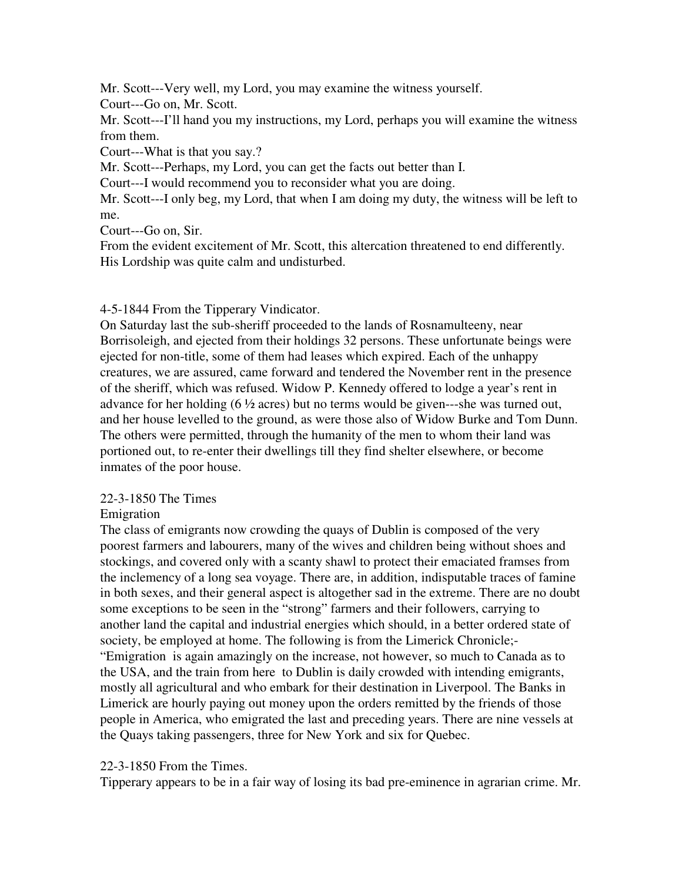Mr. Scott---Very well, my Lord, you may examine the witness yourself. Court---Go on, Mr. Scott.

Mr. Scott---I'll hand you my instructions, my Lord, perhaps you will examine the witness from them.

Court---What is that you say.?

Mr. Scott---Perhaps, my Lord, you can get the facts out better than I.

Court---I would recommend you to reconsider what you are doing.

Mr. Scott---I only beg, my Lord, that when I am doing my duty, the witness will be left to me.

Court---Go on, Sir.

From the evident excitement of Mr. Scott, this altercation threatened to end differently. His Lordship was quite calm and undisturbed.

# 4-5-1844 From the Tipperary Vindicator.

On Saturday last the sub-sheriff proceeded to the lands of Rosnamulteeny, near Borrisoleigh, and ejected from their holdings 32 persons. These unfortunate beings were ejected for non-title, some of them had leases which expired. Each of the unhappy creatures, we are assured, came forward and tendered the November rent in the presence of the sheriff, which was refused. Widow P. Kennedy offered to lodge a year's rent in advance for her holding (6 ½ acres) but no terms would be given---she was turned out, and her house levelled to the ground, as were those also of Widow Burke and Tom Dunn. The others were permitted, through the humanity of the men to whom their land was portioned out, to re-enter their dwellings till they find shelter elsewhere, or become inmates of the poor house.

# 22-3-1850 The Times

Emigration

The class of emigrants now crowding the quays of Dublin is composed of the very poorest farmers and labourers, many of the wives and children being without shoes and stockings, and covered only with a scanty shawl to protect their emaciated framses from the inclemency of a long sea voyage. There are, in addition, indisputable traces of famine in both sexes, and their general aspect is altogether sad in the extreme. There are no doubt some exceptions to be seen in the "strong" farmers and their followers, carrying to another land the capital and industrial energies which should, in a better ordered state of society, be employed at home. The following is from the Limerick Chronicle;- "Emigration is again amazingly on the increase, not however, so much to Canada as to the USA, and the train from here to Dublin is daily crowded with intending emigrants, mostly all agricultural and who embark for their destination in Liverpool. The Banks in Limerick are hourly paying out money upon the orders remitted by the friends of those people in America, who emigrated the last and preceding years. There are nine vessels at the Quays taking passengers, three for New York and six for Quebec.

# 22-3-1850 From the Times.

Tipperary appears to be in a fair way of losing its bad pre-eminence in agrarian crime. Mr.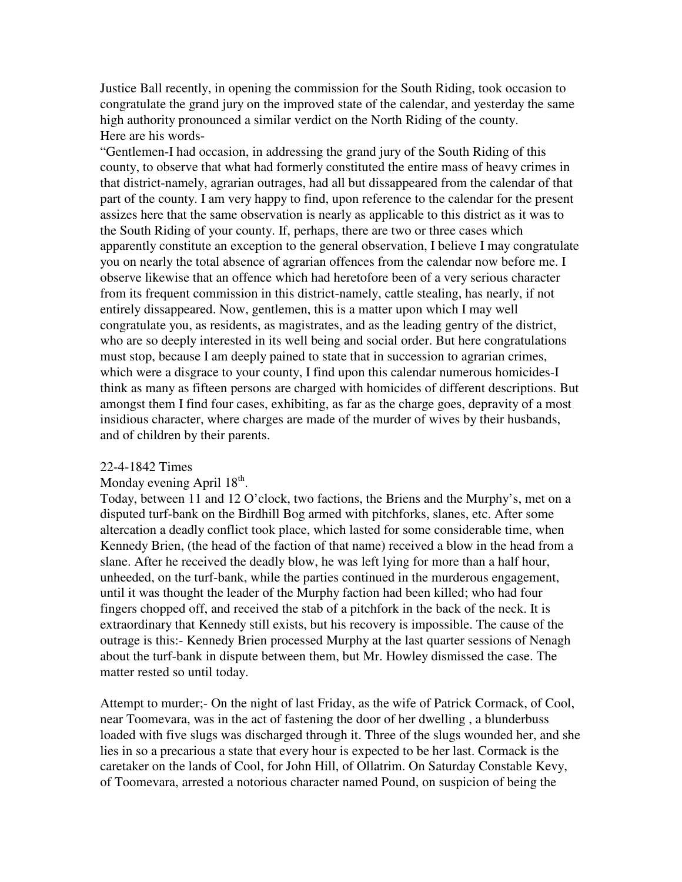Justice Ball recently, in opening the commission for the South Riding, took occasion to congratulate the grand jury on the improved state of the calendar, and yesterday the same high authority pronounced a similar verdict on the North Riding of the county. Here are his words-

"Gentlemen-I had occasion, in addressing the grand jury of the South Riding of this county, to observe that what had formerly constituted the entire mass of heavy crimes in that district-namely, agrarian outrages, had all but dissappeared from the calendar of that part of the county. I am very happy to find, upon reference to the calendar for the present assizes here that the same observation is nearly as applicable to this district as it was to the South Riding of your county. If, perhaps, there are two or three cases which apparently constitute an exception to the general observation, I believe I may congratulate you on nearly the total absence of agrarian offences from the calendar now before me. I observe likewise that an offence which had heretofore been of a very serious character from its frequent commission in this district-namely, cattle stealing, has nearly, if not entirely dissappeared. Now, gentlemen, this is a matter upon which I may well congratulate you, as residents, as magistrates, and as the leading gentry of the district, who are so deeply interested in its well being and social order. But here congratulations must stop, because I am deeply pained to state that in succession to agrarian crimes, which were a disgrace to your county, I find upon this calendar numerous homicides-I think as many as fifteen persons are charged with homicides of different descriptions. But amongst them I find four cases, exhibiting, as far as the charge goes, depravity of a most insidious character, where charges are made of the murder of wives by their husbands, and of children by their parents.

#### 22-4-1842 Times

# Monday evening April 18<sup>th</sup>.

Today, between 11 and 12 O'clock, two factions, the Briens and the Murphy's, met on a disputed turf-bank on the Birdhill Bog armed with pitchforks, slanes, etc. After some altercation a deadly conflict took place, which lasted for some considerable time, when Kennedy Brien, (the head of the faction of that name) received a blow in the head from a slane. After he received the deadly blow, he was left lying for more than a half hour, unheeded, on the turf-bank, while the parties continued in the murderous engagement, until it was thought the leader of the Murphy faction had been killed; who had four fingers chopped off, and received the stab of a pitchfork in the back of the neck. It is extraordinary that Kennedy still exists, but his recovery is impossible. The cause of the outrage is this:- Kennedy Brien processed Murphy at the last quarter sessions of Nenagh about the turf-bank in dispute between them, but Mr. Howley dismissed the case. The matter rested so until today.

Attempt to murder;- On the night of last Friday, as the wife of Patrick Cormack, of Cool, near Toomevara, was in the act of fastening the door of her dwelling , a blunderbuss loaded with five slugs was discharged through it. Three of the slugs wounded her, and she lies in so a precarious a state that every hour is expected to be her last. Cormack is the caretaker on the lands of Cool, for John Hill, of Ollatrim. On Saturday Constable Kevy, of Toomevara, arrested a notorious character named Pound, on suspicion of being the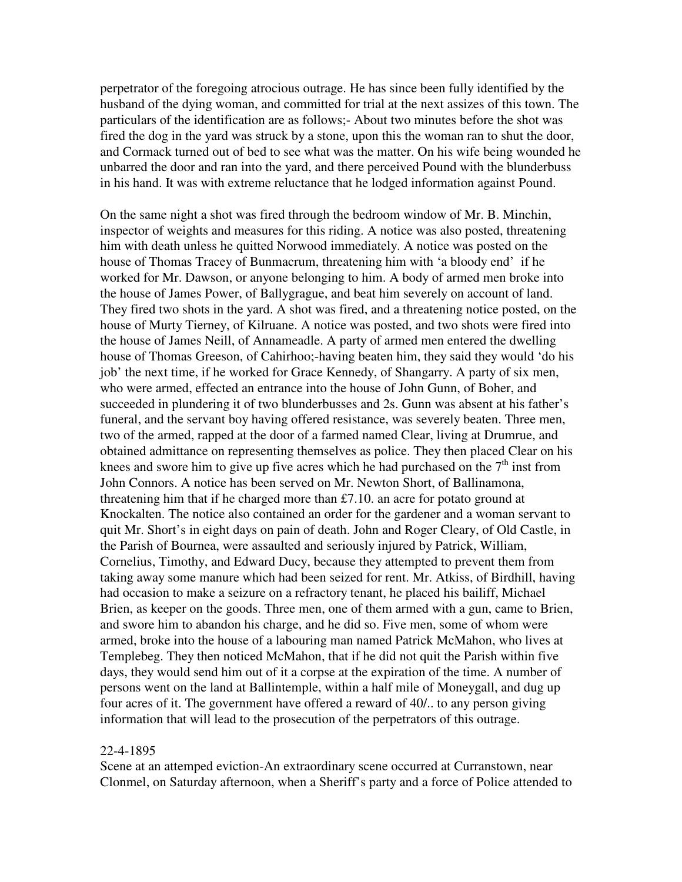perpetrator of the foregoing atrocious outrage. He has since been fully identified by the husband of the dying woman, and committed for trial at the next assizes of this town. The particulars of the identification are as follows;- About two minutes before the shot was fired the dog in the yard was struck by a stone, upon this the woman ran to shut the door, and Cormack turned out of bed to see what was the matter. On his wife being wounded he unbarred the door and ran into the yard, and there perceived Pound with the blunderbuss in his hand. It was with extreme reluctance that he lodged information against Pound.

On the same night a shot was fired through the bedroom window of Mr. B. Minchin, inspector of weights and measures for this riding. A notice was also posted, threatening him with death unless he quitted Norwood immediately. A notice was posted on the house of Thomas Tracey of Bunmacrum, threatening him with 'a bloody end' if he worked for Mr. Dawson, or anyone belonging to him. A body of armed men broke into the house of James Power, of Ballygrague, and beat him severely on account of land. They fired two shots in the yard. A shot was fired, and a threatening notice posted, on the house of Murty Tierney, of Kilruane. A notice was posted, and two shots were fired into the house of James Neill, of Annameadle. A party of armed men entered the dwelling house of Thomas Greeson, of Cahirhoo;-having beaten him, they said they would 'do his job' the next time, if he worked for Grace Kennedy, of Shangarry. A party of six men, who were armed, effected an entrance into the house of John Gunn, of Boher, and succeeded in plundering it of two blunderbusses and 2s. Gunn was absent at his father's funeral, and the servant boy having offered resistance, was severely beaten. Three men, two of the armed, rapped at the door of a farmed named Clear, living at Drumrue, and obtained admittance on representing themselves as police. They then placed Clear on his knees and swore him to give up five acres which he had purchased on the  $7<sup>th</sup>$  inst from John Connors. A notice has been served on Mr. Newton Short, of Ballinamona, threatening him that if he charged more than £7.10. an acre for potato ground at Knockalten. The notice also contained an order for the gardener and a woman servant to quit Mr. Short's in eight days on pain of death. John and Roger Cleary, of Old Castle, in the Parish of Bournea, were assaulted and seriously injured by Patrick, William, Cornelius, Timothy, and Edward Ducy, because they attempted to prevent them from taking away some manure which had been seized for rent. Mr. Atkiss, of Birdhill, having had occasion to make a seizure on a refractory tenant, he placed his bailiff, Michael Brien, as keeper on the goods. Three men, one of them armed with a gun, came to Brien, and swore him to abandon his charge, and he did so. Five men, some of whom were armed, broke into the house of a labouring man named Patrick McMahon, who lives at Templebeg. They then noticed McMahon, that if he did not quit the Parish within five days, they would send him out of it a corpse at the expiration of the time. A number of persons went on the land at Ballintemple, within a half mile of Moneygall, and dug up four acres of it. The government have offered a reward of 40/.. to any person giving information that will lead to the prosecution of the perpetrators of this outrage.

#### 22-4-1895

Scene at an attemped eviction-An extraordinary scene occurred at Curranstown, near Clonmel, on Saturday afternoon, when a Sheriff's party and a force of Police attended to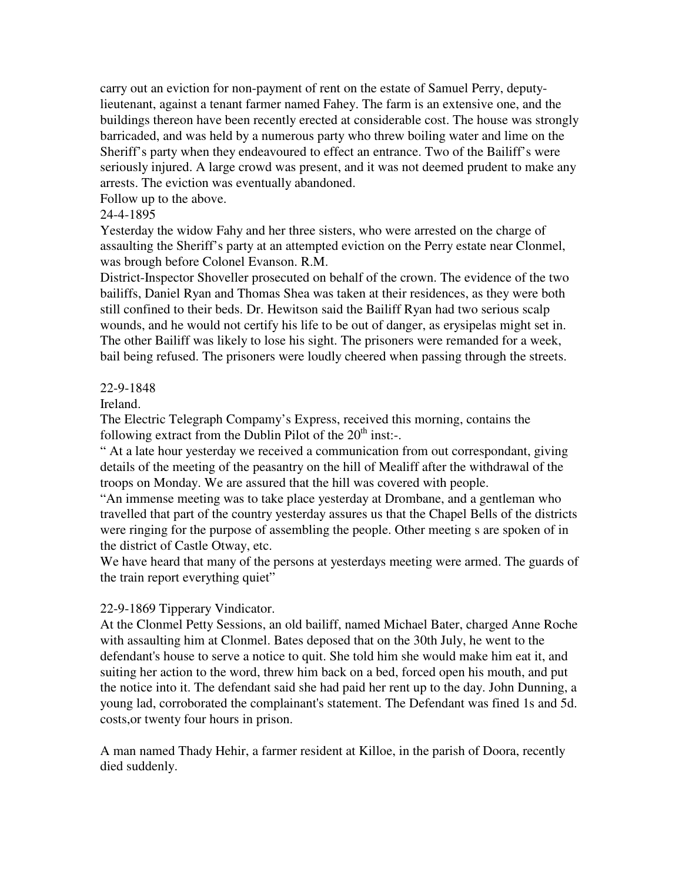carry out an eviction for non-payment of rent on the estate of Samuel Perry, deputylieutenant, against a tenant farmer named Fahey. The farm is an extensive one, and the buildings thereon have been recently erected at considerable cost. The house was strongly barricaded, and was held by a numerous party who threw boiling water and lime on the Sheriff's party when they endeavoured to effect an entrance. Two of the Bailiff's were seriously injured. A large crowd was present, and it was not deemed prudent to make any arrests. The eviction was eventually abandoned.

Follow up to the above.

# 24-4-1895

Yesterday the widow Fahy and her three sisters, who were arrested on the charge of assaulting the Sheriff's party at an attempted eviction on the Perry estate near Clonmel, was brough before Colonel Evanson. R.M.

District-Inspector Shoveller prosecuted on behalf of the crown. The evidence of the two bailiffs, Daniel Ryan and Thomas Shea was taken at their residences, as they were both still confined to their beds. Dr. Hewitson said the Bailiff Ryan had two serious scalp wounds, and he would not certify his life to be out of danger, as erysipelas might set in. The other Bailiff was likely to lose his sight. The prisoners were remanded for a week, bail being refused. The prisoners were loudly cheered when passing through the streets.

# 22-9-1848

Ireland.

The Electric Telegraph Compamy's Express, received this morning, contains the following extract from the Dublin Pilot of the  $20<sup>th</sup>$  inst:-.

" At a late hour yesterday we received a communication from out correspondant, giving details of the meeting of the peasantry on the hill of Mealiff after the withdrawal of the troops on Monday. We are assured that the hill was covered with people.

"An immense meeting was to take place yesterday at Drombane, and a gentleman who travelled that part of the country yesterday assures us that the Chapel Bells of the districts were ringing for the purpose of assembling the people. Other meeting s are spoken of in the district of Castle Otway, etc.

We have heard that many of the persons at yesterdays meeting were armed. The guards of the train report everything quiet"

# 22-9-1869 Tipperary Vindicator.

At the Clonmel Petty Sessions, an old bailiff, named Michael Bater, charged Anne Roche with assaulting him at Clonmel. Bates deposed that on the 30th July, he went to the defendant's house to serve a notice to quit. She told him she would make him eat it, and suiting her action to the word, threw him back on a bed, forced open his mouth, and put the notice into it. The defendant said she had paid her rent up to the day. John Dunning, a young lad, corroborated the complainant's statement. The Defendant was fined 1s and 5d. costs,or twenty four hours in prison.

A man named Thady Hehir, a farmer resident at Killoe, in the parish of Doora, recently died suddenly.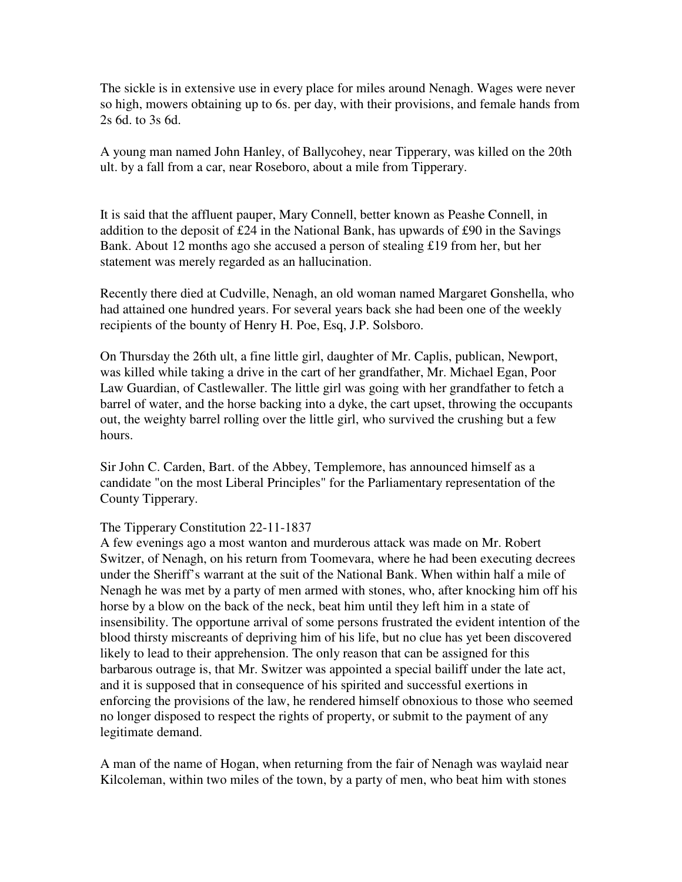The sickle is in extensive use in every place for miles around Nenagh. Wages were never so high, mowers obtaining up to 6s. per day, with their provisions, and female hands from 2s 6d. to 3s 6d.

A young man named John Hanley, of Ballycohey, near Tipperary, was killed on the 20th ult. by a fall from a car, near Roseboro, about a mile from Tipperary.

It is said that the affluent pauper, Mary Connell, better known as Peashe Connell, in addition to the deposit of £24 in the National Bank, has upwards of £90 in the Savings Bank. About 12 months ago she accused a person of stealing £19 from her, but her statement was merely regarded as an hallucination.

Recently there died at Cudville, Nenagh, an old woman named Margaret Gonshella, who had attained one hundred years. For several years back she had been one of the weekly recipients of the bounty of Henry H. Poe, Esq, J.P. Solsboro.

On Thursday the 26th ult, a fine little girl, daughter of Mr. Caplis, publican, Newport, was killed while taking a drive in the cart of her grandfather, Mr. Michael Egan, Poor Law Guardian, of Castlewaller. The little girl was going with her grandfather to fetch a barrel of water, and the horse backing into a dyke, the cart upset, throwing the occupants out, the weighty barrel rolling over the little girl, who survived the crushing but a few hours.

Sir John C. Carden, Bart. of the Abbey, Templemore, has announced himself as a candidate "on the most Liberal Principles" for the Parliamentary representation of the County Tipperary.

## The Tipperary Constitution 22-11-1837

A few evenings ago a most wanton and murderous attack was made on Mr. Robert Switzer, of Nenagh, on his return from Toomevara, where he had been executing decrees under the Sheriff's warrant at the suit of the National Bank. When within half a mile of Nenagh he was met by a party of men armed with stones, who, after knocking him off his horse by a blow on the back of the neck, beat him until they left him in a state of insensibility. The opportune arrival of some persons frustrated the evident intention of the blood thirsty miscreants of depriving him of his life, but no clue has yet been discovered likely to lead to their apprehension. The only reason that can be assigned for this barbarous outrage is, that Mr. Switzer was appointed a special bailiff under the late act, and it is supposed that in consequence of his spirited and successful exertions in enforcing the provisions of the law, he rendered himself obnoxious to those who seemed no longer disposed to respect the rights of property, or submit to the payment of any legitimate demand.

A man of the name of Hogan, when returning from the fair of Nenagh was waylaid near Kilcoleman, within two miles of the town, by a party of men, who beat him with stones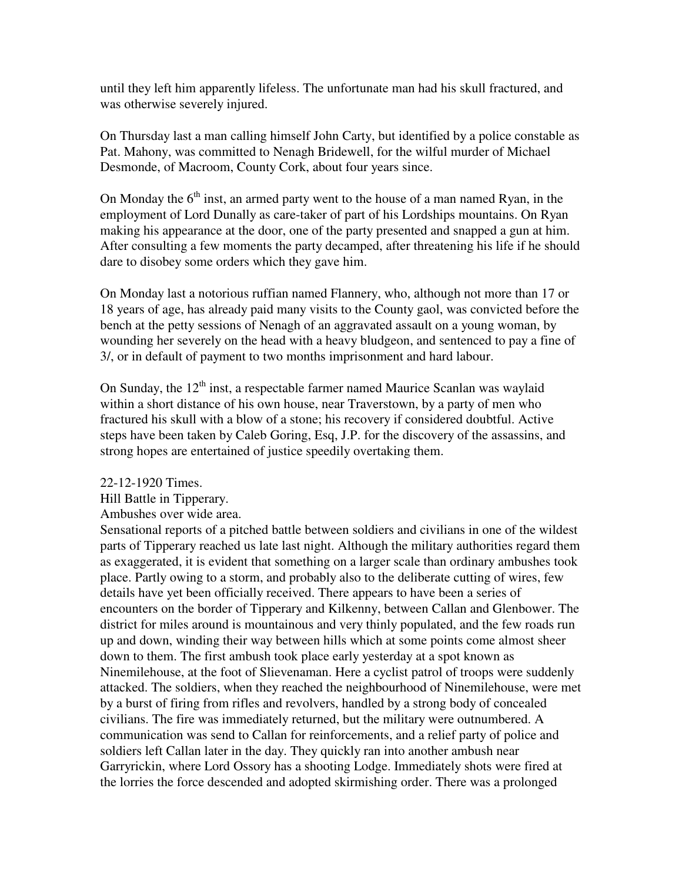until they left him apparently lifeless. The unfortunate man had his skull fractured, and was otherwise severely injured.

On Thursday last a man calling himself John Carty, but identified by a police constable as Pat. Mahony, was committed to Nenagh Bridewell, for the wilful murder of Michael Desmonde, of Macroom, County Cork, about four years since.

On Monday the  $6<sup>th</sup>$  inst, an armed party went to the house of a man named Ryan, in the employment of Lord Dunally as care-taker of part of his Lordships mountains. On Ryan making his appearance at the door, one of the party presented and snapped a gun at him. After consulting a few moments the party decamped, after threatening his life if he should dare to disobey some orders which they gave him.

On Monday last a notorious ruffian named Flannery, who, although not more than 17 or 18 years of age, has already paid many visits to the County gaol, was convicted before the bench at the petty sessions of Nenagh of an aggravated assault on a young woman, by wounding her severely on the head with a heavy bludgeon, and sentenced to pay a fine of 3/, or in default of payment to two months imprisonment and hard labour.

On Sunday, the  $12<sup>th</sup>$  inst, a respectable farmer named Maurice Scanlan was waylaid within a short distance of his own house, near Traverstown, by a party of men who fractured his skull with a blow of a stone; his recovery if considered doubtful. Active steps have been taken by Caleb Goring, Esq, J.P. for the discovery of the assassins, and strong hopes are entertained of justice speedily overtaking them.

22-12-1920 Times.

Hill Battle in Tipperary.

Ambushes over wide area.

Sensational reports of a pitched battle between soldiers and civilians in one of the wildest parts of Tipperary reached us late last night. Although the military authorities regard them as exaggerated, it is evident that something on a larger scale than ordinary ambushes took place. Partly owing to a storm, and probably also to the deliberate cutting of wires, few details have yet been officially received. There appears to have been a series of encounters on the border of Tipperary and Kilkenny, between Callan and Glenbower. The district for miles around is mountainous and very thinly populated, and the few roads run up and down, winding their way between hills which at some points come almost sheer down to them. The first ambush took place early yesterday at a spot known as Ninemilehouse, at the foot of Slievenaman. Here a cyclist patrol of troops were suddenly attacked. The soldiers, when they reached the neighbourhood of Ninemilehouse, were met by a burst of firing from rifles and revolvers, handled by a strong body of concealed civilians. The fire was immediately returned, but the military were outnumbered. A communication was send to Callan for reinforcements, and a relief party of police and soldiers left Callan later in the day. They quickly ran into another ambush near Garryrickin, where Lord Ossory has a shooting Lodge. Immediately shots were fired at the lorries the force descended and adopted skirmishing order. There was a prolonged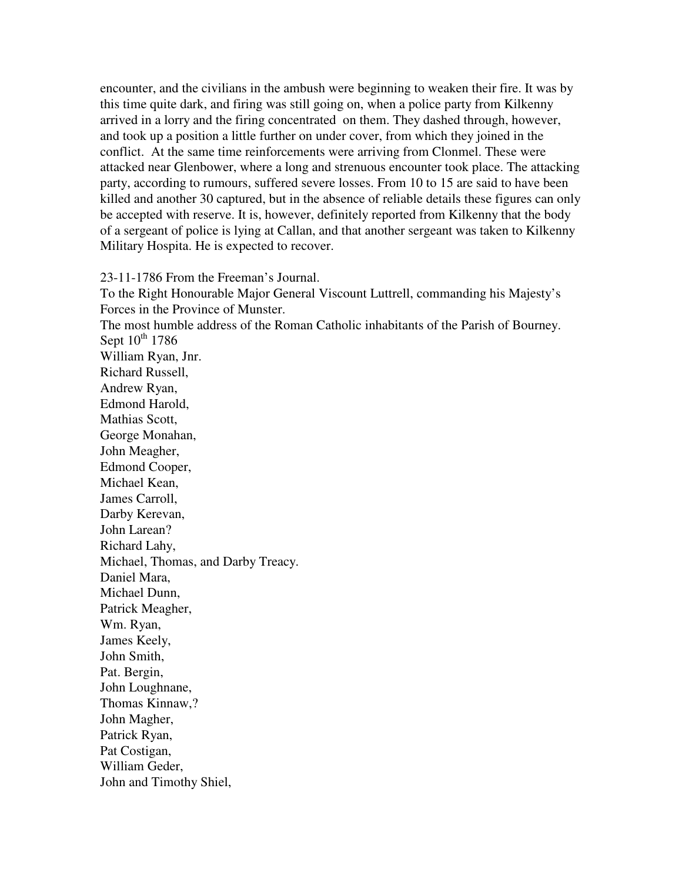encounter, and the civilians in the ambush were beginning to weaken their fire. It was by this time quite dark, and firing was still going on, when a police party from Kilkenny arrived in a lorry and the firing concentrated on them. They dashed through, however, and took up a position a little further on under cover, from which they joined in the conflict. At the same time reinforcements were arriving from Clonmel. These were attacked near Glenbower, where a long and strenuous encounter took place. The attacking party, according to rumours, suffered severe losses. From 10 to 15 are said to have been killed and another 30 captured, but in the absence of reliable details these figures can only be accepted with reserve. It is, however, definitely reported from Kilkenny that the body of a sergeant of police is lying at Callan, and that another sergeant was taken to Kilkenny Military Hospita. He is expected to recover.

23-11-1786 From the Freeman's Journal. To the Right Honourable Major General Viscount Luttrell, commanding his Majesty's Forces in the Province of Munster. The most humble address of the Roman Catholic inhabitants of the Parish of Bourney. Sept  $10^{th}$  1786 William Ryan, Jnr. Richard Russell, Andrew Ryan, Edmond Harold, Mathias Scott, George Monahan, John Meagher, Edmond Cooper, Michael Kean, James Carroll, Darby Kerevan, John Larean? Richard Lahy, Michael, Thomas, and Darby Treacy. Daniel Mara, Michael Dunn, Patrick Meagher, Wm. Ryan, James Keely, John Smith, Pat. Bergin, John Loughnane, Thomas Kinnaw,? John Magher, Patrick Ryan, Pat Costigan, William Geder, John and Timothy Shiel,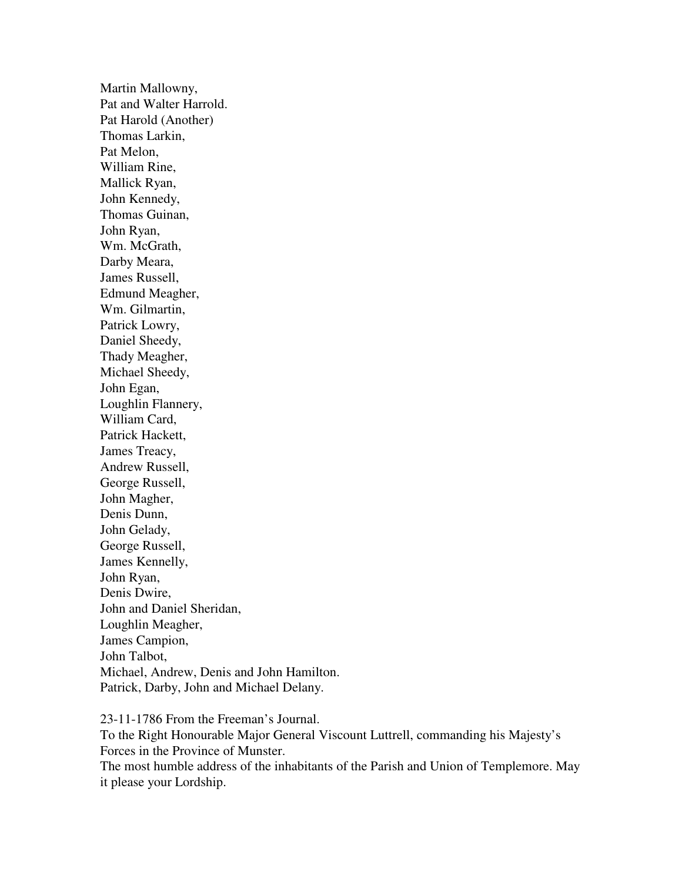Martin Mallowny, Pat and Walter Harrold. Pat Harold (Another) Thomas Larkin, Pat Melon, William Rine, Mallick Ryan, John Kennedy, Thomas Guinan, John Ryan, Wm. McGrath, Darby Meara, James Russell, Edmund Meagher, Wm. Gilmartin, Patrick Lowry, Daniel Sheedy, Thady Meagher, Michael Sheedy, John Egan, Loughlin Flannery, William Card, Patrick Hackett, James Treacy, Andrew Russell, George Russell, John Magher, Denis Dunn, John Gelady, George Russell, James Kennelly, John Ryan, Denis Dwire, John and Daniel Sheridan, Loughlin Meagher, James Campion, John Talbot, Michael, Andrew, Denis and John Hamilton. Patrick, Darby, John and Michael Delany.

23-11-1786 From the Freeman's Journal. To the Right Honourable Major General Viscount Luttrell, commanding his Majesty's Forces in the Province of Munster. The most humble address of the inhabitants of the Parish and Union of Templemore. May it please your Lordship.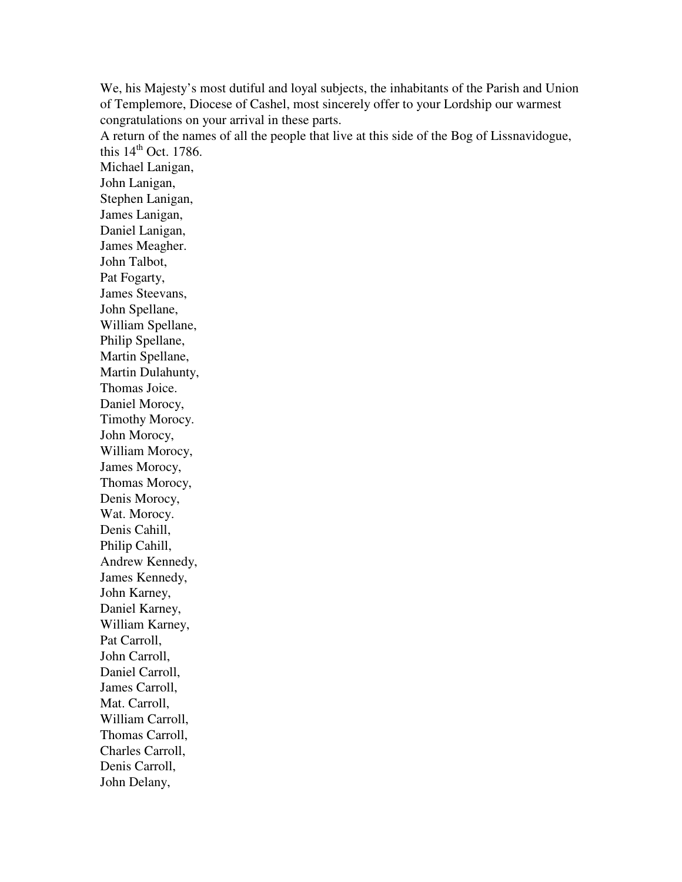We, his Majesty's most dutiful and loyal subjects, the inhabitants of the Parish and Union of Templemore, Diocese of Cashel, most sincerely offer to your Lordship our warmest congratulations on your arrival in these parts.

A return of the names of all the people that live at this side of the Bog of Lissnavidogue, this  $14<sup>th</sup>$  Oct. 1786.

Michael Lanigan, John Lanigan, Stephen Lanigan, James Lanigan, Daniel Lanigan, James Meagher. John Talbot, Pat Fogarty, James Steevans, John Spellane, William Spellane, Philip Spellane, Martin Spellane, Martin Dulahunty, Thomas Joice. Daniel Morocy, Timothy Morocy. John Morocy, William Morocy, James Morocy, Thomas Morocy, Denis Morocy, Wat. Morocy. Denis Cahill, Philip Cahill, Andrew Kennedy, James Kennedy, John Karney, Daniel Karney, William Karney, Pat Carroll, John Carroll, Daniel Carroll, James Carroll, Mat. Carroll, William Carroll, Thomas Carroll, Charles Carroll, Denis Carroll, John Delany,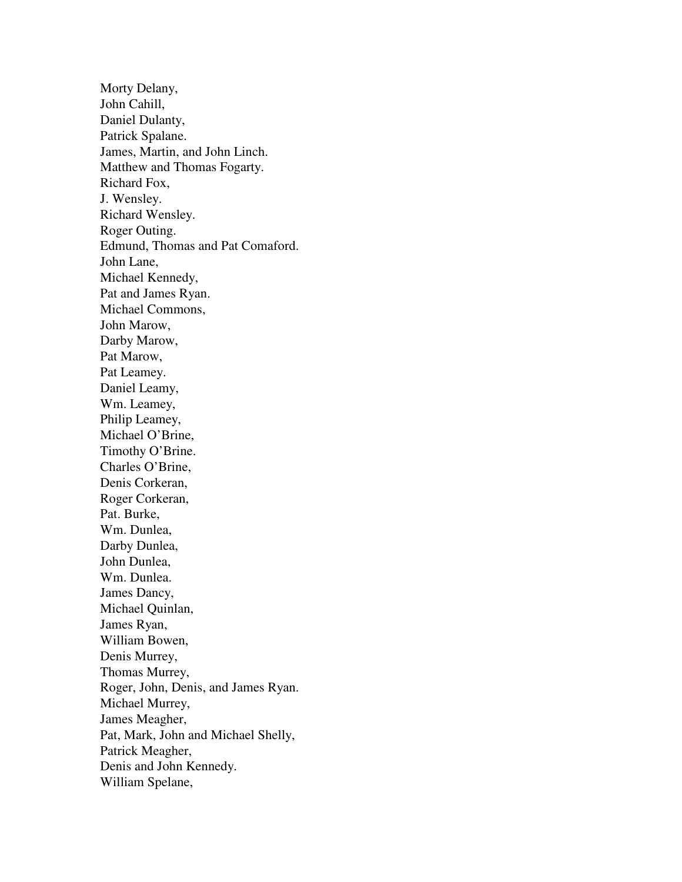Morty Delany, John Cahill, Daniel Dulanty, Patrick Spalane. James, Martin, and John Linch. Matthew and Thomas Fogarty. Richard Fox, J. Wensley. Richard Wensley. Roger Outing. Edmund, Thomas and Pat Comaford. John Lane, Michael Kennedy, Pat and James Ryan. Michael Commons, John Marow, Darby Marow, Pat Marow, Pat Leamey. Daniel Leamy, Wm. Leamey, Philip Leamey, Michael O'Brine, Timothy O'Brine. Charles O'Brine, Denis Corkeran, Roger Corkeran, Pat. Burke, Wm. Dunlea, Darby Dunlea, John Dunlea, Wm. Dunlea. James Dancy, Michael Quinlan, James Ryan, William Bowen, Denis Murrey, Thomas Murrey, Roger, John, Denis, and James Ryan. Michael Murrey, James Meagher, Pat, Mark, John and Michael Shelly, Patrick Meagher, Denis and John Kennedy. William Spelane,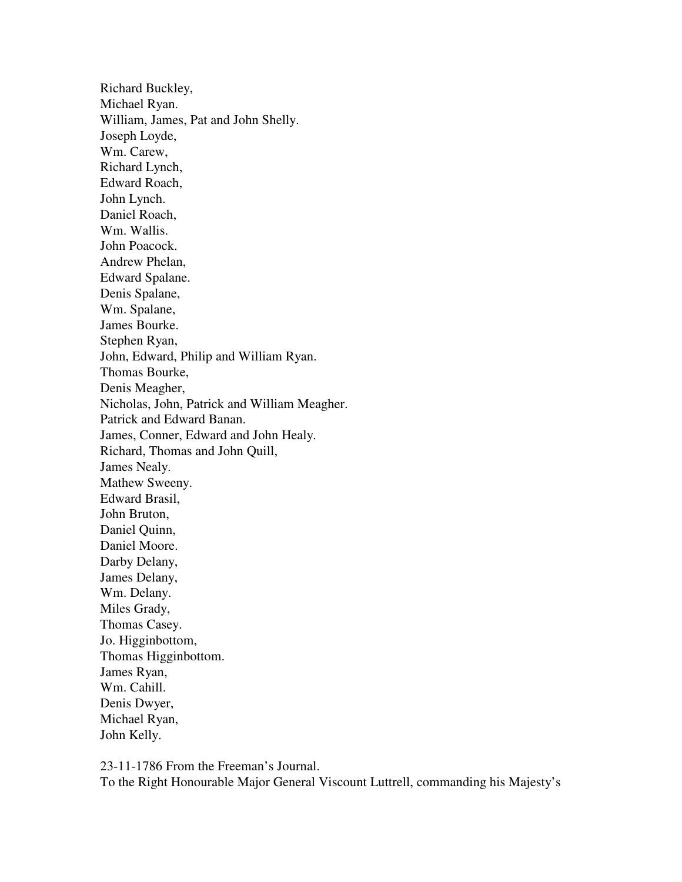Richard Buckley, Michael Ryan. William, James, Pat and John Shelly. Joseph Loyde, Wm. Carew, Richard Lynch, Edward Roach, John Lynch. Daniel Roach, Wm. Wallis. John Poacock. Andrew Phelan, Edward Spalane. Denis Spalane, Wm. Spalane, James Bourke. Stephen Ryan, John, Edward, Philip and William Ryan. Thomas Bourke, Denis Meagher, Nicholas, John, Patrick and William Meagher. Patrick and Edward Banan. James, Conner, Edward and John Healy. Richard, Thomas and John Quill, James Nealy. Mathew Sweeny. Edward Brasil, John Bruton, Daniel Quinn, Daniel Moore. Darby Delany, James Delany, Wm. Delany. Miles Grady, Thomas Casey. Jo. Higginbottom, Thomas Higginbottom. James Ryan, Wm. Cahill. Denis Dwyer, Michael Ryan, John Kelly.

23-11-1786 From the Freeman's Journal. To the Right Honourable Major General Viscount Luttrell, commanding his Majesty's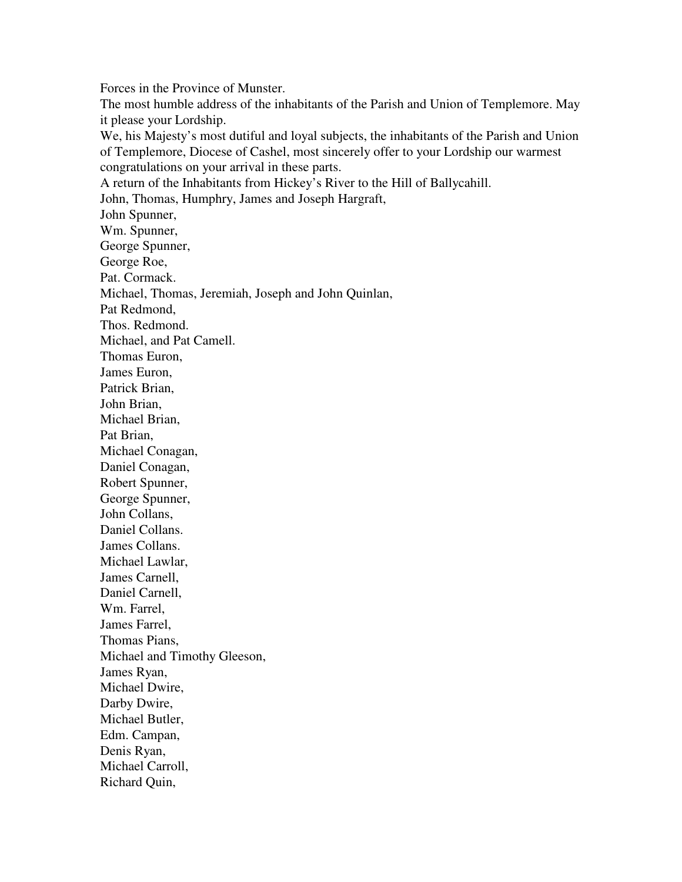Forces in the Province of Munster. The most humble address of the inhabitants of the Parish and Union of Templemore. May it please your Lordship. We, his Majesty's most dutiful and loyal subjects, the inhabitants of the Parish and Union of Templemore, Diocese of Cashel, most sincerely offer to your Lordship our warmest congratulations on your arrival in these parts. A return of the Inhabitants from Hickey's River to the Hill of Ballycahill. John, Thomas, Humphry, James and Joseph Hargraft, John Spunner, Wm. Spunner, George Spunner, George Roe, Pat. Cormack. Michael, Thomas, Jeremiah, Joseph and John Quinlan, Pat Redmond, Thos. Redmond. Michael, and Pat Camell. Thomas Euron, James Euron, Patrick Brian, John Brian, Michael Brian, Pat Brian, Michael Conagan, Daniel Conagan, Robert Spunner, George Spunner, John Collans, Daniel Collans. James Collans. Michael Lawlar, James Carnell, Daniel Carnell, Wm. Farrel, James Farrel, Thomas Pians, Michael and Timothy Gleeson, James Ryan, Michael Dwire, Darby Dwire, Michael Butler, Edm. Campan, Denis Ryan, Michael Carroll, Richard Quin,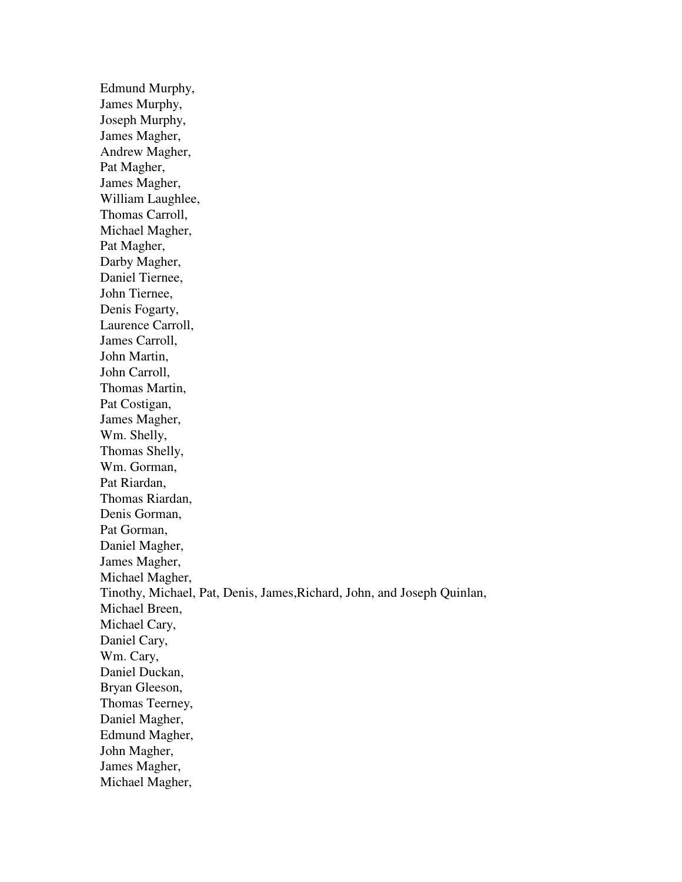Edmund Murphy, James Murphy, Joseph Murphy, James Magher, Andrew Magher, Pat Magher, James Magher, William Laughlee, Thomas Carroll, Michael Magher, Pat Magher, Darby Magher, Daniel Tiernee, John Tiernee, Denis Fogarty, Laurence Carroll, James Carroll, John Martin, John Carroll, Thomas Martin, Pat Costigan, James Magher, Wm. Shelly, Thomas Shelly, Wm. Gorman, Pat Riardan, Thomas Riardan, Denis Gorman, Pat Gorman, Daniel Magher, James Magher, Michael Magher, Tinothy, Michael, Pat, Denis, James,Richard, John, and Joseph Quinlan, Michael Breen, Michael Cary, Daniel Cary, Wm. Cary, Daniel Duckan, Bryan Gleeson, Thomas Teerney, Daniel Magher, Edmund Magher, John Magher, James Magher, Michael Magher,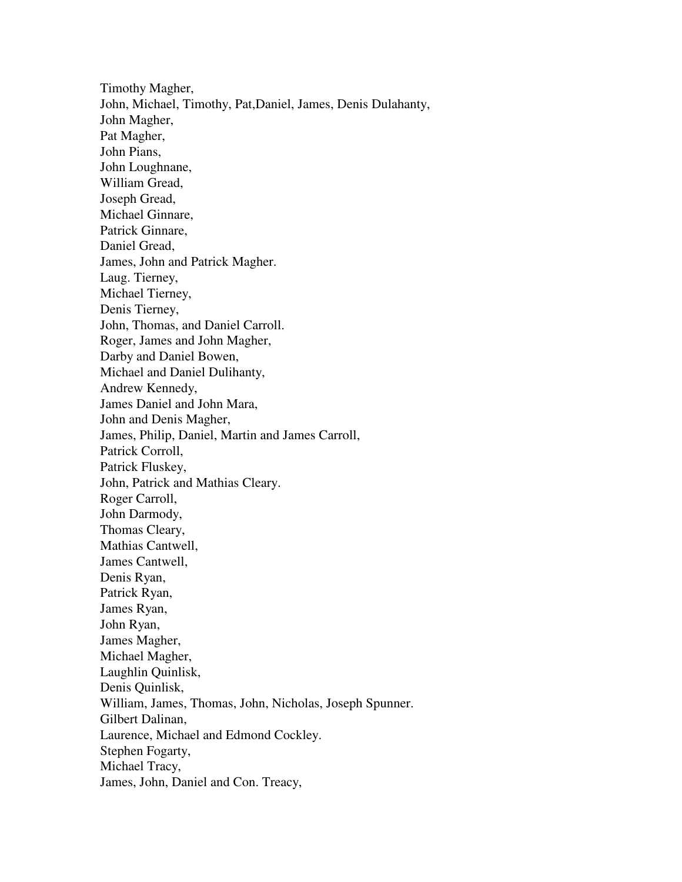Timothy Magher, John, Michael, Timothy, Pat,Daniel, James, Denis Dulahanty, John Magher, Pat Magher, John Pians, John Loughnane, William Gread, Joseph Gread, Michael Ginnare, Patrick Ginnare, Daniel Gread, James, John and Patrick Magher. Laug. Tierney, Michael Tierney, Denis Tierney, John, Thomas, and Daniel Carroll. Roger, James and John Magher, Darby and Daniel Bowen, Michael and Daniel Dulihanty, Andrew Kennedy, James Daniel and John Mara, John and Denis Magher, James, Philip, Daniel, Martin and James Carroll, Patrick Corroll, Patrick Fluskey, John, Patrick and Mathias Cleary. Roger Carroll, John Darmody, Thomas Cleary, Mathias Cantwell, James Cantwell, Denis Ryan, Patrick Ryan, James Ryan, John Ryan, James Magher, Michael Magher, Laughlin Quinlisk, Denis Quinlisk, William, James, Thomas, John, Nicholas, Joseph Spunner. Gilbert Dalinan, Laurence, Michael and Edmond Cockley. Stephen Fogarty, Michael Tracy, James, John, Daniel and Con. Treacy,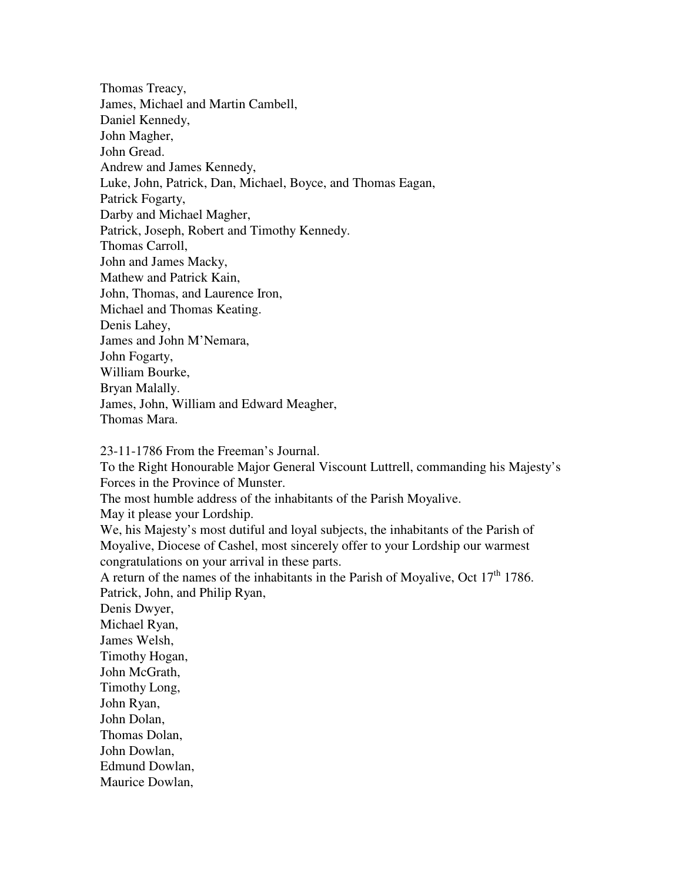Thomas Treacy, James, Michael and Martin Cambell, Daniel Kennedy, John Magher, John Gread. Andrew and James Kennedy, Luke, John, Patrick, Dan, Michael, Boyce, and Thomas Eagan, Patrick Fogarty, Darby and Michael Magher, Patrick, Joseph, Robert and Timothy Kennedy. Thomas Carroll, John and James Macky, Mathew and Patrick Kain, John, Thomas, and Laurence Iron, Michael and Thomas Keating. Denis Lahey, James and John M'Nemara, John Fogarty, William Bourke, Bryan Malally. James, John, William and Edward Meagher, Thomas Mara.

23-11-1786 From the Freeman's Journal.

To the Right Honourable Major General Viscount Luttrell, commanding his Majesty's Forces in the Province of Munster.

The most humble address of the inhabitants of the Parish Moyalive.

May it please your Lordship.

We, his Majesty's most dutiful and loyal subjects, the inhabitants of the Parish of Moyalive, Diocese of Cashel, most sincerely offer to your Lordship our warmest congratulations on your arrival in these parts.

A return of the names of the inhabitants in the Parish of Moyalive, Oct  $17<sup>th</sup> 1786$ . Patrick, John, and Philip Ryan,

Denis Dwyer, Michael Ryan, James Welsh, Timothy Hogan, John McGrath, Timothy Long, John Ryan, John Dolan, Thomas Dolan, John Dowlan, Edmund Dowlan,

Maurice Dowlan,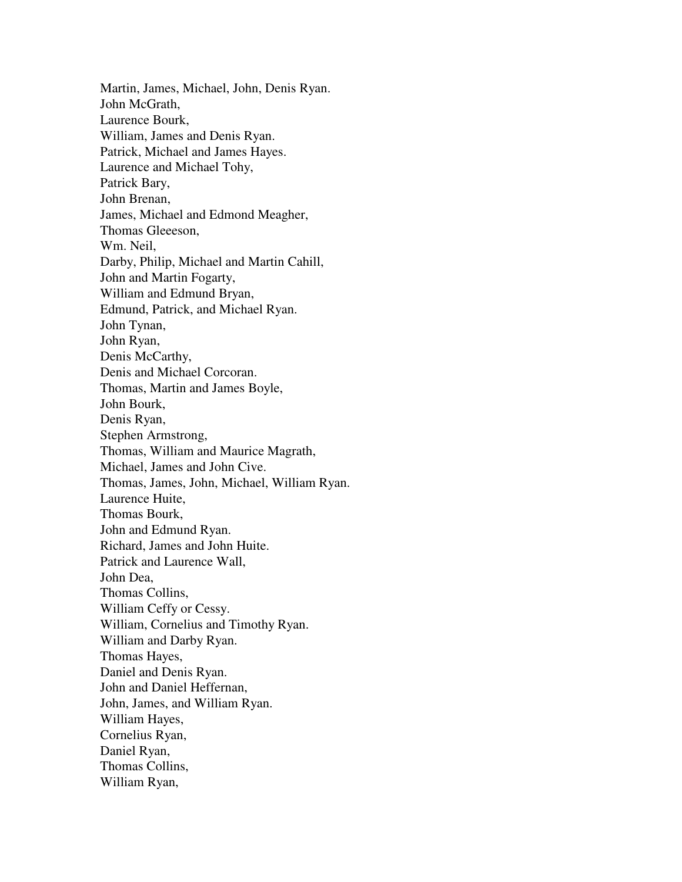Martin, James, Michael, John, Denis Ryan. John McGrath, Laurence Bourk, William, James and Denis Ryan. Patrick, Michael and James Hayes. Laurence and Michael Tohy, Patrick Bary, John Brenan, James, Michael and Edmond Meagher, Thomas Gleeeson, Wm. Neil, Darby, Philip, Michael and Martin Cahill, John and Martin Fogarty, William and Edmund Bryan, Edmund, Patrick, and Michael Ryan. John Tynan, John Ryan, Denis McCarthy, Denis and Michael Corcoran. Thomas, Martin and James Boyle, John Bourk, Denis Ryan, Stephen Armstrong, Thomas, William and Maurice Magrath, Michael, James and John Cive. Thomas, James, John, Michael, William Ryan. Laurence Huite, Thomas Bourk, John and Edmund Ryan. Richard, James and John Huite. Patrick and Laurence Wall, John Dea, Thomas Collins, William Ceffy or Cessy. William, Cornelius and Timothy Ryan. William and Darby Ryan. Thomas Hayes, Daniel and Denis Ryan. John and Daniel Heffernan, John, James, and William Ryan. William Hayes, Cornelius Ryan, Daniel Ryan, Thomas Collins, William Ryan,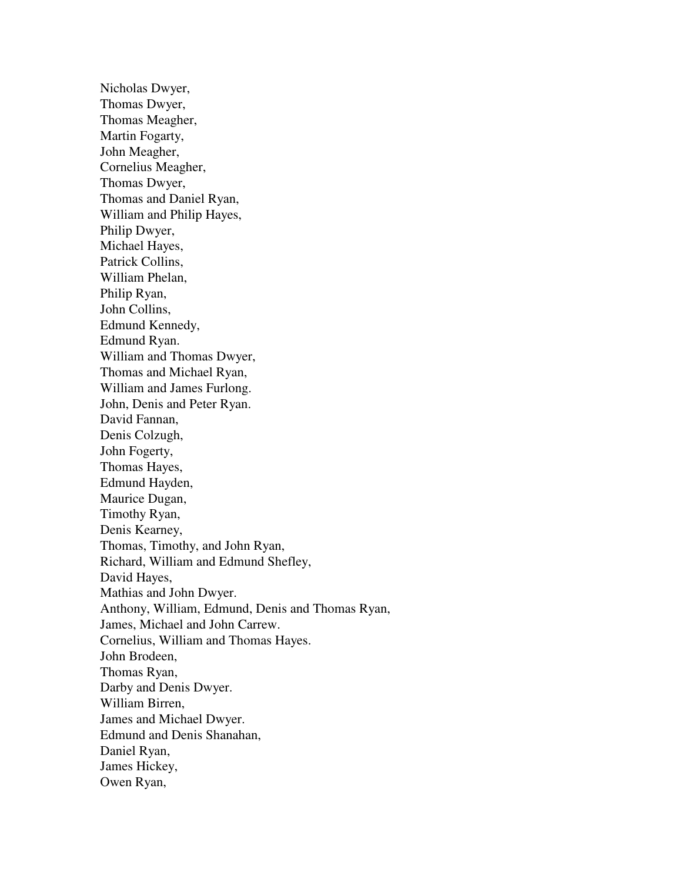Nicholas Dwyer, Thomas Dwyer, Thomas Meagher, Martin Fogarty, John Meagher, Cornelius Meagher, Thomas Dwyer, Thomas and Daniel Ryan, William and Philip Hayes, Philip Dwyer, Michael Hayes, Patrick Collins, William Phelan, Philip Ryan, John Collins, Edmund Kennedy, Edmund Ryan. William and Thomas Dwyer, Thomas and Michael Ryan, William and James Furlong. John, Denis and Peter Ryan. David Fannan, Denis Colzugh, John Fogerty, Thomas Hayes, Edmund Hayden, Maurice Dugan, Timothy Ryan, Denis Kearney, Thomas, Timothy, and John Ryan, Richard, William and Edmund Shefley, David Hayes, Mathias and John Dwyer. Anthony, William, Edmund, Denis and Thomas Ryan, James, Michael and John Carrew. Cornelius, William and Thomas Hayes. John Brodeen, Thomas Ryan, Darby and Denis Dwyer. William Birren, James and Michael Dwyer. Edmund and Denis Shanahan, Daniel Ryan, James Hickey, Owen Ryan,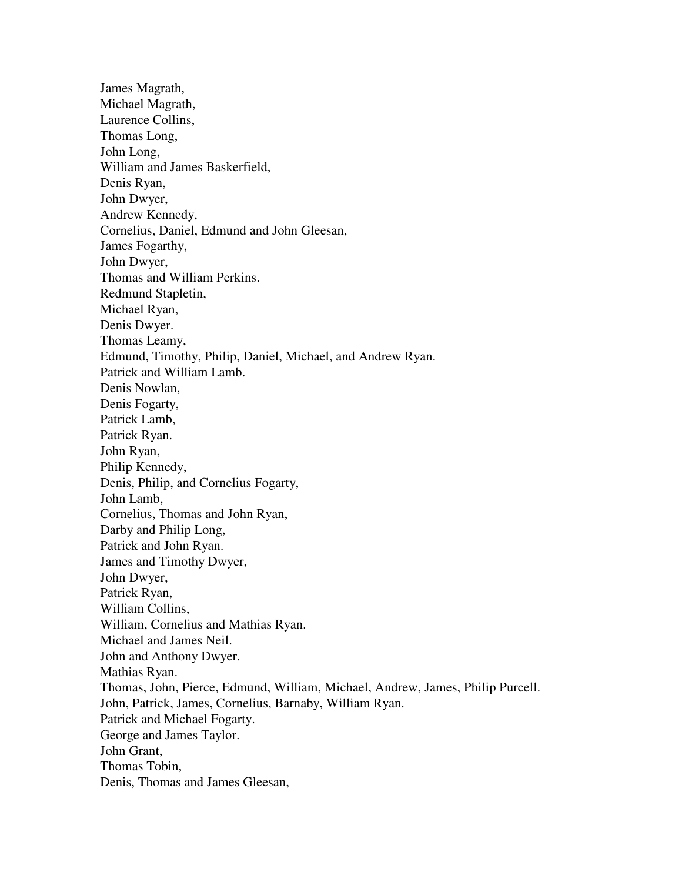James Magrath, Michael Magrath, Laurence Collins, Thomas Long, John Long, William and James Baskerfield, Denis Ryan, John Dwyer, Andrew Kennedy, Cornelius, Daniel, Edmund and John Gleesan, James Fogarthy, John Dwyer, Thomas and William Perkins. Redmund Stapletin, Michael Ryan, Denis Dwyer. Thomas Leamy, Edmund, Timothy, Philip, Daniel, Michael, and Andrew Ryan. Patrick and William Lamb. Denis Nowlan, Denis Fogarty, Patrick Lamb, Patrick Ryan. John Ryan, Philip Kennedy, Denis, Philip, and Cornelius Fogarty, John Lamb, Cornelius, Thomas and John Ryan, Darby and Philip Long, Patrick and John Ryan. James and Timothy Dwyer, John Dwyer, Patrick Ryan, William Collins, William, Cornelius and Mathias Ryan. Michael and James Neil. John and Anthony Dwyer. Mathias Ryan. Thomas, John, Pierce, Edmund, William, Michael, Andrew, James, Philip Purcell. John, Patrick, James, Cornelius, Barnaby, William Ryan. Patrick and Michael Fogarty. George and James Taylor. John Grant, Thomas Tobin, Denis, Thomas and James Gleesan,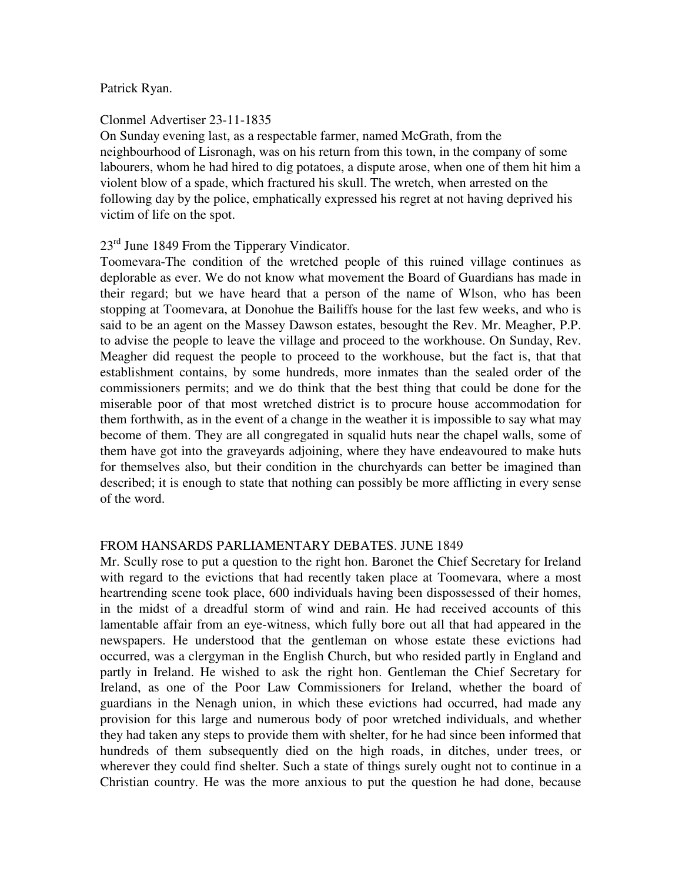### Patrick Ryan.

#### Clonmel Advertiser 23-11-1835

On Sunday evening last, as a respectable farmer, named McGrath, from the neighbourhood of Lisronagh, was on his return from this town, in the company of some labourers, whom he had hired to dig potatoes, a dispute arose, when one of them hit him a violent blow of a spade, which fractured his skull. The wretch, when arrested on the following day by the police, emphatically expressed his regret at not having deprived his victim of life on the spot.

## $23<sup>rd</sup>$  June 1849 From the Tipperary Vindicator.

Toomevara-The condition of the wretched people of this ruined village continues as deplorable as ever. We do not know what movement the Board of Guardians has made in their regard; but we have heard that a person of the name of Wlson, who has been stopping at Toomevara, at Donohue the Bailiffs house for the last few weeks, and who is said to be an agent on the Massey Dawson estates, besought the Rev. Mr. Meagher, P.P. to advise the people to leave the village and proceed to the workhouse. On Sunday, Rev. Meagher did request the people to proceed to the workhouse, but the fact is, that that establishment contains, by some hundreds, more inmates than the sealed order of the commissioners permits; and we do think that the best thing that could be done for the miserable poor of that most wretched district is to procure house accommodation for them forthwith, as in the event of a change in the weather it is impossible to say what may become of them. They are all congregated in squalid huts near the chapel walls, some of them have got into the graveyards adjoining, where they have endeavoured to make huts for themselves also, but their condition in the churchyards can better be imagined than described; it is enough to state that nothing can possibly be more afflicting in every sense of the word.

#### FROM HANSARDS PARLIAMENTARY DEBATES. JUNE 1849

Mr. Scully rose to put a question to the right hon. Baronet the Chief Secretary for Ireland with regard to the evictions that had recently taken place at Toomevara, where a most heartrending scene took place, 600 individuals having been dispossessed of their homes, in the midst of a dreadful storm of wind and rain. He had received accounts of this lamentable affair from an eye-witness, which fully bore out all that had appeared in the newspapers. He understood that the gentleman on whose estate these evictions had occurred, was a clergyman in the English Church, but who resided partly in England and partly in Ireland. He wished to ask the right hon. Gentleman the Chief Secretary for Ireland, as one of the Poor Law Commissioners for Ireland, whether the board of guardians in the Nenagh union, in which these evictions had occurred, had made any provision for this large and numerous body of poor wretched individuals, and whether they had taken any steps to provide them with shelter, for he had since been informed that hundreds of them subsequently died on the high roads, in ditches, under trees, or wherever they could find shelter. Such a state of things surely ought not to continue in a Christian country. He was the more anxious to put the question he had done, because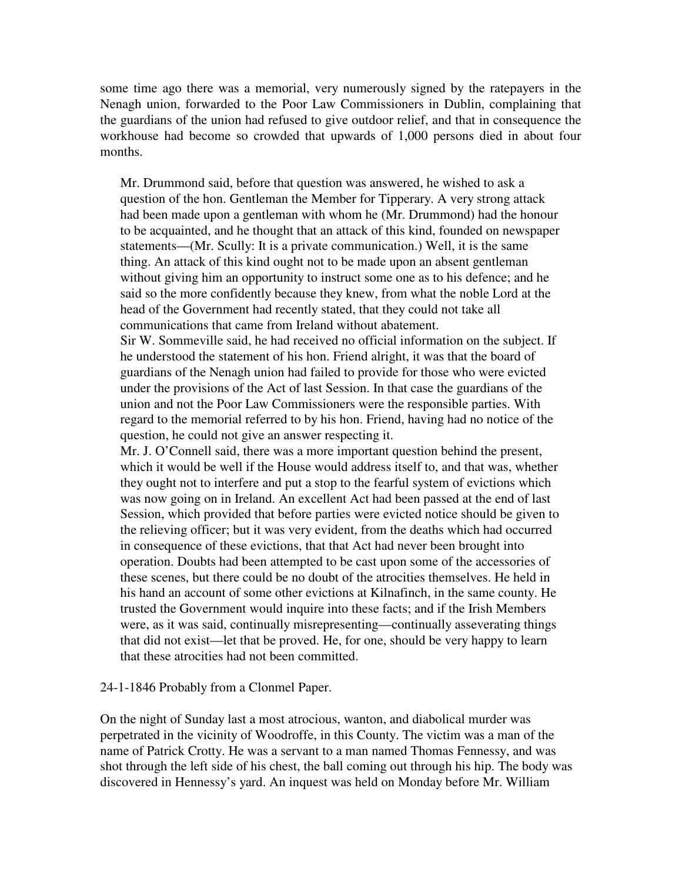some time ago there was a memorial, very numerously signed by the ratepayers in the Nenagh union, forwarded to the Poor Law Commissioners in Dublin, complaining that the guardians of the union had refused to give outdoor relief, and that in consequence the workhouse had become so crowded that upwards of 1,000 persons died in about four months.

Mr. Drummond said, before that question was answered, he wished to ask a question of the hon. Gentleman the Member for Tipperary. A very strong attack had been made upon a gentleman with whom he (Mr. Drummond) had the honour to be acquainted, and he thought that an attack of this kind, founded on newspaper statements—(Mr. Scully: It is a private communication.) Well, it is the same thing. An attack of this kind ought not to be made upon an absent gentleman without giving him an opportunity to instruct some one as to his defence; and he said so the more confidently because they knew, from what the noble Lord at the head of the Government had recently stated, that they could not take all communications that came from Ireland without abatement.

Sir W. Sommeville said, he had received no official information on the subject. If he understood the statement of his hon. Friend alright, it was that the board of guardians of the Nenagh union had failed to provide for those who were evicted under the provisions of the Act of last Session. In that case the guardians of the union and not the Poor Law Commissioners were the responsible parties. With regard to the memorial referred to by his hon. Friend, having had no notice of the question, he could not give an answer respecting it.

Mr. J. O'Connell said, there was a more important question behind the present, which it would be well if the House would address itself to, and that was, whether they ought not to interfere and put a stop to the fearful system of evictions which was now going on in Ireland. An excellent Act had been passed at the end of last Session, which provided that before parties were evicted notice should be given to the relieving officer; but it was very evident, from the deaths which had occurred in consequence of these evictions, that that Act had never been brought into operation. Doubts had been attempted to be cast upon some of the accessories of these scenes, but there could be no doubt of the atrocities themselves. He held in his hand an account of some other evictions at Kilnafinch, in the same county. He trusted the Government would inquire into these facts; and if the Irish Members were, as it was said, continually misrepresenting—continually asseverating things that did not exist—let that be proved. He, for one, should be very happy to learn that these atrocities had not been committed.

#### 24-1-1846 Probably from a Clonmel Paper.

On the night of Sunday last a most atrocious, wanton, and diabolical murder was perpetrated in the vicinity of Woodroffe, in this County. The victim was a man of the name of Patrick Crotty. He was a servant to a man named Thomas Fennessy, and was shot through the left side of his chest, the ball coming out through his hip. The body was discovered in Hennessy's yard. An inquest was held on Monday before Mr. William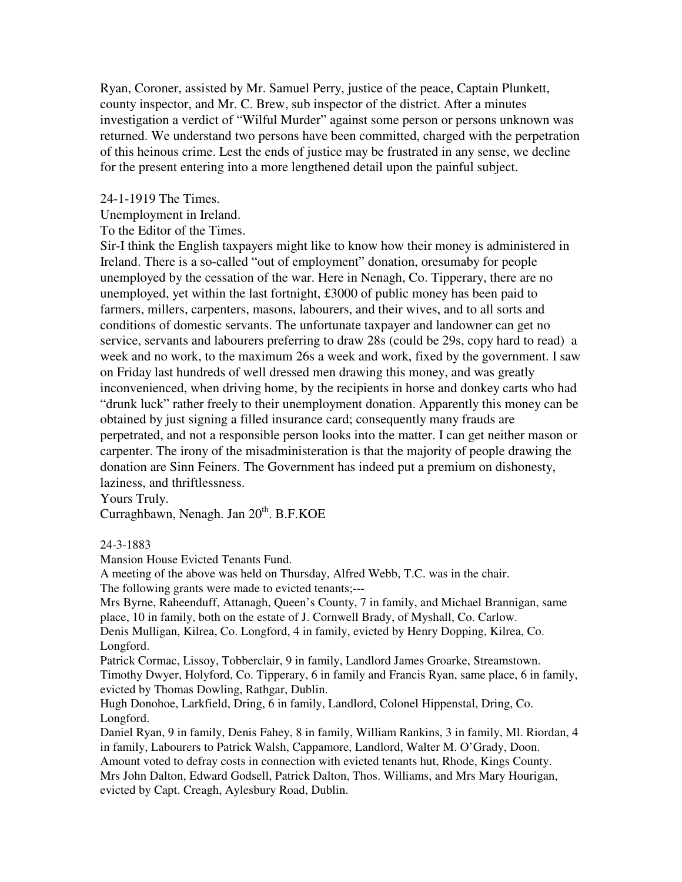Ryan, Coroner, assisted by Mr. Samuel Perry, justice of the peace, Captain Plunkett, county inspector, and Mr. C. Brew, sub inspector of the district. After a minutes investigation a verdict of "Wilful Murder" against some person or persons unknown was returned. We understand two persons have been committed, charged with the perpetration of this heinous crime. Lest the ends of justice may be frustrated in any sense, we decline for the present entering into a more lengthened detail upon the painful subject.

24-1-1919 The Times.

Unemployment in Ireland.

To the Editor of the Times.

Sir-I think the English taxpayers might like to know how their money is administered in Ireland. There is a so-called "out of employment" donation, oresumaby for people unemployed by the cessation of the war. Here in Nenagh, Co. Tipperary, there are no unemployed, yet within the last fortnight, £3000 of public money has been paid to farmers, millers, carpenters, masons, labourers, and their wives, and to all sorts and conditions of domestic servants. The unfortunate taxpayer and landowner can get no service, servants and labourers preferring to draw 28s (could be 29s, copy hard to read) a week and no work, to the maximum 26s a week and work, fixed by the government. I saw on Friday last hundreds of well dressed men drawing this money, and was greatly inconvenienced, when driving home, by the recipients in horse and donkey carts who had "drunk luck" rather freely to their unemployment donation. Apparently this money can be obtained by just signing a filled insurance card; consequently many frauds are perpetrated, and not a responsible person looks into the matter. I can get neither mason or carpenter. The irony of the misadministeration is that the majority of people drawing the donation are Sinn Feiners. The Government has indeed put a premium on dishonesty, laziness, and thriftlessness.

Yours Truly.

Curraghbawn, Nenagh. Jan 20<sup>th</sup>. B.F.KOE

24-3-1883

Mansion House Evicted Tenants Fund.

A meeting of the above was held on Thursday, Alfred Webb, T.C. was in the chair.

The following grants were made to evicted tenants;---

Mrs Byrne, Raheenduff, Attanagh, Queen's County, 7 in family, and Michael Brannigan, same place, 10 in family, both on the estate of J. Cornwell Brady, of Myshall, Co. Carlow.

Denis Mulligan, Kilrea, Co. Longford, 4 in family, evicted by Henry Dopping, Kilrea, Co. Longford.

Patrick Cormac, Lissoy, Tobberclair, 9 in family, Landlord James Groarke, Streamstown. Timothy Dwyer, Holyford, Co. Tipperary, 6 in family and Francis Ryan, same place, 6 in family, evicted by Thomas Dowling, Rathgar, Dublin.

Hugh Donohoe, Larkfield, Dring, 6 in family, Landlord, Colonel Hippenstal, Dring, Co. Longford.

Daniel Ryan, 9 in family, Denis Fahey, 8 in family, William Rankins, 3 in family, Ml. Riordan, 4 in family, Labourers to Patrick Walsh, Cappamore, Landlord, Walter M. O'Grady, Doon. Amount voted to defray costs in connection with evicted tenants hut, Rhode, Kings County. Mrs John Dalton, Edward Godsell, Patrick Dalton, Thos. Williams, and Mrs Mary Hourigan, evicted by Capt. Creagh, Aylesbury Road, Dublin.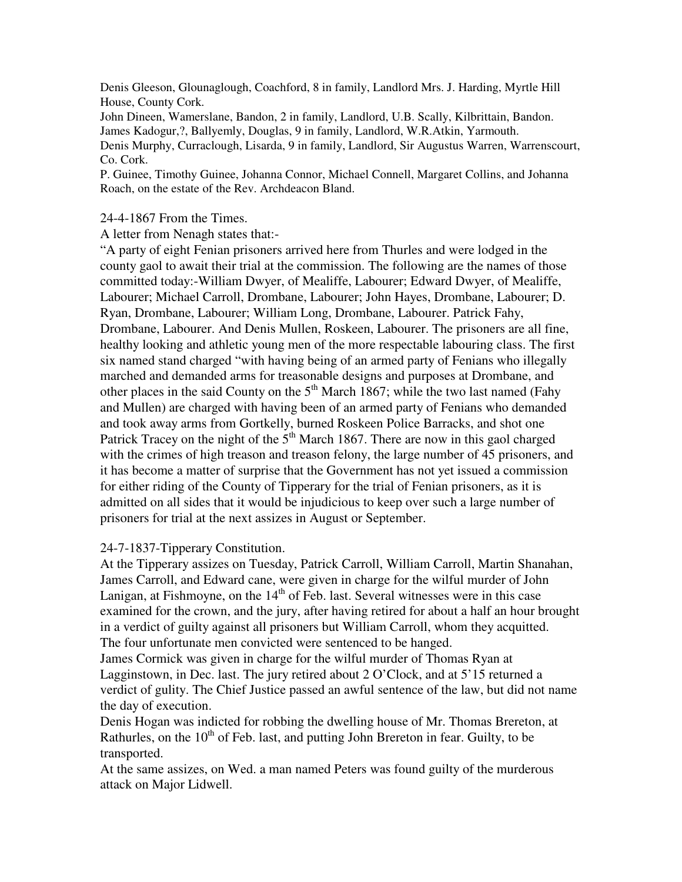Denis Gleeson, Glounaglough, Coachford, 8 in family, Landlord Mrs. J. Harding, Myrtle Hill House, County Cork.

John Dineen, Wamerslane, Bandon, 2 in family, Landlord, U.B. Scally, Kilbrittain, Bandon. James Kadogur,?, Ballyemly, Douglas, 9 in family, Landlord, W.R.Atkin, Yarmouth.

Denis Murphy, Curraclough, Lisarda, 9 in family, Landlord, Sir Augustus Warren, Warrenscourt, Co. Cork.

P. Guinee, Timothy Guinee, Johanna Connor, Michael Connell, Margaret Collins, and Johanna Roach, on the estate of the Rev. Archdeacon Bland.

### 24-4-1867 From the Times.

A letter from Nenagh states that:-

"A party of eight Fenian prisoners arrived here from Thurles and were lodged in the county gaol to await their trial at the commission. The following are the names of those committed today:-William Dwyer, of Mealiffe, Labourer; Edward Dwyer, of Mealiffe, Labourer; Michael Carroll, Drombane, Labourer; John Hayes, Drombane, Labourer; D. Ryan, Drombane, Labourer; William Long, Drombane, Labourer. Patrick Fahy, Drombane, Labourer. And Denis Mullen, Roskeen, Labourer. The prisoners are all fine, healthy looking and athletic young men of the more respectable labouring class. The first six named stand charged "with having being of an armed party of Fenians who illegally marched and demanded arms for treasonable designs and purposes at Drombane, and other places in the said County on the  $5<sup>th</sup>$  March 1867; while the two last named (Fahy and Mullen) are charged with having been of an armed party of Fenians who demanded and took away arms from Gortkelly, burned Roskeen Police Barracks, and shot one Patrick Tracey on the night of the  $5<sup>th</sup>$  March 1867. There are now in this gaol charged with the crimes of high treason and treason felony, the large number of 45 prisoners, and it has become a matter of surprise that the Government has not yet issued a commission for either riding of the County of Tipperary for the trial of Fenian prisoners, as it is admitted on all sides that it would be injudicious to keep over such a large number of prisoners for trial at the next assizes in August or September.

## 24-7-1837-Tipperary Constitution.

At the Tipperary assizes on Tuesday, Patrick Carroll, William Carroll, Martin Shanahan, James Carroll, and Edward cane, were given in charge for the wilful murder of John Lanigan, at Fishmoyne, on the  $14<sup>th</sup>$  of Feb. last. Several witnesses were in this case examined for the crown, and the jury, after having retired for about a half an hour brought in a verdict of guilty against all prisoners but William Carroll, whom they acquitted. The four unfortunate men convicted were sentenced to be hanged.

James Cormick was given in charge for the wilful murder of Thomas Ryan at Lagginstown, in Dec. last. The jury retired about 2 O'Clock, and at 5'15 returned a verdict of gulity. The Chief Justice passed an awful sentence of the law, but did not name the day of execution.

Denis Hogan was indicted for robbing the dwelling house of Mr. Thomas Brereton, at Rathurles, on the  $10<sup>th</sup>$  of Feb. last, and putting John Brereton in fear. Guilty, to be transported.

At the same assizes, on Wed. a man named Peters was found guilty of the murderous attack on Major Lidwell.